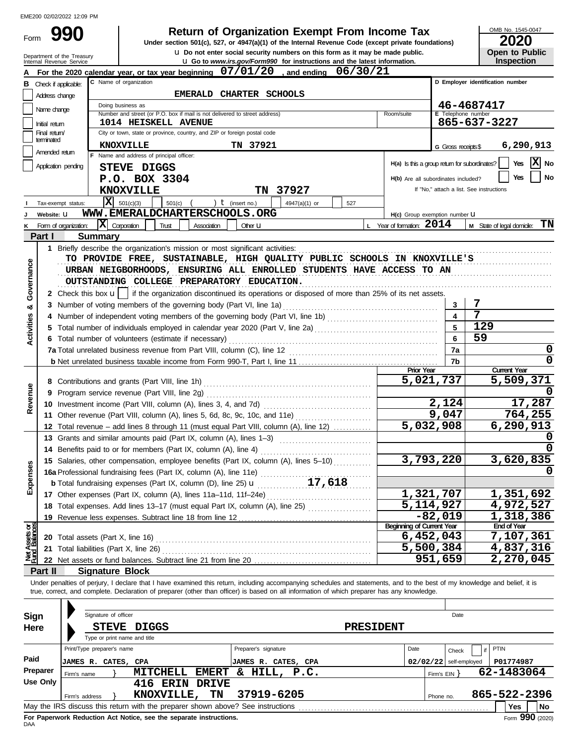Form

# **990 2000 2020 2020 2020 2020 2020 2020 2020 2020 2020 2020 2020 2020 2020 2020 2020 2020 2020 2020 2020 2020 2020 2020 2020 2020 2020 2020 2020 2020 2020 2020**

**u** Do not enter social security numbers on this form as it may be made public. **Under section 501(c), 527, or 4947(a)(1) of the Internal Revenue Code (except private foundations)** OMB No. 1545-0047

| ZUZU                  |
|-----------------------|
| <b>Open to Public</b> |
| <b>Inspection</b>     |

|                                |                               | Department of the Treasury<br>Internal Revenue Service |                            |                                              |                                                                                          |                      |                            | U Do not enter social security numbers on this form as it may be made public.<br>U Go to www.irs.gov/Form990 for instructions and the latest information. |                  |                                                 |                          |                              | Open to Public<br><b>Inspection</b>                                                                                                                                        |
|--------------------------------|-------------------------------|--------------------------------------------------------|----------------------------|----------------------------------------------|------------------------------------------------------------------------------------------|----------------------|----------------------------|-----------------------------------------------------------------------------------------------------------------------------------------------------------|------------------|-------------------------------------------------|--------------------------|------------------------------|----------------------------------------------------------------------------------------------------------------------------------------------------------------------------|
|                                |                               |                                                        |                            |                                              | For the 2020 calendar year, or tax year beginning $07/01/20$ , and ending                |                      |                            | 06/30/21                                                                                                                                                  |                  |                                                 |                          |                              |                                                                                                                                                                            |
|                                | <b>B</b> Check if applicable: |                                                        |                            | C Name of organization                       |                                                                                          |                      |                            |                                                                                                                                                           |                  |                                                 |                          |                              | D Employer identification number                                                                                                                                           |
|                                | Address change                |                                                        |                            |                                              | EMERALD CHARTER SCHOOLS                                                                  |                      |                            |                                                                                                                                                           |                  |                                                 |                          |                              |                                                                                                                                                                            |
|                                |                               |                                                        |                            | Doing business as                            |                                                                                          |                      |                            |                                                                                                                                                           |                  |                                                 |                          |                              | 46-4687417                                                                                                                                                                 |
|                                | Name change                   |                                                        |                            |                                              | Number and street (or P.O. box if mail is not delivered to street address)               |                      |                            |                                                                                                                                                           |                  | Room/suite                                      |                          |                              | E Telephone number                                                                                                                                                         |
|                                | Initial return                |                                                        |                            |                                              | <b>1014 HEISKELL AVENUE</b>                                                              |                      |                            |                                                                                                                                                           |                  |                                                 |                          |                              | 865-637-3227                                                                                                                                                               |
|                                | Final return/<br>terminated   |                                                        |                            |                                              | City or town, state or province, country, and ZIP or foreign postal code                 |                      |                            |                                                                                                                                                           |                  |                                                 |                          |                              |                                                                                                                                                                            |
|                                | Amended return                |                                                        |                            | <b>KNOXVILLE</b>                             |                                                                                          | TN 37921             |                            |                                                                                                                                                           |                  |                                                 |                          | G Gross receipts\$           | 6,290,913                                                                                                                                                                  |
|                                |                               |                                                        |                            | F Name and address of principal officer:     |                                                                                          |                      |                            |                                                                                                                                                           |                  | $H(a)$ is this a group return for subordinates? |                          |                              | $ X $ No<br>Yes                                                                                                                                                            |
|                                | Application pending           |                                                        |                            | <b>STEVE DIGGS</b>                           |                                                                                          |                      |                            |                                                                                                                                                           |                  |                                                 |                          |                              |                                                                                                                                                                            |
|                                |                               |                                                        |                            | P.O. BOX 3304                                |                                                                                          |                      |                            |                                                                                                                                                           |                  | H(b) Are all subordinates included?             |                          |                              | Yes<br>No                                                                                                                                                                  |
|                                |                               |                                                        |                            | <b>KNOXVILLE</b>                             |                                                                                          |                      | TN 37927                   |                                                                                                                                                           |                  |                                                 |                          |                              | If "No," attach a list. See instructions                                                                                                                                   |
|                                |                               | Tax-exempt status:                                     |                            | $ \mathbf{X} $ 501(c)(3)                     | 501(c)                                                                                   | $t$ (insert no.)     |                            | 4947(a)(1) or<br>527                                                                                                                                      |                  |                                                 |                          |                              |                                                                                                                                                                            |
|                                | Website: U                    |                                                        |                            |                                              | WWW.EMERALDCHARTERSCHOOLS.ORG                                                            |                      |                            |                                                                                                                                                           |                  | H(c) Group exemption number U                   |                          |                              |                                                                                                                                                                            |
| κ                              |                               | Form of organization:                                  | $ \mathbf{X} $ Corporation |                                              | Trust<br><b>Association</b>                                                              | Other <b>LI</b>      |                            |                                                                                                                                                           |                  | L Year of formation: $2014$                     |                          |                              | TN<br>M State of legal domicile:                                                                                                                                           |
|                                | Part I                        |                                                        | <b>Summary</b>             |                                              |                                                                                          |                      |                            |                                                                                                                                                           |                  |                                                 |                          |                              |                                                                                                                                                                            |
|                                |                               |                                                        |                            |                                              | 1 Briefly describe the organization's mission or most significant activities:            |                      |                            |                                                                                                                                                           |                  |                                                 |                          |                              |                                                                                                                                                                            |
|                                |                               |                                                        |                            |                                              |                                                                                          |                      |                            | TO PROVIDE FREE, SUSTAINABLE, HIGH QUALITY PUBLIC SCHOOLS IN KNOXVILLE'S                                                                                  |                  |                                                 |                          |                              |                                                                                                                                                                            |
| Governance                     |                               |                                                        |                            |                                              |                                                                                          |                      |                            | URBAN NEIGBORHOODS, ENSURING ALL ENROLLED STUDENTS HAVE ACCESS TO AN                                                                                      |                  |                                                 |                          |                              |                                                                                                                                                                            |
|                                |                               |                                                        |                            |                                              | OUTSTANDING COLLEGE PREPARATORY EDUCATION.                                               |                      |                            |                                                                                                                                                           |                  |                                                 |                          |                              |                                                                                                                                                                            |
|                                |                               |                                                        |                            |                                              |                                                                                          |                      |                            | 2 Check this box $\mathbf{u}$   if the organization discontinued its operations or disposed of more than 25% of its net assets.                           |                  |                                                 |                          |                              | 7                                                                                                                                                                          |
| ఱ                              | 3                             |                                                        |                            |                                              | Number of voting members of the governing body (Part VI, line 1a)                        |                      |                            |                                                                                                                                                           |                  |                                                 |                          | 3                            | $\overline{7}$                                                                                                                                                             |
| Activities                     |                               |                                                        |                            |                                              |                                                                                          |                      |                            | Number of independent voting members of the governing body (Part VI, line 1b) [11] [11] Number of independent voting                                      |                  |                                                 |                          | $\overline{\mathbf{4}}$<br>5 | 129                                                                                                                                                                        |
|                                | 5.                            |                                                        |                            |                                              |                                                                                          |                      |                            | Total number of individuals employed in calendar year 2020 (Part V, line 2a) [[[[[[[[[[[[[[[[[[[[[[[[[[[[[[[[                                             |                  |                                                 |                          | 6                            | 59                                                                                                                                                                         |
|                                |                               |                                                        |                            |                                              | 6 Total number of volunteers (estimate if necessary)                                     |                      |                            |                                                                                                                                                           |                  |                                                 |                          |                              | 0                                                                                                                                                                          |
|                                |                               |                                                        |                            |                                              |                                                                                          |                      |                            |                                                                                                                                                           |                  |                                                 |                          | 7a<br>7b                     |                                                                                                                                                                            |
|                                |                               |                                                        |                            |                                              |                                                                                          |                      |                            |                                                                                                                                                           |                  | <b>Prior Year</b>                               |                          |                              | <b>Current Year</b>                                                                                                                                                        |
|                                |                               |                                                        |                            |                                              |                                                                                          |                      |                            |                                                                                                                                                           |                  |                                                 | 5,021,737                |                              | 5,509,371                                                                                                                                                                  |
| Revenue                        | 9                             |                                                        |                            | Program service revenue (Part VIII, line 2g) |                                                                                          |                      |                            |                                                                                                                                                           |                  |                                                 |                          |                              |                                                                                                                                                                            |
|                                |                               |                                                        |                            |                                              |                                                                                          |                      |                            |                                                                                                                                                           |                  |                                                 | 2,124                    |                              | 17,287                                                                                                                                                                     |
|                                |                               |                                                        |                            |                                              |                                                                                          |                      |                            | 11 Other revenue (Part VIII, column (A), lines 5, 6d, 8c, 9c, 10c, and 11e)                                                                               |                  |                                                 | 9,047                    |                              | 764,255                                                                                                                                                                    |
|                                |                               |                                                        |                            |                                              |                                                                                          |                      |                            | 12 Total revenue – add lines 8 through 11 (must equal Part VIII, column (A), line 12)                                                                     |                  | 5,032,908                                       |                          |                              | 6,290,913                                                                                                                                                                  |
|                                |                               |                                                        |                            |                                              |                                                                                          |                      |                            | 13 Grants and similar amounts paid (Part IX, column (A), lines 1-3)                                                                                       |                  |                                                 |                          |                              |                                                                                                                                                                            |
|                                |                               |                                                        |                            |                                              | 14 Benefits paid to or for members (Part IX, column (A), line 4)                         |                      |                            |                                                                                                                                                           |                  |                                                 |                          |                              |                                                                                                                                                                            |
|                                |                               |                                                        |                            |                                              |                                                                                          |                      |                            | 15 Salaries, other compensation, employee benefits (Part IX, column (A), lines 5-10)                                                                      |                  | 3,793,220                                       |                          |                              | 3,620,835                                                                                                                                                                  |
| <b>Ses</b>                     |                               |                                                        |                            |                                              | 16a Professional fundraising fees (Part IX, column (A), line 11e)                        |                      |                            |                                                                                                                                                           |                  |                                                 |                          |                              |                                                                                                                                                                            |
| Expen                          |                               |                                                        |                            |                                              | <b>b</b> Total fundraising expenses (Part IX, column (D), line 25) $\mathbf{u}$ [17, 618 |                      |                            |                                                                                                                                                           |                  |                                                 |                          |                              |                                                                                                                                                                            |
|                                |                               |                                                        |                            |                                              |                                                                                          |                      |                            |                                                                                                                                                           |                  | 1,321,707                                       |                          |                              | 1,351,692                                                                                                                                                                  |
|                                |                               |                                                        |                            |                                              |                                                                                          |                      |                            | 18 Total expenses. Add lines 13-17 (must equal Part IX, column (A), line 25) [ [ [ [ [ [ ] ]                                                              |                  | 5, 114, 927                                     |                          |                              | 4,972,527                                                                                                                                                                  |
|                                |                               |                                                        |                            |                                              |                                                                                          |                      |                            |                                                                                                                                                           |                  |                                                 | $-82,019$                |                              | 1,318,386                                                                                                                                                                  |
| Net Assets or<br>Fund Balances |                               |                                                        |                            |                                              |                                                                                          |                      |                            |                                                                                                                                                           |                  | <b>Beginning of Current Year</b>                |                          |                              | <b>End of Year</b>                                                                                                                                                         |
|                                |                               |                                                        |                            | 20 Total assets (Part X, line 16)            |                                                                                          |                      |                            |                                                                                                                                                           |                  | 6,452,043                                       |                          |                              | 7,107,361                                                                                                                                                                  |
|                                | 21                            |                                                        |                            | Total liabilities (Part X, line 26)          |                                                                                          |                      |                            |                                                                                                                                                           |                  |                                                 | 5,500,384                |                              | 4,837,316<br>2,270,045                                                                                                                                                     |
|                                |                               |                                                        |                            | <b>Signature Block</b>                       |                                                                                          |                      |                            |                                                                                                                                                           |                  |                                                 | 951,659                  |                              |                                                                                                                                                                            |
|                                | Part II                       |                                                        |                            |                                              |                                                                                          |                      |                            |                                                                                                                                                           |                  |                                                 |                          |                              |                                                                                                                                                                            |
|                                |                               |                                                        |                            |                                              |                                                                                          |                      |                            | true, correct, and complete. Declaration of preparer (other than officer) is based on all information of which preparer has any knowledge.                |                  |                                                 |                          |                              | Under penalties of perjury, I declare that I have examined this return, including accompanying schedules and statements, and to the best of my knowledge and belief, it is |
|                                |                               |                                                        |                            |                                              |                                                                                          |                      |                            |                                                                                                                                                           |                  |                                                 |                          |                              |                                                                                                                                                                            |
| Sign                           |                               |                                                        | Signature of officer       |                                              |                                                                                          |                      |                            |                                                                                                                                                           |                  |                                                 |                          | Date                         |                                                                                                                                                                            |
| Here                           |                               |                                                        |                            | STEVE DIGGS                                  |                                                                                          |                      |                            |                                                                                                                                                           | <b>PRESIDENT</b> |                                                 |                          |                              |                                                                                                                                                                            |
|                                |                               |                                                        |                            | Type or print name and title                 |                                                                                          |                      |                            |                                                                                                                                                           |                  |                                                 |                          |                              |                                                                                                                                                                            |
|                                |                               |                                                        | Print/Type preparer's name |                                              |                                                                                          | Preparer's signature |                            |                                                                                                                                                           |                  | Date                                            |                          | Check                        | PTIN                                                                                                                                                                       |
| Paid                           |                               | <b>JAMES R. CATES, CPA</b>                             |                            |                                              |                                                                                          |                      | <b>JAMES R. CATES, CPA</b> |                                                                                                                                                           |                  |                                                 | $02/02/22$ self-employed |                              | P01774987                                                                                                                                                                  |
|                                | Preparer                      |                                                        |                            |                                              | MITCHELL EMERT                                                                           |                      |                            |                                                                                                                                                           |                  |                                                 | Firm's $EIN$ }           |                              | 62-1483064                                                                                                                                                                 |
|                                | <b>Use Only</b>               | & HILL, P.C.<br>Firm's name<br>416 ERIN DRIVE          |                            |                                              |                                                                                          |                      |                            |                                                                                                                                                           |                  |                                                 |                          |                              |                                                                                                                                                                            |
|                                |                               | Firm's address                                         |                            |                                              | KNOXVILLE,<br>TN                                                                         |                      | 37919-6205                 |                                                                                                                                                           |                  |                                                 | Phone no.                |                              | 865-522-2396                                                                                                                                                               |
|                                |                               |                                                        |                            |                                              | May the IRS discuss this return with the preparer shown above? See instructions          |                      |                            |                                                                                                                                                           |                  |                                                 |                          |                              | <b>Yes</b><br>No                                                                                                                                                           |

| Sign                                                                                                              |                                                                                       | Signature of officer         |                                                                                 |              |  |                      |                  |      |           | Date  |  |              |    |
|-------------------------------------------------------------------------------------------------------------------|---------------------------------------------------------------------------------------|------------------------------|---------------------------------------------------------------------------------|--------------|--|----------------------|------------------|------|-----------|-------|--|--------------|----|
| Here                                                                                                              |                                                                                       | <b>STEVE</b>                 | <b>DIGGS</b>                                                                    |              |  |                      | <b>PRESIDENT</b> |      |           |       |  |              |    |
|                                                                                                                   |                                                                                       | Type or print name and title |                                                                                 |              |  |                      |                  |      |           |       |  |              |    |
|                                                                                                                   | Print/Type preparer's name                                                            |                              |                                                                                 |              |  | Preparer's signature |                  | Date |           | Check |  | PTIN         |    |
| Paid<br>$02/02/22$ self-employed<br>P01774987<br>JAMES R. CATES, CPA<br>JAMES R. CATES, CPA                       |                                                                                       |                              |                                                                                 |              |  |                      |                  |      |           |       |  |              |    |
| Preparer<br>62-1483064<br>HILL, P.C.<br><b>MITCHELL</b><br><b>EMERT</b><br>&.<br>Firm's $EIN$ $\}$<br>Firm's name |                                                                                       |                              |                                                                                 |              |  |                      |                  |      |           |       |  |              |    |
| Use Only                                                                                                          |                                                                                       |                              | ERIN<br>416                                                                     | <b>DRIVE</b> |  |                      |                  |      |           |       |  |              |    |
|                                                                                                                   | Firm's address                                                                        |                              | KNOXVILLE,                                                                      | TN           |  | 37919-6205           |                  |      | Phone no. |       |  | 865-522-2396 |    |
|                                                                                                                   |                                                                                       |                              | May the IRS discuss this return with the preparer shown above? See instructions |              |  |                      |                  |      |           |       |  | <b>Yes</b>   | No |
|                                                                                                                   | Form 990 (2020)<br>For Paperwork Reduction Act Notice, see the separate instructions. |                              |                                                                                 |              |  |                      |                  |      |           |       |  |              |    |
| <b>DAA</b>                                                                                                        |                                                                                       |                              |                                                                                 |              |  |                      |                  |      |           |       |  |              |    |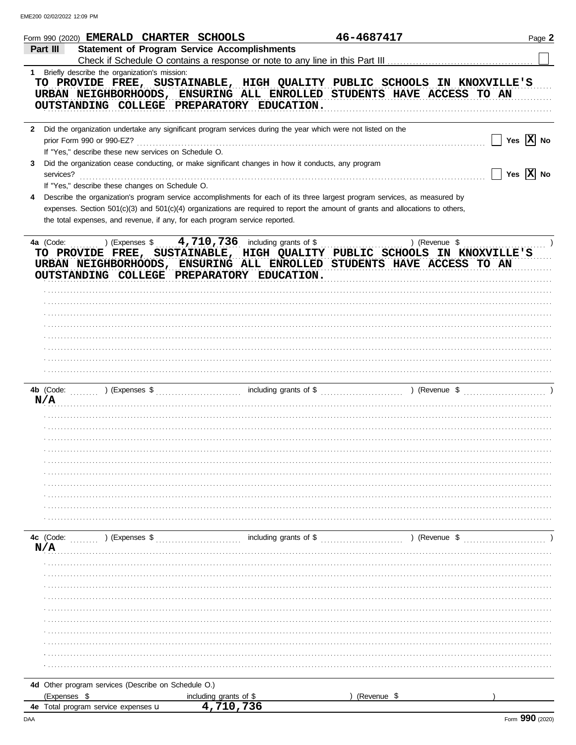|                  | Form 990 (2020) EMERALD CHARTER SCHOOLS                                           |                                                                                                       | 46-4687417                                                                                                                                                                                                                                                   | Page 2                |
|------------------|-----------------------------------------------------------------------------------|-------------------------------------------------------------------------------------------------------|--------------------------------------------------------------------------------------------------------------------------------------------------------------------------------------------------------------------------------------------------------------|-----------------------|
| Part III         |                                                                                   | <b>Statement of Program Service Accomplishments</b>                                                   |                                                                                                                                                                                                                                                              |                       |
|                  |                                                                                   |                                                                                                       |                                                                                                                                                                                                                                                              |                       |
|                  | 1 Briefly describe the organization's mission:                                    | OUTSTANDING COLLEGE PREPARATORY EDUCATION.                                                            | TO PROVIDE FREE, SUSTAINABLE, HIGH QUALITY PUBLIC SCHOOLS IN KNOXVILLE'S<br>URBAN NEIGHBORHOODS, ENSURING ALL ENROLLED STUDENTS HAVE ACCESS TO AN                                                                                                            |                       |
| $\mathbf{2}$     | prior Form 990 or 990-EZ?<br>If "Yes," describe these new services on Schedule O. |                                                                                                       | Did the organization undertake any significant program services during the year which were not listed on the                                                                                                                                                 | Yes $\overline{X}$ No |
| 3<br>services?   | If "Yes," describe these changes on Schedule O.                                   | Did the organization cease conducting, or make significant changes in how it conducts, any program    |                                                                                                                                                                                                                                                              | Yes $\overline{X}$ No |
| 4                |                                                                                   | the total expenses, and revenue, if any, for each program service reported.                           | Describe the organization's program service accomplishments for each of its three largest program services, as measured by<br>expenses. Section 501(c)(3) and 501(c)(4) organizations are required to report the amount of grants and allocations to others, |                       |
|                  |                                                                                   | 4a (Code: (Expenses \$ 4,710,736 including grants of \$<br>OUTSTANDING COLLEGE PREPARATORY EDUCATION. | ) (Revenue \$<br>TO PROVIDE FREE, SUSTAINABLE, HIGH QUALITY PUBLIC SCHOOLS IN KNOXVILLE'S<br>URBAN NEIGHBORHOODS, ENSURING ALL ENROLLED STUDENTS HAVE ACCESS TO AN                                                                                           |                       |
| 4b (Code:<br>N/A |                                                                                   |                                                                                                       |                                                                                                                                                                                                                                                              |                       |
|                  |                                                                                   |                                                                                                       |                                                                                                                                                                                                                                                              |                       |
| 4c (Code:<br>N/A | ) (Expenses \$                                                                    | including grants of \$                                                                                | ) (Revenue \$                                                                                                                                                                                                                                                |                       |
|                  |                                                                                   |                                                                                                       |                                                                                                                                                                                                                                                              |                       |
|                  |                                                                                   |                                                                                                       |                                                                                                                                                                                                                                                              |                       |
|                  |                                                                                   |                                                                                                       |                                                                                                                                                                                                                                                              |                       |
| (Expenses \$     | 4d Other program services (Describe on Schedule O.)                               | including grants of \$                                                                                | (Revenue \$                                                                                                                                                                                                                                                  |                       |
|                  | 4e Total program service expenses L                                               | 4 710 736                                                                                             |                                                                                                                                                                                                                                                              |                       |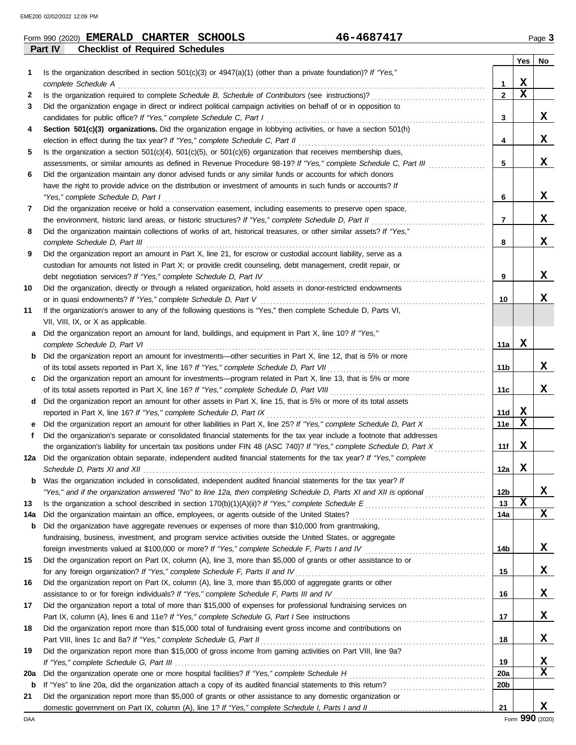**Part IV Checklist of Required Schedules**

|  | Form 990 (2020) |  | <b>EMERALD</b> | <b>CHARTER</b> | <b>SCHOOLS</b> | 46-468741 | ٽ Page |
|--|-----------------|--|----------------|----------------|----------------|-----------|--------|
|--|-----------------|--|----------------|----------------|----------------|-----------|--------|

|     |                                                                                                                                                                                                                                               |                   | Yes         | No |
|-----|-----------------------------------------------------------------------------------------------------------------------------------------------------------------------------------------------------------------------------------------------|-------------------|-------------|----|
| 1   | Is the organization described in section $501(c)(3)$ or $4947(a)(1)$ (other than a private foundation)? If "Yes,"                                                                                                                             |                   | х           |    |
| 2   | complete Schedule A                                                                                                                                                                                                                           | 1<br>$\mathbf{2}$ | $\mathbf x$ |    |
| 3   | Did the organization engage in direct or indirect political campaign activities on behalf of or in opposition to                                                                                                                              |                   |             |    |
|     | candidates for public office? If "Yes," complete Schedule C, Part I                                                                                                                                                                           | 3                 |             | X. |
| 4   | Section 501(c)(3) organizations. Did the organization engage in lobbying activities, or have a section 501(h)                                                                                                                                 |                   |             |    |
|     | election in effect during the tax year? If "Yes," complete Schedule C, Part II                                                                                                                                                                | 4                 |             | x  |
| 5   | Is the organization a section $501(c)(4)$ , $501(c)(5)$ , or $501(c)(6)$ organization that receives membership dues,                                                                                                                          |                   |             |    |
|     |                                                                                                                                                                                                                                               | 5                 |             | x  |
| 6   | Did the organization maintain any donor advised funds or any similar funds or accounts for which donors                                                                                                                                       |                   |             |    |
|     | have the right to provide advice on the distribution or investment of amounts in such funds or accounts? If                                                                                                                                   |                   |             |    |
|     | "Yes," complete Schedule D, Part I                                                                                                                                                                                                            | 6                 |             | x  |
| 7   | Did the organization receive or hold a conservation easement, including easements to preserve open space,                                                                                                                                     |                   |             |    |
|     | the environment, historic land areas, or historic structures? If "Yes," complete Schedule D, Part II                                                                                                                                          | 7                 |             | x  |
| 8   | Did the organization maintain collections of works of art, historical treasures, or other similar assets? If "Yes,"                                                                                                                           |                   |             |    |
|     | complete Schedule D, Part III                                                                                                                                                                                                                 | 8                 |             | x  |
| 9   | Did the organization report an amount in Part X, line 21, for escrow or custodial account liability, serve as a                                                                                                                               |                   |             |    |
|     | custodian for amounts not listed in Part X; or provide credit counseling, debt management, credit repair, or                                                                                                                                  |                   |             |    |
|     | debt negotiation services? If "Yes," complete Schedule D, Part IV                                                                                                                                                                             | 9                 |             | x  |
| 10  | Did the organization, directly or through a related organization, hold assets in donor-restricted endowments                                                                                                                                  |                   |             |    |
|     | or in quasi endowments? If "Yes," complete Schedule D, Part V                                                                                                                                                                                 | 10                |             | x  |
| 11  | If the organization's answer to any of the following questions is "Yes," then complete Schedule D, Parts VI,                                                                                                                                  |                   |             |    |
|     | VII, VIII, IX, or X as applicable.                                                                                                                                                                                                            |                   |             |    |
| a   | Did the organization report an amount for land, buildings, and equipment in Part X, line 10? If "Yes,"                                                                                                                                        |                   |             |    |
|     | complete Schedule D, Part VI                                                                                                                                                                                                                  | 11a               | x           |    |
| b   | Did the organization report an amount for investments—other securities in Part X, line 12, that is 5% or more                                                                                                                                 |                   |             |    |
|     | of its total assets reported in Part X, line 16? If "Yes," complete Schedule D, Part VII                                                                                                                                                      | 11b               |             | x  |
| c   | Did the organization report an amount for investments—program related in Part X, line 13, that is 5% or more                                                                                                                                  |                   |             |    |
|     | of its total assets reported in Part X, line 16? If "Yes," complete Schedule D, Part VIII                                                                                                                                                     | 11c               |             | x  |
| d   | Did the organization report an amount for other assets in Part X, line 15, that is 5% or more of its total assets                                                                                                                             |                   |             |    |
|     | reported in Part X, line 16? If "Yes," complete Schedule D, Part IX                                                                                                                                                                           | 11d               | X           |    |
| е   | Did the organization report an amount for other liabilities in Part X, line 25? If "Yes," complete Schedule D, Part X                                                                                                                         | 11e               | X           |    |
| f   | Did the organization's separate or consolidated financial statements for the tax year include a footnote that addresses                                                                                                                       |                   | X           |    |
|     | the organization's liability for uncertain tax positions under FIN 48 (ASC 740)? If "Yes," complete Schedule D, Part X<br>Did the organization obtain separate, independent audited financial statements for the tax year? If "Yes," complete | 11f               |             |    |
| 12a | Schedule D, Parts XI and XII                                                                                                                                                                                                                  | 12a               | X           |    |
|     | Was the organization included in consolidated, independent audited financial statements for the tax year? It                                                                                                                                  |                   |             |    |
|     | "Yes," and if the organization answered "No" to line 12a, then completing Schedule D, Parts XI and XII is optional                                                                                                                            | 12 <sub>b</sub>   |             | X  |
| 13  |                                                                                                                                                                                                                                               | 13                | $\mathbf x$ |    |
| 14a | Did the organization maintain an office, employees, or agents outside of the United States?                                                                                                                                                   | 14a               |             | X  |
| b   | Did the organization have aggregate revenues or expenses of more than \$10,000 from grantmaking,                                                                                                                                              |                   |             |    |
|     | fundraising, business, investment, and program service activities outside the United States, or aggregate                                                                                                                                     |                   |             |    |
|     | foreign investments valued at \$100,000 or more? If "Yes," complete Schedule F, Parts I and IV                                                                                                                                                | 14b               |             | x  |
| 15  | Did the organization report on Part IX, column (A), line 3, more than \$5,000 of grants or other assistance to or                                                                                                                             |                   |             |    |
|     | for any foreign organization? If "Yes," complete Schedule F, Parts II and IV                                                                                                                                                                  | 15                |             | x  |
| 16  | Did the organization report on Part IX, column (A), line 3, more than \$5,000 of aggregate grants or other                                                                                                                                    |                   |             |    |
|     | assistance to or for foreign individuals? If "Yes," complete Schedule F, Parts III and IV                                                                                                                                                     | 16                |             | X  |
| 17  | Did the organization report a total of more than \$15,000 of expenses for professional fundraising services on                                                                                                                                |                   |             |    |
|     |                                                                                                                                                                                                                                               | 17                |             | X  |
| 18  | Did the organization report more than \$15,000 total of fundraising event gross income and contributions on                                                                                                                                   |                   |             |    |
|     | Part VIII, lines 1c and 8a? If "Yes," complete Schedule G, Part II                                                                                                                                                                            | 18                |             | x  |
| 19  | Did the organization report more than \$15,000 of gross income from gaming activities on Part VIII, line 9a?                                                                                                                                  |                   |             |    |
|     |                                                                                                                                                                                                                                               | 19                |             | x  |
| 20a | Did the organization operate one or more hospital facilities? If "Yes," complete Schedule H                                                                                                                                                   | 20a               |             | x  |
| b   |                                                                                                                                                                                                                                               | 20 <sub>b</sub>   |             |    |
| 21  | Did the organization report more than \$5,000 of grants or other assistance to any domestic organization or                                                                                                                                   |                   |             |    |
|     |                                                                                                                                                                                                                                               | 21                |             | X  |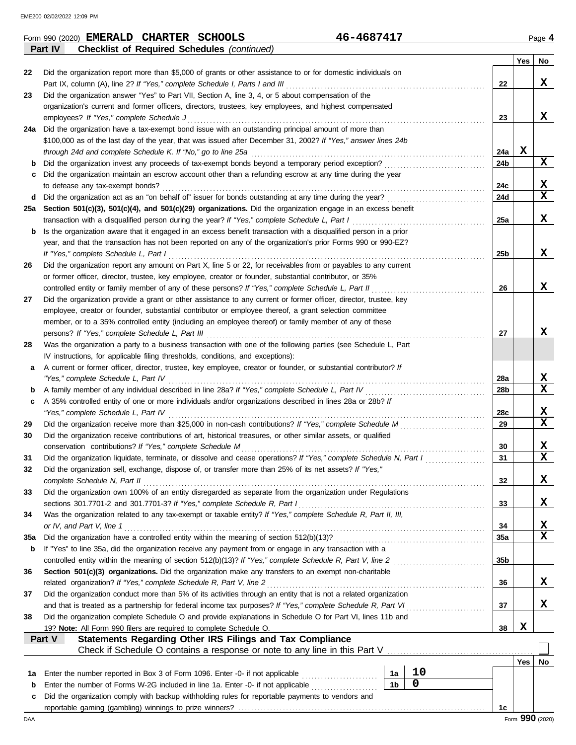**Part IV Checklist of Required Schedules** *(continued)*

| Did the organization report more than \$5,000 of grants or other assistance to or for domestic individuals on<br>22<br>x<br>Part IX, column (A), line 2? If "Yes," complete Schedule I, Parts I and III<br>22<br>Did the organization answer "Yes" to Part VII, Section A, line 3, 4, or 5 about compensation of the<br>23<br>organization's current and former officers, directors, trustees, key employees, and highest compensated<br>x<br>employees? If "Yes," complete Schedule J<br>23<br>Did the organization have a tax-exempt bond issue with an outstanding principal amount of more than<br>24a<br>\$100,000 as of the last day of the year, that was issued after December 31, 2002? If "Yes," answer lines 24b<br>X<br>through 24d and complete Schedule K. If "No," go to line 25a<br>24a<br>x<br>Did the organization invest any proceeds of tax-exempt bonds beyond a temporary period exception?<br>24 <sub>b</sub><br>b<br>Did the organization maintain an escrow account other than a refunding escrow at any time during the year<br>c<br>X<br>to defease any tax-exempt bonds?<br>24c<br>$\mathbf x$<br>24d<br>d<br>Section 501(c)(3), 501(c)(4), and 501(c)(29) organizations. Did the organization engage in an excess benefit<br>25a<br>x<br>transaction with a disqualified person during the year? If "Yes," complete Schedule L, Part I<br>25a<br>Is the organization aware that it engaged in an excess benefit transaction with a disqualified person in a prior<br>b<br>year, and that the transaction has not been reported on any of the organization's prior Forms 990 or 990-EZ?<br>X<br>If "Yes," complete Schedule L, Part I<br>25 <sub>b</sub><br>Did the organization report any amount on Part X, line 5 or 22, for receivables from or payables to any current<br>26<br>or former officer, director, trustee, key employee, creator or founder, substantial contributor, or 35%<br>x<br>controlled entity or family member of any of these persons? If "Yes," complete Schedule L, Part II<br>26<br>Did the organization provide a grant or other assistance to any current or former officer, director, trustee, key<br>27<br>employee, creator or founder, substantial contributor or employee thereof, a grant selection committee<br>member, or to a 35% controlled entity (including an employee thereof) or family member of any of these |  | <b>Yes</b> | No |
|------------------------------------------------------------------------------------------------------------------------------------------------------------------------------------------------------------------------------------------------------------------------------------------------------------------------------------------------------------------------------------------------------------------------------------------------------------------------------------------------------------------------------------------------------------------------------------------------------------------------------------------------------------------------------------------------------------------------------------------------------------------------------------------------------------------------------------------------------------------------------------------------------------------------------------------------------------------------------------------------------------------------------------------------------------------------------------------------------------------------------------------------------------------------------------------------------------------------------------------------------------------------------------------------------------------------------------------------------------------------------------------------------------------------------------------------------------------------------------------------------------------------------------------------------------------------------------------------------------------------------------------------------------------------------------------------------------------------------------------------------------------------------------------------------------------------------------------------------------------------------------------------------------------------------------------------------------------------------------------------------------------------------------------------------------------------------------------------------------------------------------------------------------------------------------------------------------------------------------------------------------------------------------------------------------------------------------------------------------------------------------------|--|------------|----|
|                                                                                                                                                                                                                                                                                                                                                                                                                                                                                                                                                                                                                                                                                                                                                                                                                                                                                                                                                                                                                                                                                                                                                                                                                                                                                                                                                                                                                                                                                                                                                                                                                                                                                                                                                                                                                                                                                                                                                                                                                                                                                                                                                                                                                                                                                                                                                                                          |  |            |    |
|                                                                                                                                                                                                                                                                                                                                                                                                                                                                                                                                                                                                                                                                                                                                                                                                                                                                                                                                                                                                                                                                                                                                                                                                                                                                                                                                                                                                                                                                                                                                                                                                                                                                                                                                                                                                                                                                                                                                                                                                                                                                                                                                                                                                                                                                                                                                                                                          |  |            |    |
|                                                                                                                                                                                                                                                                                                                                                                                                                                                                                                                                                                                                                                                                                                                                                                                                                                                                                                                                                                                                                                                                                                                                                                                                                                                                                                                                                                                                                                                                                                                                                                                                                                                                                                                                                                                                                                                                                                                                                                                                                                                                                                                                                                                                                                                                                                                                                                                          |  |            |    |
|                                                                                                                                                                                                                                                                                                                                                                                                                                                                                                                                                                                                                                                                                                                                                                                                                                                                                                                                                                                                                                                                                                                                                                                                                                                                                                                                                                                                                                                                                                                                                                                                                                                                                                                                                                                                                                                                                                                                                                                                                                                                                                                                                                                                                                                                                                                                                                                          |  |            |    |
|                                                                                                                                                                                                                                                                                                                                                                                                                                                                                                                                                                                                                                                                                                                                                                                                                                                                                                                                                                                                                                                                                                                                                                                                                                                                                                                                                                                                                                                                                                                                                                                                                                                                                                                                                                                                                                                                                                                                                                                                                                                                                                                                                                                                                                                                                                                                                                                          |  |            |    |
|                                                                                                                                                                                                                                                                                                                                                                                                                                                                                                                                                                                                                                                                                                                                                                                                                                                                                                                                                                                                                                                                                                                                                                                                                                                                                                                                                                                                                                                                                                                                                                                                                                                                                                                                                                                                                                                                                                                                                                                                                                                                                                                                                                                                                                                                                                                                                                                          |  |            |    |
|                                                                                                                                                                                                                                                                                                                                                                                                                                                                                                                                                                                                                                                                                                                                                                                                                                                                                                                                                                                                                                                                                                                                                                                                                                                                                                                                                                                                                                                                                                                                                                                                                                                                                                                                                                                                                                                                                                                                                                                                                                                                                                                                                                                                                                                                                                                                                                                          |  |            |    |
|                                                                                                                                                                                                                                                                                                                                                                                                                                                                                                                                                                                                                                                                                                                                                                                                                                                                                                                                                                                                                                                                                                                                                                                                                                                                                                                                                                                                                                                                                                                                                                                                                                                                                                                                                                                                                                                                                                                                                                                                                                                                                                                                                                                                                                                                                                                                                                                          |  |            |    |
|                                                                                                                                                                                                                                                                                                                                                                                                                                                                                                                                                                                                                                                                                                                                                                                                                                                                                                                                                                                                                                                                                                                                                                                                                                                                                                                                                                                                                                                                                                                                                                                                                                                                                                                                                                                                                                                                                                                                                                                                                                                                                                                                                                                                                                                                                                                                                                                          |  |            |    |
|                                                                                                                                                                                                                                                                                                                                                                                                                                                                                                                                                                                                                                                                                                                                                                                                                                                                                                                                                                                                                                                                                                                                                                                                                                                                                                                                                                                                                                                                                                                                                                                                                                                                                                                                                                                                                                                                                                                                                                                                                                                                                                                                                                                                                                                                                                                                                                                          |  |            |    |
|                                                                                                                                                                                                                                                                                                                                                                                                                                                                                                                                                                                                                                                                                                                                                                                                                                                                                                                                                                                                                                                                                                                                                                                                                                                                                                                                                                                                                                                                                                                                                                                                                                                                                                                                                                                                                                                                                                                                                                                                                                                                                                                                                                                                                                                                                                                                                                                          |  |            |    |
|                                                                                                                                                                                                                                                                                                                                                                                                                                                                                                                                                                                                                                                                                                                                                                                                                                                                                                                                                                                                                                                                                                                                                                                                                                                                                                                                                                                                                                                                                                                                                                                                                                                                                                                                                                                                                                                                                                                                                                                                                                                                                                                                                                                                                                                                                                                                                                                          |  |            |    |
|                                                                                                                                                                                                                                                                                                                                                                                                                                                                                                                                                                                                                                                                                                                                                                                                                                                                                                                                                                                                                                                                                                                                                                                                                                                                                                                                                                                                                                                                                                                                                                                                                                                                                                                                                                                                                                                                                                                                                                                                                                                                                                                                                                                                                                                                                                                                                                                          |  |            |    |
|                                                                                                                                                                                                                                                                                                                                                                                                                                                                                                                                                                                                                                                                                                                                                                                                                                                                                                                                                                                                                                                                                                                                                                                                                                                                                                                                                                                                                                                                                                                                                                                                                                                                                                                                                                                                                                                                                                                                                                                                                                                                                                                                                                                                                                                                                                                                                                                          |  |            |    |
|                                                                                                                                                                                                                                                                                                                                                                                                                                                                                                                                                                                                                                                                                                                                                                                                                                                                                                                                                                                                                                                                                                                                                                                                                                                                                                                                                                                                                                                                                                                                                                                                                                                                                                                                                                                                                                                                                                                                                                                                                                                                                                                                                                                                                                                                                                                                                                                          |  |            |    |
|                                                                                                                                                                                                                                                                                                                                                                                                                                                                                                                                                                                                                                                                                                                                                                                                                                                                                                                                                                                                                                                                                                                                                                                                                                                                                                                                                                                                                                                                                                                                                                                                                                                                                                                                                                                                                                                                                                                                                                                                                                                                                                                                                                                                                                                                                                                                                                                          |  |            |    |
|                                                                                                                                                                                                                                                                                                                                                                                                                                                                                                                                                                                                                                                                                                                                                                                                                                                                                                                                                                                                                                                                                                                                                                                                                                                                                                                                                                                                                                                                                                                                                                                                                                                                                                                                                                                                                                                                                                                                                                                                                                                                                                                                                                                                                                                                                                                                                                                          |  |            |    |
|                                                                                                                                                                                                                                                                                                                                                                                                                                                                                                                                                                                                                                                                                                                                                                                                                                                                                                                                                                                                                                                                                                                                                                                                                                                                                                                                                                                                                                                                                                                                                                                                                                                                                                                                                                                                                                                                                                                                                                                                                                                                                                                                                                                                                                                                                                                                                                                          |  |            |    |
|                                                                                                                                                                                                                                                                                                                                                                                                                                                                                                                                                                                                                                                                                                                                                                                                                                                                                                                                                                                                                                                                                                                                                                                                                                                                                                                                                                                                                                                                                                                                                                                                                                                                                                                                                                                                                                                                                                                                                                                                                                                                                                                                                                                                                                                                                                                                                                                          |  |            |    |
|                                                                                                                                                                                                                                                                                                                                                                                                                                                                                                                                                                                                                                                                                                                                                                                                                                                                                                                                                                                                                                                                                                                                                                                                                                                                                                                                                                                                                                                                                                                                                                                                                                                                                                                                                                                                                                                                                                                                                                                                                                                                                                                                                                                                                                                                                                                                                                                          |  |            |    |
|                                                                                                                                                                                                                                                                                                                                                                                                                                                                                                                                                                                                                                                                                                                                                                                                                                                                                                                                                                                                                                                                                                                                                                                                                                                                                                                                                                                                                                                                                                                                                                                                                                                                                                                                                                                                                                                                                                                                                                                                                                                                                                                                                                                                                                                                                                                                                                                          |  |            |    |
|                                                                                                                                                                                                                                                                                                                                                                                                                                                                                                                                                                                                                                                                                                                                                                                                                                                                                                                                                                                                                                                                                                                                                                                                                                                                                                                                                                                                                                                                                                                                                                                                                                                                                                                                                                                                                                                                                                                                                                                                                                                                                                                                                                                                                                                                                                                                                                                          |  |            |    |
| x<br>persons? If "Yes," complete Schedule L, Part III<br>27                                                                                                                                                                                                                                                                                                                                                                                                                                                                                                                                                                                                                                                                                                                                                                                                                                                                                                                                                                                                                                                                                                                                                                                                                                                                                                                                                                                                                                                                                                                                                                                                                                                                                                                                                                                                                                                                                                                                                                                                                                                                                                                                                                                                                                                                                                                              |  |            |    |
| Was the organization a party to a business transaction with one of the following parties (see Schedule L, Part<br>28                                                                                                                                                                                                                                                                                                                                                                                                                                                                                                                                                                                                                                                                                                                                                                                                                                                                                                                                                                                                                                                                                                                                                                                                                                                                                                                                                                                                                                                                                                                                                                                                                                                                                                                                                                                                                                                                                                                                                                                                                                                                                                                                                                                                                                                                     |  |            |    |
| IV instructions, for applicable filing thresholds, conditions, and exceptions):                                                                                                                                                                                                                                                                                                                                                                                                                                                                                                                                                                                                                                                                                                                                                                                                                                                                                                                                                                                                                                                                                                                                                                                                                                                                                                                                                                                                                                                                                                                                                                                                                                                                                                                                                                                                                                                                                                                                                                                                                                                                                                                                                                                                                                                                                                          |  |            |    |
| A current or former officer, director, trustee, key employee, creator or founder, or substantial contributor? If<br>a                                                                                                                                                                                                                                                                                                                                                                                                                                                                                                                                                                                                                                                                                                                                                                                                                                                                                                                                                                                                                                                                                                                                                                                                                                                                                                                                                                                                                                                                                                                                                                                                                                                                                                                                                                                                                                                                                                                                                                                                                                                                                                                                                                                                                                                                    |  |            |    |
| x<br>"Yes," complete Schedule L, Part IV<br>28a                                                                                                                                                                                                                                                                                                                                                                                                                                                                                                                                                                                                                                                                                                                                                                                                                                                                                                                                                                                                                                                                                                                                                                                                                                                                                                                                                                                                                                                                                                                                                                                                                                                                                                                                                                                                                                                                                                                                                                                                                                                                                                                                                                                                                                                                                                                                          |  |            |    |
| $\overline{\mathbf{x}}$<br>A family member of any individual described in line 28a? If "Yes," complete Schedule L, Part IV<br>28b<br>b                                                                                                                                                                                                                                                                                                                                                                                                                                                                                                                                                                                                                                                                                                                                                                                                                                                                                                                                                                                                                                                                                                                                                                                                                                                                                                                                                                                                                                                                                                                                                                                                                                                                                                                                                                                                                                                                                                                                                                                                                                                                                                                                                                                                                                                   |  |            |    |
| A 35% controlled entity of one or more individuals and/or organizations described in lines 28a or 28b? If<br>c                                                                                                                                                                                                                                                                                                                                                                                                                                                                                                                                                                                                                                                                                                                                                                                                                                                                                                                                                                                                                                                                                                                                                                                                                                                                                                                                                                                                                                                                                                                                                                                                                                                                                                                                                                                                                                                                                                                                                                                                                                                                                                                                                                                                                                                                           |  |            |    |
| X<br>"Yes," complete Schedule L, Part IV<br>28c                                                                                                                                                                                                                                                                                                                                                                                                                                                                                                                                                                                                                                                                                                                                                                                                                                                                                                                                                                                                                                                                                                                                                                                                                                                                                                                                                                                                                                                                                                                                                                                                                                                                                                                                                                                                                                                                                                                                                                                                                                                                                                                                                                                                                                                                                                                                          |  |            |    |
| $\mathbf x$<br>29<br>29                                                                                                                                                                                                                                                                                                                                                                                                                                                                                                                                                                                                                                                                                                                                                                                                                                                                                                                                                                                                                                                                                                                                                                                                                                                                                                                                                                                                                                                                                                                                                                                                                                                                                                                                                                                                                                                                                                                                                                                                                                                                                                                                                                                                                                                                                                                                                                  |  |            |    |
| Did the organization receive contributions of art, historical treasures, or other similar assets, or qualified<br>30                                                                                                                                                                                                                                                                                                                                                                                                                                                                                                                                                                                                                                                                                                                                                                                                                                                                                                                                                                                                                                                                                                                                                                                                                                                                                                                                                                                                                                                                                                                                                                                                                                                                                                                                                                                                                                                                                                                                                                                                                                                                                                                                                                                                                                                                     |  |            |    |
| X<br>conservation contributions? If "Yes," complete Schedule M<br>30<br>$\mathbf x$<br>31                                                                                                                                                                                                                                                                                                                                                                                                                                                                                                                                                                                                                                                                                                                                                                                                                                                                                                                                                                                                                                                                                                                                                                                                                                                                                                                                                                                                                                                                                                                                                                                                                                                                                                                                                                                                                                                                                                                                                                                                                                                                                                                                                                                                                                                                                                |  |            |    |
| Did the organization liquidate, terminate, or dissolve and cease operations? If "Yes," complete Schedule N, Part I<br>31<br>Did the organization sell, exchange, dispose of, or transfer more than 25% of its net assets? If "Yes,"<br>32                                                                                                                                                                                                                                                                                                                                                                                                                                                                                                                                                                                                                                                                                                                                                                                                                                                                                                                                                                                                                                                                                                                                                                                                                                                                                                                                                                                                                                                                                                                                                                                                                                                                                                                                                                                                                                                                                                                                                                                                                                                                                                                                                |  |            |    |
| x<br>complete Schedule N, Part II<br>32                                                                                                                                                                                                                                                                                                                                                                                                                                                                                                                                                                                                                                                                                                                                                                                                                                                                                                                                                                                                                                                                                                                                                                                                                                                                                                                                                                                                                                                                                                                                                                                                                                                                                                                                                                                                                                                                                                                                                                                                                                                                                                                                                                                                                                                                                                                                                  |  |            |    |
| Did the organization own 100% of an entity disregarded as separate from the organization under Regulations<br>33                                                                                                                                                                                                                                                                                                                                                                                                                                                                                                                                                                                                                                                                                                                                                                                                                                                                                                                                                                                                                                                                                                                                                                                                                                                                                                                                                                                                                                                                                                                                                                                                                                                                                                                                                                                                                                                                                                                                                                                                                                                                                                                                                                                                                                                                         |  |            |    |
| X<br>sections 301.7701-2 and 301.7701-3? If "Yes," complete Schedule R, Part I<br>33                                                                                                                                                                                                                                                                                                                                                                                                                                                                                                                                                                                                                                                                                                                                                                                                                                                                                                                                                                                                                                                                                                                                                                                                                                                                                                                                                                                                                                                                                                                                                                                                                                                                                                                                                                                                                                                                                                                                                                                                                                                                                                                                                                                                                                                                                                     |  |            |    |
| Was the organization related to any tax-exempt or taxable entity? If "Yes," complete Schedule R, Part II, III,<br>34                                                                                                                                                                                                                                                                                                                                                                                                                                                                                                                                                                                                                                                                                                                                                                                                                                                                                                                                                                                                                                                                                                                                                                                                                                                                                                                                                                                                                                                                                                                                                                                                                                                                                                                                                                                                                                                                                                                                                                                                                                                                                                                                                                                                                                                                     |  |            |    |
| X<br>34<br>or IV, and Part V, line 1                                                                                                                                                                                                                                                                                                                                                                                                                                                                                                                                                                                                                                                                                                                                                                                                                                                                                                                                                                                                                                                                                                                                                                                                                                                                                                                                                                                                                                                                                                                                                                                                                                                                                                                                                                                                                                                                                                                                                                                                                                                                                                                                                                                                                                                                                                                                                     |  |            |    |
| X<br>Did the organization have a controlled entity within the meaning of section 512(b)(13)?<br>35a<br>35a                                                                                                                                                                                                                                                                                                                                                                                                                                                                                                                                                                                                                                                                                                                                                                                                                                                                                                                                                                                                                                                                                                                                                                                                                                                                                                                                                                                                                                                                                                                                                                                                                                                                                                                                                                                                                                                                                                                                                                                                                                                                                                                                                                                                                                                                               |  |            |    |
| If "Yes" to line 35a, did the organization receive any payment from or engage in any transaction with a<br>b                                                                                                                                                                                                                                                                                                                                                                                                                                                                                                                                                                                                                                                                                                                                                                                                                                                                                                                                                                                                                                                                                                                                                                                                                                                                                                                                                                                                                                                                                                                                                                                                                                                                                                                                                                                                                                                                                                                                                                                                                                                                                                                                                                                                                                                                             |  |            |    |
| 35b                                                                                                                                                                                                                                                                                                                                                                                                                                                                                                                                                                                                                                                                                                                                                                                                                                                                                                                                                                                                                                                                                                                                                                                                                                                                                                                                                                                                                                                                                                                                                                                                                                                                                                                                                                                                                                                                                                                                                                                                                                                                                                                                                                                                                                                                                                                                                                                      |  |            |    |
| Section 501(c)(3) organizations. Did the organization make any transfers to an exempt non-charitable<br>36                                                                                                                                                                                                                                                                                                                                                                                                                                                                                                                                                                                                                                                                                                                                                                                                                                                                                                                                                                                                                                                                                                                                                                                                                                                                                                                                                                                                                                                                                                                                                                                                                                                                                                                                                                                                                                                                                                                                                                                                                                                                                                                                                                                                                                                                               |  |            |    |
| X<br>related organization? If "Yes," complete Schedule R, Part V, line 2<br>36                                                                                                                                                                                                                                                                                                                                                                                                                                                                                                                                                                                                                                                                                                                                                                                                                                                                                                                                                                                                                                                                                                                                                                                                                                                                                                                                                                                                                                                                                                                                                                                                                                                                                                                                                                                                                                                                                                                                                                                                                                                                                                                                                                                                                                                                                                           |  |            |    |
| Did the organization conduct more than 5% of its activities through an entity that is not a related organization<br>37                                                                                                                                                                                                                                                                                                                                                                                                                                                                                                                                                                                                                                                                                                                                                                                                                                                                                                                                                                                                                                                                                                                                                                                                                                                                                                                                                                                                                                                                                                                                                                                                                                                                                                                                                                                                                                                                                                                                                                                                                                                                                                                                                                                                                                                                   |  |            |    |
| X<br>and that is treated as a partnership for federal income tax purposes? If "Yes," complete Schedule R, Part VI<br>37<br><u> 1986 - Johann Stoff, Amerikaansk kanton en ferske omr</u>                                                                                                                                                                                                                                                                                                                                                                                                                                                                                                                                                                                                                                                                                                                                                                                                                                                                                                                                                                                                                                                                                                                                                                                                                                                                                                                                                                                                                                                                                                                                                                                                                                                                                                                                                                                                                                                                                                                                                                                                                                                                                                                                                                                                 |  |            |    |
| Did the organization complete Schedule O and provide explanations in Schedule O for Part VI, lines 11b and<br>38                                                                                                                                                                                                                                                                                                                                                                                                                                                                                                                                                                                                                                                                                                                                                                                                                                                                                                                                                                                                                                                                                                                                                                                                                                                                                                                                                                                                                                                                                                                                                                                                                                                                                                                                                                                                                                                                                                                                                                                                                                                                                                                                                                                                                                                                         |  |            |    |
| X<br>38<br>19? Note: All Form 990 filers are required to complete Schedule O.                                                                                                                                                                                                                                                                                                                                                                                                                                                                                                                                                                                                                                                                                                                                                                                                                                                                                                                                                                                                                                                                                                                                                                                                                                                                                                                                                                                                                                                                                                                                                                                                                                                                                                                                                                                                                                                                                                                                                                                                                                                                                                                                                                                                                                                                                                            |  |            |    |
| Statements Regarding Other IRS Filings and Tax Compliance<br>Part V                                                                                                                                                                                                                                                                                                                                                                                                                                                                                                                                                                                                                                                                                                                                                                                                                                                                                                                                                                                                                                                                                                                                                                                                                                                                                                                                                                                                                                                                                                                                                                                                                                                                                                                                                                                                                                                                                                                                                                                                                                                                                                                                                                                                                                                                                                                      |  |            |    |
|                                                                                                                                                                                                                                                                                                                                                                                                                                                                                                                                                                                                                                                                                                                                                                                                                                                                                                                                                                                                                                                                                                                                                                                                                                                                                                                                                                                                                                                                                                                                                                                                                                                                                                                                                                                                                                                                                                                                                                                                                                                                                                                                                                                                                                                                                                                                                                                          |  |            |    |
| Yes                                                                                                                                                                                                                                                                                                                                                                                                                                                                                                                                                                                                                                                                                                                                                                                                                                                                                                                                                                                                                                                                                                                                                                                                                                                                                                                                                                                                                                                                                                                                                                                                                                                                                                                                                                                                                                                                                                                                                                                                                                                                                                                                                                                                                                                                                                                                                                                      |  |            | No |
| 10<br>Enter the number reported in Box 3 of Form 1096. Enter -0- if not applicable<br>1а<br>1a<br>$\mathbf 0$                                                                                                                                                                                                                                                                                                                                                                                                                                                                                                                                                                                                                                                                                                                                                                                                                                                                                                                                                                                                                                                                                                                                                                                                                                                                                                                                                                                                                                                                                                                                                                                                                                                                                                                                                                                                                                                                                                                                                                                                                                                                                                                                                                                                                                                                            |  |            |    |
| 1 <sub>b</sub><br>Enter the number of Forms W-2G included in line 1a. Enter -0- if not applicable<br>b                                                                                                                                                                                                                                                                                                                                                                                                                                                                                                                                                                                                                                                                                                                                                                                                                                                                                                                                                                                                                                                                                                                                                                                                                                                                                                                                                                                                                                                                                                                                                                                                                                                                                                                                                                                                                                                                                                                                                                                                                                                                                                                                                                                                                                                                                   |  |            |    |
| Did the organization comply with backup withholding rules for reportable payments to vendors and<br>с                                                                                                                                                                                                                                                                                                                                                                                                                                                                                                                                                                                                                                                                                                                                                                                                                                                                                                                                                                                                                                                                                                                                                                                                                                                                                                                                                                                                                                                                                                                                                                                                                                                                                                                                                                                                                                                                                                                                                                                                                                                                                                                                                                                                                                                                                    |  |            |    |
| 1c<br>Form 990 (2020)<br>DAA                                                                                                                                                                                                                                                                                                                                                                                                                                                                                                                                                                                                                                                                                                                                                                                                                                                                                                                                                                                                                                                                                                                                                                                                                                                                                                                                                                                                                                                                                                                                                                                                                                                                                                                                                                                                                                                                                                                                                                                                                                                                                                                                                                                                                                                                                                                                                             |  |            |    |

Form 990 (2020) Page **4 EMERALD CHARTER SCHOOLS 46-4687417**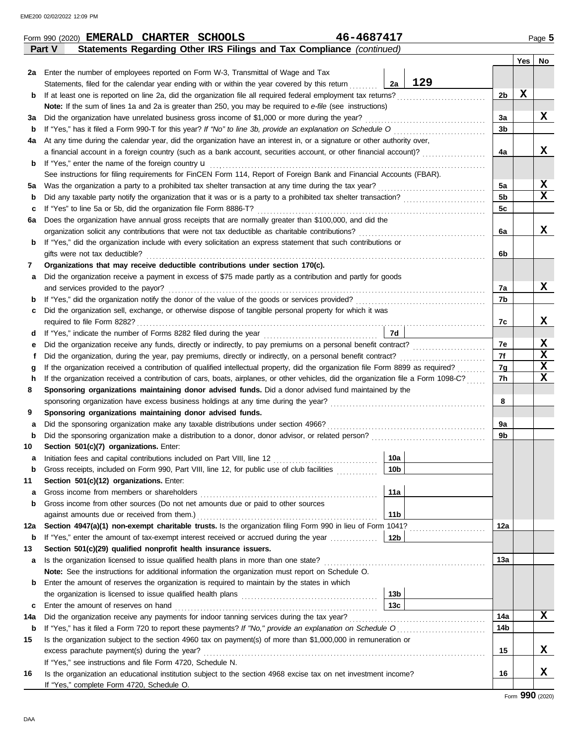|             | Statements Regarding Other IRS Filings and Tax Compliance (continued)<br>Part V                                                                                               |                 |     |                |     |             |
|-------------|-------------------------------------------------------------------------------------------------------------------------------------------------------------------------------|-----------------|-----|----------------|-----|-------------|
|             |                                                                                                                                                                               |                 |     |                | Yes | No          |
| 2a          | Enter the number of employees reported on Form W-3, Transmittal of Wage and Tax                                                                                               |                 |     |                |     |             |
|             | Statements, filed for the calendar year ending with or within the year covered by this return                                                                                 | 2a              | 129 |                |     |             |
| b           | If at least one is reported on line 2a, did the organization file all required federal employment tax returns?                                                                |                 |     | 2b             | X   |             |
|             | Note: If the sum of lines 1a and 2a is greater than 250, you may be required to e-file (see instructions)                                                                     |                 |     |                |     |             |
| За          | Did the organization have unrelated business gross income of \$1,000 or more during the year?                                                                                 |                 |     | 3a             |     | X           |
| b           | If "Yes," has it filed a Form 990-T for this year? If "No" to line 3b, provide an explanation on Schedule O                                                                   |                 |     | 3b             |     |             |
| 4a          | At any time during the calendar year, did the organization have an interest in, or a signature or other authority over,                                                       |                 |     |                |     |             |
|             | a financial account in a foreign country (such as a bank account, securities account, or other financial account)?                                                            |                 |     | 4a             |     | x           |
| b           | If "Yes," enter the name of the foreign country <b>u</b>                                                                                                                      |                 |     |                |     |             |
|             | See instructions for filing requirements for FinCEN Form 114, Report of Foreign Bank and Financial Accounts (FBAR).                                                           |                 |     |                |     |             |
| 5a          | Was the organization a party to a prohibited tax shelter transaction at any time during the tax year?                                                                         |                 |     | 5a             |     | X           |
| b           |                                                                                                                                                                               |                 |     | 5 <sub>b</sub> |     | $\mathbf x$ |
| c           | If "Yes" to line 5a or 5b, did the organization file Form 8886-T?                                                                                                             |                 |     | 5c             |     |             |
| 6a          | Does the organization have annual gross receipts that are normally greater than \$100,000, and did the                                                                        |                 |     |                |     |             |
|             | organization solicit any contributions that were not tax deductible as charitable contributions?                                                                              |                 |     | 6a             |     | x           |
| b           | If "Yes," did the organization include with every solicitation an express statement that such contributions or                                                                |                 |     |                |     |             |
|             | gifts were not tax deductible?                                                                                                                                                |                 |     | 6b             |     |             |
| 7           | Organizations that may receive deductible contributions under section 170(c).                                                                                                 |                 |     |                |     |             |
| а           | Did the organization receive a payment in excess of \$75 made partly as a contribution and partly for goods                                                                   |                 |     |                |     |             |
|             | and services provided to the payor?                                                                                                                                           |                 |     | 7а             |     | X           |
| b           | If "Yes," did the organization notify the donor of the value of the goods or services provided?                                                                               |                 |     | 7b             |     |             |
| с           | Did the organization sell, exchange, or otherwise dispose of tangible personal property for which it was                                                                      |                 |     |                |     |             |
|             | required to file Form 8282?                                                                                                                                                   |                 |     | 7c             |     | x           |
| d           |                                                                                                                                                                               | 7d              |     |                |     |             |
| е           | Did the organization receive any funds, directly or indirectly, to pay premiums on a personal benefit contract?                                                               |                 |     | 7e             |     | х           |
| f           | Did the organization, during the year, pay premiums, directly or indirectly, on a personal benefit contract?                                                                  |                 |     | 7f             |     | X           |
| g           | If the organization received a contribution of qualified intellectual property, did the organization file Form 8899 as required?                                              |                 |     | 7g             |     | X           |
| h           | If the organization received a contribution of cars, boats, airplanes, or other vehicles, did the organization file a Form 1098-C?                                            |                 |     | 7h             |     | x           |
| 8           | Sponsoring organizations maintaining donor advised funds. Did a donor advised fund maintained by the                                                                          |                 |     |                |     |             |
|             | sponsoring organization have excess business holdings at any time during the year?                                                                                            |                 |     | 8              |     |             |
| 9           | Sponsoring organizations maintaining donor advised funds.                                                                                                                     |                 |     |                |     |             |
| а           | Did the sponsoring organization make any taxable distributions under section 4966?                                                                                            |                 |     | 9a             |     |             |
| $\mathbf b$ |                                                                                                                                                                               |                 |     | 9b             |     |             |
| 10          | Section 501(c)(7) organizations. Enter:                                                                                                                                       |                 |     |                |     |             |
| а           |                                                                                                                                                                               | 10a             |     |                |     |             |
| b           | Gross receipts, included on Form 990, Part VIII, line 12, for public use of club facilities                                                                                   | 10 <sub>b</sub> |     |                |     |             |
| 11          | Section 501(c)(12) organizations. Enter:                                                                                                                                      |                 |     |                |     |             |
| а           | Gross income from members or shareholders<br>Gross income from other sources (Do not net amounts due or paid to other sources                                                 | 11a             |     |                |     |             |
| b           | against amounts due or received from them.)                                                                                                                                   | 11 <sub>b</sub> |     |                |     |             |
| 12a         | Section 4947(a)(1) non-exempt charitable trusts. Is the organization filing Form 990 in lieu of Form 1041?                                                                    |                 |     | 12a            |     |             |
| $\mathbf b$ | If "Yes," enter the amount of tax-exempt interest received or accrued during the year                                                                                         | 12 <sub>b</sub> |     |                |     |             |
| 13          | Section 501(c)(29) qualified nonprofit health insurance issuers.                                                                                                              |                 |     |                |     |             |
|             | Is the organization licensed to issue qualified health plans in more than one state?                                                                                          |                 |     | 13а            |     |             |
| а           | Note: See the instructions for additional information the organization must report on Schedule O.                                                                             |                 |     |                |     |             |
| b           | Enter the amount of reserves the organization is required to maintain by the states in which                                                                                  |                 |     |                |     |             |
|             |                                                                                                                                                                               | 13 <sub>b</sub> |     |                |     |             |
| c           | Enter the amount of reserves on hand                                                                                                                                          | 13c             |     |                |     |             |
| 14a         | Did the organization receive any payments for indoor tanning services during the tax year?                                                                                    |                 |     | 14a            |     | X           |
| $\mathbf b$ | If "Yes," has it filed a Form 720 to report these payments? If "No," provide an explanation on Schedule O                                                                     |                 |     | 14b            |     |             |
|             | Is the organization subject to the section 4960 tax on payment(s) of more than \$1,000,000 in remuneration or                                                                 |                 |     |                |     |             |
| 15          |                                                                                                                                                                               |                 |     | 15             |     | X           |
|             | excess parachute payment(s) during the year?                                                                                                                                  |                 |     |                |     |             |
| 16          | If "Yes," see instructions and file Form 4720, Schedule N.<br>Is the organization an educational institution subject to the section 4968 excise tax on net investment income? |                 |     | 16             |     | X           |
|             | If "Yes," complete Form 4720, Schedule O.                                                                                                                                     |                 |     |                |     |             |
|             |                                                                                                                                                                               |                 |     |                |     |             |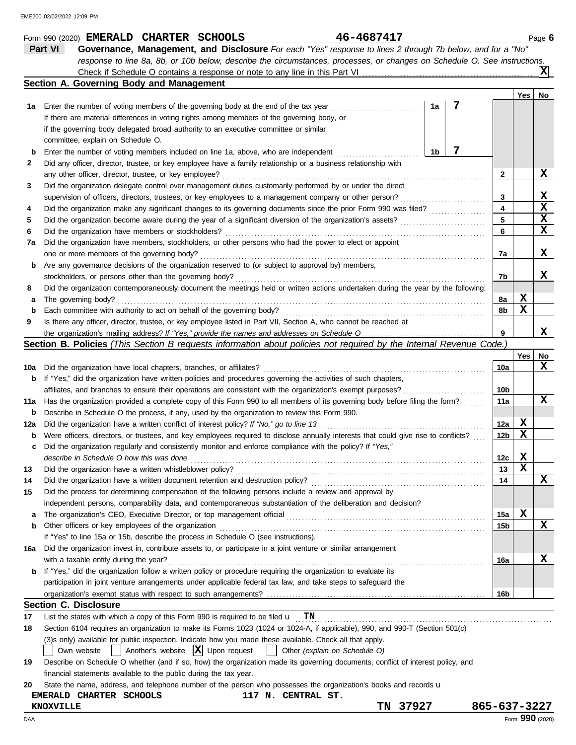|     | 46-4687417<br>Form 990 (2020) EMERALD CHARTER SCHOOLS                                                                                                                                                               |    |   |                 |     | Page 6      |
|-----|---------------------------------------------------------------------------------------------------------------------------------------------------------------------------------------------------------------------|----|---|-----------------|-----|-------------|
|     | Governance, Management, and Disclosure For each "Yes" response to lines 2 through 7b below, and for a "No"<br>Part VI                                                                                               |    |   |                 |     |             |
|     | response to line 8a, 8b, or 10b below, describe the circumstances, processes, or changes on Schedule O. See instructions.                                                                                           |    |   |                 |     |             |
|     |                                                                                                                                                                                                                     |    |   |                 |     |             |
|     | Section A. Governing Body and Management                                                                                                                                                                            |    |   |                 |     |             |
|     |                                                                                                                                                                                                                     |    |   |                 | Yes | No          |
| 1а  | Enter the number of voting members of the governing body at the end of the tax year                                                                                                                                 | 1a | 7 |                 |     |             |
|     | If there are material differences in voting rights among members of the governing body, or                                                                                                                          |    |   |                 |     |             |
|     | if the governing body delegated broad authority to an executive committee or similar                                                                                                                                |    |   |                 |     |             |
|     | committee, explain on Schedule O.                                                                                                                                                                                   |    |   |                 |     |             |
|     | Enter the number of voting members included on line 1a, above, who are independent                                                                                                                                  | 1b | 7 |                 |     |             |
| 2   | Did any officer, director, trustee, or key employee have a family relationship or a business relationship with                                                                                                      |    |   |                 |     |             |
|     | any other officer, director, trustee, or key employee?                                                                                                                                                              |    |   | 2               |     | x           |
| З   | Did the organization delegate control over management duties customarily performed by or under the direct                                                                                                           |    |   |                 |     |             |
|     | supervision of officers, directors, trustees, or key employees to a management company or other person?                                                                                                             |    |   | 3               |     | X           |
| 4   | Did the organization make any significant changes to its governing documents since the prior Form 990 was filed?                                                                                                    |    |   | 4               |     | $\mathbf x$ |
| 5   | Did the organization become aware during the year of a significant diversion of the organization's assets?                                                                                                          |    |   | 5               |     | X           |
| 6   | Did the organization have members or stockholders?<br>.                                                                                                                                                             |    |   | 6               |     | x           |
| 7a  | Did the organization have members, stockholders, or other persons who had the power to elect or appoint                                                                                                             |    |   |                 |     |             |
|     | one or more members of the governing body?                                                                                                                                                                          |    |   | 7a              |     | x           |
| b   | Are any governance decisions of the organization reserved to (or subject to approval by) members,                                                                                                                   |    |   |                 |     |             |
|     | stockholders, or persons other than the governing body?                                                                                                                                                             |    |   | 7b              |     | X.          |
| 8   | Did the organization contemporaneously document the meetings held or written actions undertaken during the year by the following:                                                                                   |    |   |                 |     |             |
| а   | The governing body?                                                                                                                                                                                                 |    |   | 8a              | х   |             |
| b   | Each committee with authority to act on behalf of the governing body?                                                                                                                                               |    |   | 8b              | X   |             |
| 9   | Is there any officer, director, trustee, or key employee listed in Part VII, Section A, who cannot be reached at                                                                                                    |    |   |                 |     |             |
|     |                                                                                                                                                                                                                     |    |   | 9               |     | x           |
|     | the organization's mailing address? If "Yes," provide the names and addresses on Schedule O.<br>Section B. Policies (This Section B requests information about policies not required by the Internal Revenue Code.) |    |   |                 |     |             |
|     |                                                                                                                                                                                                                     |    |   |                 | Yes | No          |
|     |                                                                                                                                                                                                                     |    |   | 10a             |     | X           |
| 10a | Did the organization have local chapters, branches, or affiliates?                                                                                                                                                  |    |   |                 |     |             |
| b   | If "Yes," did the organization have written policies and procedures governing the activities of such chapters,                                                                                                      |    |   |                 |     |             |
|     | affiliates, and branches to ensure their operations are consistent with the organization's exempt purposes?                                                                                                         |    |   | 10b             |     | $\mathbf x$ |
| 11a | Has the organization provided a complete copy of this Form 990 to all members of its governing body before filing the form?                                                                                         |    |   | 11a             |     |             |
| b   | Describe in Schedule O the process, if any, used by the organization to review this Form 990.                                                                                                                       |    |   |                 |     |             |
| 12a | Did the organization have a written conflict of interest policy? If "No," go to line 13                                                                                                                             |    |   | 12a             | X   |             |
| b   | Were officers, directors, or trustees, and key employees required to disclose annually interests that could give rise to conflicts?                                                                                 |    |   | 12 <sub>b</sub> | X   |             |
| с   | Did the organization regularly and consistently monitor and enforce compliance with the policy? If "Yes,"                                                                                                           |    |   |                 |     |             |
|     | describe in Schedule O how this was done                                                                                                                                                                            |    |   | 12c             | X   |             |
| 13  | Did the organization have a written whistleblower policy?                                                                                                                                                           |    |   | 13              | X   |             |
| 14  | Did the organization have a written document retention and destruction policy?                                                                                                                                      |    |   | 14              |     | X           |
| 15  | Did the process for determining compensation of the following persons include a review and approval by                                                                                                              |    |   |                 |     |             |
|     | independent persons, comparability data, and contemporaneous substantiation of the deliberation and decision?                                                                                                       |    |   |                 |     |             |
| a   | The organization's CEO, Executive Director, or top management official                                                                                                                                              |    |   | 15a             | x   |             |
| b   | Other officers or key employees of the organization                                                                                                                                                                 |    |   | 15b             |     | x           |
|     | If "Yes" to line 15a or 15b, describe the process in Schedule O (see instructions).                                                                                                                                 |    |   |                 |     |             |
| 16a | Did the organization invest in, contribute assets to, or participate in a joint venture or similar arrangement                                                                                                      |    |   |                 |     |             |
|     | with a taxable entity during the year?                                                                                                                                                                              |    |   | 16a             |     | X           |
| b   | If "Yes," did the organization follow a written policy or procedure requiring the organization to evaluate its                                                                                                      |    |   |                 |     |             |
|     | participation in joint venture arrangements under applicable federal tax law, and take steps to safeguard the                                                                                                       |    |   |                 |     |             |
|     |                                                                                                                                                                                                                     |    |   | 16b             |     |             |
|     | <b>Section C. Disclosure</b>                                                                                                                                                                                        |    |   |                 |     |             |
| 17  | List the states with which a copy of this Form 990 is required to be filed $U$ TN                                                                                                                                   |    |   |                 |     |             |
| 18  | Section 6104 requires an organization to make its Forms 1023 (1024 or 1024-A, if applicable), 990, and 990-T (Section 501(c)                                                                                        |    |   |                 |     |             |
|     | (3) sonly) available for public inspection. Indicate how you made these available. Check all that apply.                                                                                                            |    |   |                 |     |             |
|     | Another's website $ \mathbf{X} $ Upon request<br>Own website<br>Other (explain on Schedule O)                                                                                                                       |    |   |                 |     |             |
| 19  | Describe on Schedule O whether (and if so, how) the organization made its governing documents, conflict of interest policy, and                                                                                     |    |   |                 |     |             |
|     | financial statements available to the public during the tax year.                                                                                                                                                   |    |   |                 |     |             |
| 20  | State the name, address, and telephone number of the person who possesses the organization's books and records u                                                                                                    |    |   |                 |     |             |
|     | 117 N. CENTRAL ST.<br>EMERALD CHARTER SCHOOLS                                                                                                                                                                       |    |   |                 |     |             |
|     | TN 37927<br><b>KNOXVILLE</b>                                                                                                                                                                                        |    |   | 865-637-3227    |     |             |
|     |                                                                                                                                                                                                                     |    |   |                 |     |             |

DAA Form **990** (2020)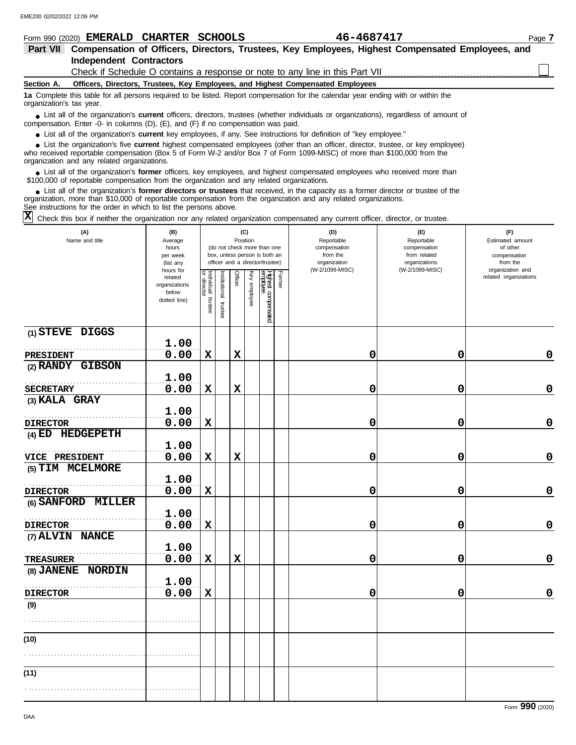|                                                                              | Form 990 (2020) <b>EMERALD CHARTER</b>                                                           |  | <b>SCHOOLS</b>                                                                            | 46-4687417                                                                                                                                                                                                                                                  | Page 7 |  |  |  |  |  |  |  |  |
|------------------------------------------------------------------------------|--------------------------------------------------------------------------------------------------|--|-------------------------------------------------------------------------------------------|-------------------------------------------------------------------------------------------------------------------------------------------------------------------------------------------------------------------------------------------------------------|--------|--|--|--|--|--|--|--|--|
| <b>Part VII</b>                                                              | Compensation of Officers, Directors, Trustees, Key Employees, Highest Compensated Employees, and |  |                                                                                           |                                                                                                                                                                                                                                                             |        |  |  |  |  |  |  |  |  |
|                                                                              | Independent Contractors                                                                          |  |                                                                                           |                                                                                                                                                                                                                                                             |        |  |  |  |  |  |  |  |  |
| Check if Schedule O contains a response or note to any line in this Part VII |                                                                                                  |  |                                                                                           |                                                                                                                                                                                                                                                             |        |  |  |  |  |  |  |  |  |
| Section A.                                                                   |                                                                                                  |  |                                                                                           | Officers, Directors, Trustees, Key Employees, and Highest Compensated Employees                                                                                                                                                                             |        |  |  |  |  |  |  |  |  |
| organization's tax year.                                                     |                                                                                                  |  |                                                                                           | 1a Complete this table for all persons required to be listed. Report compensation for the calendar year ending with or within the                                                                                                                           |        |  |  |  |  |  |  |  |  |
|                                                                              |                                                                                                  |  | compensation. Enter -0- in columns $(D)$ , $(E)$ , and $(F)$ if no compensation was paid. | List all of the organization's <b>current</b> officers, directors, trustees (whether individuals or organizations), regardless of amount of                                                                                                                 |        |  |  |  |  |  |  |  |  |
|                                                                              |                                                                                                  |  |                                                                                           | • List all of the organization's current key employees, if any. See instructions for definition of "key employee."                                                                                                                                          |        |  |  |  |  |  |  |  |  |
|                                                                              |                                                                                                  |  |                                                                                           | • List the organization's five current highest compensated employees (other than an officer, director, trustee, or key employee)<br>who received reportable componention (Rev 5 of Ferm W 2 and/or Rev 7 of Ferm 1000 MISC) of more than \$100,000 from the |        |  |  |  |  |  |  |  |  |

who received reportable compensation (Box 5 of Form W-2 and/or Box 7 of Form 1099-MISC) of more than \$100,000 from the organization and any related organizations.

■ List all of the organization's **former** officers, key employees, and highest compensated employees who received more than<br>00,000 of reportable compensation from the organization and any related organizations \$100,000 of reportable compensation from the organization and any related organizations.

List all of the organization's **former directors or trustees** that received, in the capacity as a former director or trustee of the organization, more than \$10,000 of reportable compensation from the organization and any related organizations. See instructions for the order in which to list the persons above. **•**

Check this box if neither the organization nor any related organization compensated any current officer, director, or trustee. **X**

| (A)<br>Name and title | (B)<br>Average<br>hours<br>per week<br>(list any<br>hours for |                                   |                       |             | (C)<br>Position | (do not check more than one<br>box, unless person is both an<br>officer and a director/trustee) |        | (D)<br>Reportable<br>compensation<br>from the<br>organization<br>(W-2/1099-MISC) | (E)<br>Reportable<br>compensation<br>from related<br>organizations<br>(W-2/1099-MISC) | (F)<br>Estimated amount<br>of other<br>compensation<br>from the<br>organization and |
|-----------------------|---------------------------------------------------------------|-----------------------------------|-----------------------|-------------|-----------------|-------------------------------------------------------------------------------------------------|--------|----------------------------------------------------------------------------------|---------------------------------------------------------------------------------------|-------------------------------------------------------------------------------------|
|                       | related<br>organizations<br>below<br>dotted line)             | Individual trustee<br>or director | Institutional trustee | Officer     | Key employee    | Highest compensated<br>empbyee                                                                  | Former |                                                                                  |                                                                                       | related organizations                                                               |
| (1) STEVE DIGGS       | 1.00                                                          |                                   |                       |             |                 |                                                                                                 |        |                                                                                  |                                                                                       |                                                                                     |
| PRESIDENT             | 0.00                                                          | $\mathbf x$                       |                       | $\mathbf x$ |                 |                                                                                                 |        | 0                                                                                | 0                                                                                     | $\mathbf 0$                                                                         |
| (2) RANDY GIBSON      | 1.00                                                          |                                   |                       |             |                 |                                                                                                 |        |                                                                                  |                                                                                       |                                                                                     |
| <b>SECRETARY</b>      | 0.00                                                          | $\mathbf x$                       |                       | $\mathbf x$ |                 |                                                                                                 |        | 0                                                                                | 0                                                                                     | $\mathbf 0$                                                                         |
| (3) KALA GRAY         |                                                               |                                   |                       |             |                 |                                                                                                 |        |                                                                                  |                                                                                       |                                                                                     |
|                       | 1.00                                                          |                                   |                       |             |                 |                                                                                                 |        |                                                                                  |                                                                                       |                                                                                     |
| <b>DIRECTOR</b>       | 0.00                                                          | $\mathbf x$                       |                       |             |                 |                                                                                                 |        | 0                                                                                | 0                                                                                     | $\mathbf 0$                                                                         |
| (4) ED HEDGEPETH      |                                                               |                                   |                       |             |                 |                                                                                                 |        |                                                                                  |                                                                                       |                                                                                     |
|                       | 1.00                                                          |                                   |                       |             |                 |                                                                                                 |        |                                                                                  |                                                                                       |                                                                                     |
| VICE PRESIDENT        | 0.00                                                          | $\mathbf x$                       |                       | $\mathbf x$ |                 |                                                                                                 |        | 0                                                                                | 0                                                                                     | $\mathbf 0$                                                                         |
| (5) TIM MCELMORE      |                                                               |                                   |                       |             |                 |                                                                                                 |        |                                                                                  |                                                                                       |                                                                                     |
|                       | 1.00                                                          |                                   |                       |             |                 |                                                                                                 |        |                                                                                  |                                                                                       |                                                                                     |
| <b>DIRECTOR</b>       | 0.00                                                          | $\mathbf x$                       |                       |             |                 |                                                                                                 |        | 0                                                                                | 0                                                                                     | $\mathbf 0$                                                                         |
| (6) SANFORD MILLER    |                                                               |                                   |                       |             |                 |                                                                                                 |        |                                                                                  |                                                                                       |                                                                                     |
|                       | 1.00                                                          |                                   |                       |             |                 |                                                                                                 |        |                                                                                  |                                                                                       |                                                                                     |
| <b>DIRECTOR</b>       | 0.00                                                          | X                                 |                       |             |                 |                                                                                                 |        | 0                                                                                | 0                                                                                     | $\pmb{0}$                                                                           |
| (7) ALVIN NANCE       |                                                               |                                   |                       |             |                 |                                                                                                 |        |                                                                                  |                                                                                       |                                                                                     |
|                       | 1.00                                                          |                                   |                       |             |                 |                                                                                                 |        |                                                                                  |                                                                                       |                                                                                     |
| <b>TREASURER</b>      | 0.00                                                          | $\mathbf x$                       |                       | $\mathbf x$ |                 |                                                                                                 |        | 0                                                                                | 0                                                                                     | $\mathbf 0$                                                                         |
| (8) JANENE NORDIN     |                                                               |                                   |                       |             |                 |                                                                                                 |        |                                                                                  |                                                                                       |                                                                                     |
|                       | 1.00                                                          |                                   |                       |             |                 |                                                                                                 |        |                                                                                  |                                                                                       |                                                                                     |
| <b>DIRECTOR</b>       | 0.00                                                          | X                                 |                       |             |                 |                                                                                                 |        | 0                                                                                | 0                                                                                     | $\mathbf 0$                                                                         |
| (9)                   |                                                               |                                   |                       |             |                 |                                                                                                 |        |                                                                                  |                                                                                       |                                                                                     |
|                       |                                                               |                                   |                       |             |                 |                                                                                                 |        |                                                                                  |                                                                                       |                                                                                     |
| (10)                  |                                                               |                                   |                       |             |                 |                                                                                                 |        |                                                                                  |                                                                                       |                                                                                     |
|                       |                                                               |                                   |                       |             |                 |                                                                                                 |        |                                                                                  |                                                                                       |                                                                                     |
|                       |                                                               |                                   |                       |             |                 |                                                                                                 |        |                                                                                  |                                                                                       |                                                                                     |
| (11)                  |                                                               |                                   |                       |             |                 |                                                                                                 |        |                                                                                  |                                                                                       |                                                                                     |
|                       |                                                               |                                   |                       |             |                 |                                                                                                 |        |                                                                                  |                                                                                       |                                                                                     |

Form **990** (2020)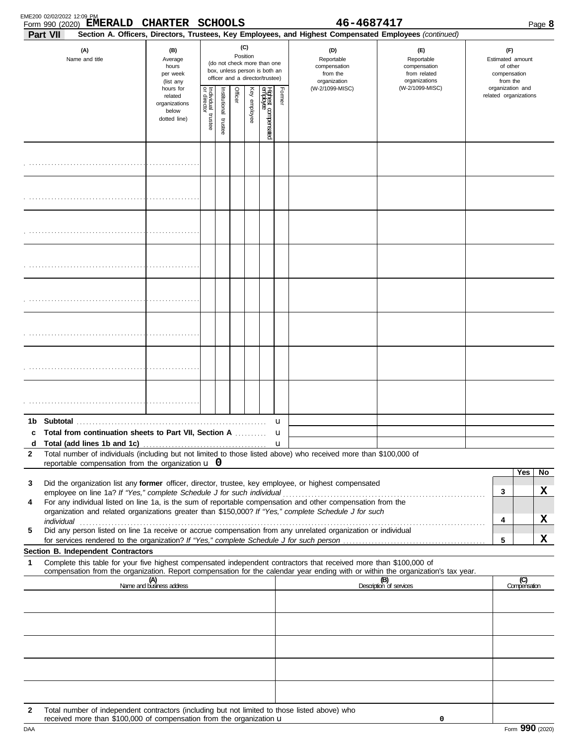|                                                                           | EME200 02/02/2022 12:09 PM<br>Form 990 (2020) EMERALD CHARTER SCHOOLS<br>Part VII |  |                                                                        |                           |                          |         |                 |                                                                                                 |        | 46-4687417<br>Section A. Officers, Directors, Trustees, Key Employees, and Highest Compensated Employees (continued)                                                                                                 |                                                                    | Page 8                                                          |
|---------------------------------------------------------------------------|-----------------------------------------------------------------------------------|--|------------------------------------------------------------------------|---------------------------|--------------------------|---------|-----------------|-------------------------------------------------------------------------------------------------|--------|----------------------------------------------------------------------------------------------------------------------------------------------------------------------------------------------------------------------|--------------------------------------------------------------------|-----------------------------------------------------------------|
| (A)<br>(B)<br>Name and title<br>Average<br>hours<br>per week<br>(list any |                                                                                   |  |                                                                        |                           |                          |         | (C)<br>Position | (do not check more than one<br>box, unless person is both an<br>officer and a director/trustee) |        | (D)<br>Reportable<br>compensation<br>from the<br>organization                                                                                                                                                        | (E)<br>Reportable<br>compensation<br>from related<br>organizations | (F)<br>Estimated amount<br>of other<br>compensation<br>from the |
|                                                                           |                                                                                   |  | hours for<br>related<br>organizations<br>below<br>dotted line)         | Individual 1<br>I trustee | Institutional<br>trustee | Officer | Key employee    | Highest compensated<br>employee                                                                 | Former | (W-2/1099-MISC)                                                                                                                                                                                                      | (W-2/1099-MISC)                                                    | organization and<br>related organizations                       |
|                                                                           |                                                                                   |  |                                                                        |                           |                          |         |                 |                                                                                                 |        |                                                                                                                                                                                                                      |                                                                    |                                                                 |
|                                                                           |                                                                                   |  |                                                                        |                           |                          |         |                 |                                                                                                 |        |                                                                                                                                                                                                                      |                                                                    |                                                                 |
|                                                                           |                                                                                   |  |                                                                        |                           |                          |         |                 |                                                                                                 |        |                                                                                                                                                                                                                      |                                                                    |                                                                 |
|                                                                           |                                                                                   |  |                                                                        |                           |                          |         |                 |                                                                                                 |        |                                                                                                                                                                                                                      |                                                                    |                                                                 |
|                                                                           |                                                                                   |  |                                                                        |                           |                          |         |                 |                                                                                                 |        |                                                                                                                                                                                                                      |                                                                    |                                                                 |
|                                                                           |                                                                                   |  |                                                                        |                           |                          |         |                 |                                                                                                 |        |                                                                                                                                                                                                                      |                                                                    |                                                                 |
|                                                                           |                                                                                   |  |                                                                        |                           |                          |         |                 |                                                                                                 |        |                                                                                                                                                                                                                      |                                                                    |                                                                 |
|                                                                           |                                                                                   |  |                                                                        |                           |                          |         |                 |                                                                                                 |        |                                                                                                                                                                                                                      |                                                                    |                                                                 |
|                                                                           | c Total from continuation sheets to Part VII. Section A                           |  |                                                                        |                           |                          |         |                 |                                                                                                 | u<br>u |                                                                                                                                                                                                                      |                                                                    |                                                                 |
| d                                                                         |                                                                                   |  |                                                                        |                           |                          |         |                 |                                                                                                 | u      |                                                                                                                                                                                                                      |                                                                    |                                                                 |
| $\mathbf{2}$                                                              |                                                                                   |  | reportable compensation from the organization $\mathbf u$ 0            |                           |                          |         |                 |                                                                                                 |        | Total number of individuals (including but not limited to those listed above) who received more than \$100,000 of                                                                                                    |                                                                    |                                                                 |
|                                                                           |                                                                                   |  |                                                                        |                           |                          |         |                 |                                                                                                 |        |                                                                                                                                                                                                                      |                                                                    | Yes<br>No                                                       |
| 3                                                                         |                                                                                   |  | employee on line 1a? If "Yes," complete Schedule J for such individual |                           |                          |         |                 |                                                                                                 |        | Did the organization list any former officer, director, trustee, key employee, or highest compensated                                                                                                                |                                                                    | X<br>3                                                          |
| 4                                                                         |                                                                                   |  |                                                                        |                           |                          |         |                 |                                                                                                 |        | For any individual listed on line 1a, is the sum of reportable compensation and other compensation from the<br>organization and related organizations greater than \$150,000? If "Yes," complete Schedule J for such |                                                                    |                                                                 |
| 5                                                                         | individual                                                                        |  |                                                                        |                           |                          |         |                 |                                                                                                 |        | Did any person listed on line 1a receive or accrue compensation from any unrelated organization or individual                                                                                                        |                                                                    | X<br>4                                                          |
|                                                                           | Section B. Independent Contractors                                                |  |                                                                        |                           |                          |         |                 |                                                                                                 |        |                                                                                                                                                                                                                      |                                                                    | X<br>5                                                          |
| 1                                                                         |                                                                                   |  |                                                                        |                           |                          |         |                 |                                                                                                 |        | Complete this table for your five highest compensated independent contractors that received more than \$100,000 of                                                                                                   |                                                                    |                                                                 |
|                                                                           |                                                                                   |  | (A)<br>Name and business address                                       |                           |                          |         |                 |                                                                                                 |        | compensation from the organization. Report compensation for the calendar year ending with or within the organization's tax year.                                                                                     | (B)<br>Description of services                                     | (C)<br>Compensation                                             |
|                                                                           |                                                                                   |  |                                                                        |                           |                          |         |                 |                                                                                                 |        |                                                                                                                                                                                                                      |                                                                    |                                                                 |
|                                                                           |                                                                                   |  |                                                                        |                           |                          |         |                 |                                                                                                 |        |                                                                                                                                                                                                                      |                                                                    |                                                                 |
|                                                                           |                                                                                   |  |                                                                        |                           |                          |         |                 |                                                                                                 |        |                                                                                                                                                                                                                      |                                                                    |                                                                 |
|                                                                           |                                                                                   |  |                                                                        |                           |                          |         |                 |                                                                                                 |        |                                                                                                                                                                                                                      |                                                                    |                                                                 |
|                                                                           |                                                                                   |  |                                                                        |                           |                          |         |                 |                                                                                                 |        |                                                                                                                                                                                                                      |                                                                    |                                                                 |
|                                                                           |                                                                                   |  |                                                                        |                           |                          |         |                 |                                                                                                 |        |                                                                                                                                                                                                                      |                                                                    |                                                                 |
| $\mathbf{2}$                                                              |                                                                                   |  |                                                                        |                           |                          |         |                 |                                                                                                 |        | Total number of independent contractors (including but not limited to those listed above) who                                                                                                                        |                                                                    |                                                                 |

received more than \$100,000 of compensation from the organization u

**0**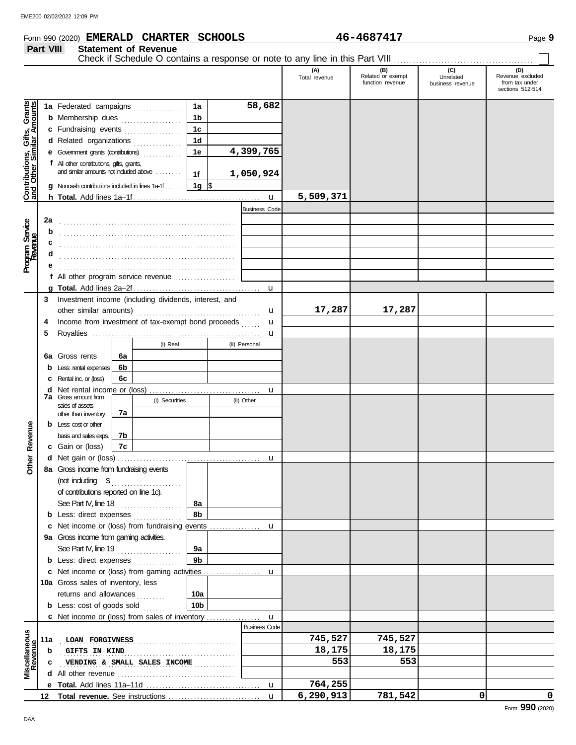### Form 990 (2020) Page **9 EMERALD CHARTER SCHOOLS 46-4687417 Part VIII Statement of Revenue**

|  | 46-4687417 |  |
|--|------------|--|
|  |            |  |

#### Check if Schedule O contains a response or note to any line in this Part VIII ............................ **(A) (B) (C) C**<br>Total revenue **Related or exempt Unrelated** Total revenue and Related or exempt Unrelated Revenue excluded<br>
function revenue business revenue from tax under sections 512-514 Gifts, Grants<br>ilar Amounts **Contributions, Gifts, Grants and Other Similar Amounts 58,682 1a 1a** Federated campaigns **.............**.. **1b b** Membership dues . . . . . . . . . . . . . . . . **1c c** Fundraising events **. . . . . . . . . . . . . .** . . **1d d** Related organizations . . . . . . . . . . . . . **Contributions, (**<br>and Other Simi **1e 4,399,765 e** Government grants (contributions) . . . . . . . . . . . . **f** All other contributions, gifts, grants, and similar amounts not included above . . . . . . . . **1,050,924 1f 1g g** Noncash contributions included in lines 1a-1f . . . . .  $\frac{1}{2}$ **5,509,371** u **h Total.** Add lines 1a–1f . . . . . . . . . . . . . . . . . . . . . . . . . . . . . . . . . . . . . . . . Business Code **2a Program Service Program Service** . . . . . . . . . . . . . . . . . . . . . . . . . . . . . . . . . . . . . . . . . . . . . . . . . . . . . . . **b** . . . . . . . . . . . . . . . . . . . . . . . . . . . . . . . . . . . . . . . . . . . . . . . . . . . . . . . **c** . . . . . . . . . . . . . . . . . . . . . . . . . . . . . . . . . . . . . . . . . . . . . . . . . . . . . . . **d e** . . . . . . . . . . . . . . . . . . . . . . . . . . . . . . . . . . . . . . . . . . . . . . . . . . . . . . . **f** All other program service revenue . . . . . . . . . . . . . . . . . . . **g Total.** Add lines 2a–2f . . . . . . . . . . . . . . . . . . . . . . . . . . . . . . . . . . . . . . . . u **3** Investment income (including dividends, interest, and other similar amounts) .... **17,287 17,287** u **4** Income from investment of tax-exempt bond proceeds ...... u **5** Royalties ..... u (i) Real (ii) Personal **6a 6a** Gross rents **6b b** Less: rental expenses **c** Rental inc. or (loss) **6c** u **d** Net rental income or (loss) . . . . . . . . . . . . . . . . . . . . . . . . . . . . . . . . . . . **7a** Gross amount from (i) Securities | (ii) Other sales of assets **7a** other than inventory Revenue **Other Revenue b** Less: cost or other basis and sales exps. **7b 7c c** Gain or (loss) **Other d** u Net gain or (loss) . . . . . . . . . . . . . . . . . . . . . . . . . . . . . . . . . . . . . . . . . . . . . **8a** Gross income from fundraising events (not including \$ . . . . . . . . . . . . . . . . . . . . . . of contributions reported on line 1c). See Part IV, line 18 . . . . . . . . . . . . . . . . . . . . **8a 8b b** Less: direct expenses . . . . . . . . . . . . . u **c** Net income or (loss) from fundraising events ............... Gross income from gaming activities. **9a** See Part IV, line 19 . . . . . . . . . . . . . . . . . . . . **9a 9b b** Less: direct expenses ................ Net income or (loss) from gaming activities . . . . . . . . . . . . . . . . . . **c** u 10a Gross sales of inventory, less returns and allowances .......... **10a 10b b** Less: cost of goods sold ....... Net income or (loss) from sales of inventory . . . . . . . . . . . . . . . . . **c** u Business Code **Miscellaneous 11a** . . . . . . . . . . . . . . . . . . . . . . . . . . . . . . . . . . . . . . . . . . . . . . . . . . . . . . . **LOAN FORGIVNESS 745,527 745,527 Revenue b gifts in kind 18,175 18,175 18,175** . . . . . . . . . . . . . . . . . . . . . . . . . . . . . . . . . . . . . . . . . . . . . . . . . . . . . . . **VENDING & SMALL SALES INCOME 553 553 c d** All other revenue . . . . . . . . . . . . . . . . . . . . . . . . . . . . . . . . . . . . . **764,255** Total. Add lines 11a-11d. **e** u u **6,290,913 781,542 0 0 12** Total revenue. See instructions ...................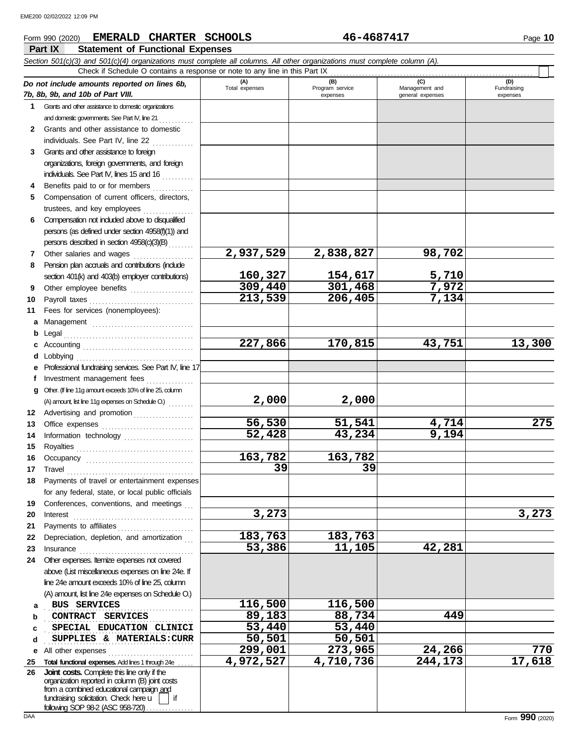#### **Part IX Statement of Functional Expenses Form 990 (2020) EMERALD CHARTER SCHOOLS** 46-4687417 Page 10 *Section 501(c)(3) and 501(c)(4) organizations must complete all columns. All other organizations must complete column (A). Do not include amounts reported on lines 6b, 7b, 8b, 9b, and 10b of Part VIII.* **1 2 3 4 5 6** Compensation not included above to disqualified **7 8 9 10 11 a** Management ................................. **b** Legal **c** Accounting . . . . . . . . . . . . . . . . . . . . . . . . . . . . . . . . . . . **d** Lobbying . . . . . . . . . . . . . . . . . . . . . . . . . . . . . . . . . . . . . **e** Professional fundraising services. See Part IV, line 17 f Investment management fees **. . . . . . . . . . .** . . **g** Other. (If line 11g amount exceeds 10% of line 25, column **12** Advertising and promotion . . . . . . . . . . . . . . . . . **13 14 15 16 17 18 19 20 21 22 23 24** Other expenses. Itemize expenses not covered **a b c d e** All other expenses . . . . . . . . . . . . . . . . . . . . . . . . . . . **25 26** Grants and other assistance to domestic organizations and domestic governments. See Part IV, line 21 . . . . . . . . . . . Grants and other assistance to domestic individuals. See Part IV, line 22 Grants and other assistance to foreign organizations, foreign governments, and foreign individuals. See Part IV, lines 15 and 16 Benefits paid to or for members . . . . . . . . . . . . Compensation of current officers, directors, trustees, and key employees ................ persons (as defined under section 4958(f)(1)) and persons described in section 4958(c)(3)(B) . . . . . . . . Other salaries and wages ................... Pension plan accruals and contributions (include section 401(k) and 403(b) employer contributions) Other employee benefits .................... Payroll taxes . . . . . . . . . . . . . . . . . . . . . . . . . . . . . . . . . Fees for services (nonemployees): . . . . . . . . . . . . . . . . . . . . . . . . . . . . . . . . . . . . . . . . . Office expenses . . . . . . . . . . . . . . . . . . . . . . . . . . . . . Information technology . . . . . . . . . . . . . . . . . . . . . . Royalties . . . . . . . . . . . . . . . . . . . . . . . . . . . . . . . . . . . . . Occupancy . . . . . . . . . . . . . . . . . . . . . . . . . . . . . . . . . . Travel . . . . . . . . . . . . . . . . . . . . . . . . . . . . . . . . . . . . . . . . Payments of travel or entertainment expenses for any federal, state, or local public officials Conferences, conventions, and meetings Interest . . . . . . . . . . . . . . . . . . . . . . . . . . . . . . . . . . . . . . Payments to affiliates . . . . . . . . . . . . . . . . . . . . . . . . Depreciation, depletion, and amortization Insurance . . . . . . . . . . . . . . . . . . . . . . . . . . . . . . . . . . . . above (List miscellaneous expenses on line 24e. If line 24e amount exceeds 10% of line 25, column (A) amount, list line 24e expenses on Schedule O.) **Total functional expenses.** Add lines 1 through 24e **(A) (B) (C) (D)** Total expenses **Program service** Management and expenses and general expenses Fundraising expenses **BUS SERVICES 116,500 116,500 CONTRACT SERVICES 89,183 88,734 449 SPECIAL EDUCATION CLINICI** 53,440 53,440 **SUPPLIES & MATERIALS: CURR 60,501 60,501** 50,501 Check if Schedule O contains a response or note to any line in this Part IX . . . . . . . . . . . . . . . . . . . . . . . . . . . . . . . . . . . . . . . . . . . . . . . . . . . . . . . . . . . . . . . . **Joint costs.** Complete this line only if the (A) amount, list line 11g expenses on Schedule O.)  $\ldots \ldots$ **2,937,529 2,838,827 98,702 160,327 154,617 5,710 309,440 301,468 7,972 213,539 206,405 7,134 227,866 170,815 43,751 13,300 2,000 2,000 56,530 51,541 4,714 275 52,428 43,234 9,194 163,782 163,782 39 39 3,273 3,273 183,763 183,763 53,386 11,105 42,281 299,001 273,965 24,266 770 4,972,527 4,710,736 244,173 17,618**

fundraising solicitation. Check here  $\mathbf{u}$  | if organization reported in column (B) joint costs from a combined educational campaign and

following SOP 98-2 (ASC 958-720)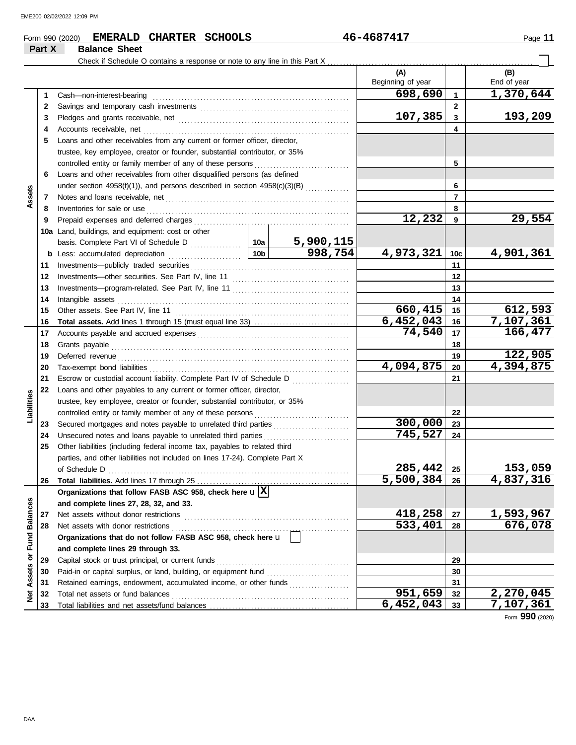|                             |        | EMERALD CHARTER SCHOOLS<br>Form 990 (2020)                                             |                                                                           |           | 46-4687417               |                 | Page 11              |  |  |
|-----------------------------|--------|----------------------------------------------------------------------------------------|---------------------------------------------------------------------------|-----------|--------------------------|-----------------|----------------------|--|--|
|                             | Part X | <b>Balance Sheet</b>                                                                   |                                                                           |           |                          |                 |                      |  |  |
|                             |        | Check if Schedule O contains a response or note to any line in this Part X             |                                                                           |           |                          |                 |                      |  |  |
|                             |        |                                                                                        |                                                                           |           | (A)<br>Beginning of year |                 | (B)<br>End of year   |  |  |
|                             | 1      | Cash-non-interest-bearing                                                              |                                                                           |           | 698,690                  | $\mathbf{1}$    | 1,370,644            |  |  |
|                             | 2      |                                                                                        |                                                                           |           |                          | $\overline{2}$  |                      |  |  |
|                             | 3      |                                                                                        |                                                                           |           | 107,385                  | $\mathbf{3}$    | 193,209              |  |  |
|                             | 4      |                                                                                        |                                                                           |           |                          | 4               |                      |  |  |
|                             | 5      | Loans and other receivables from any current or former officer, director,              |                                                                           |           |                          |                 |                      |  |  |
|                             |        | trustee, key employee, creator or founder, substantial contributor, or 35%             |                                                                           |           |                          |                 |                      |  |  |
|                             |        |                                                                                        |                                                                           |           |                          | 5               |                      |  |  |
|                             | 6      | Loans and other receivables from other disqualified persons (as defined                |                                                                           |           |                          |                 |                      |  |  |
|                             |        |                                                                                        | under section 4958(f)(1)), and persons described in section 4958(c)(3)(B) |           |                          |                 |                      |  |  |
| Assets                      | 7      |                                                                                        |                                                                           |           |                          | $\overline{7}$  |                      |  |  |
|                             | 8      | Inventories for sale or use                                                            |                                                                           |           |                          | 8               |                      |  |  |
|                             | 9      |                                                                                        |                                                                           |           | 12,232                   | 9               | 29,554               |  |  |
|                             |        | 10a Land, buildings, and equipment: cost or other                                      |                                                                           |           |                          |                 |                      |  |  |
|                             |        |                                                                                        |                                                                           | 5,900,115 |                          |                 |                      |  |  |
|                             | b      |                                                                                        |                                                                           | 998,754   | 4,973,321                | 10 <sub>c</sub> | 4,901,361            |  |  |
|                             | 11     |                                                                                        |                                                                           |           |                          | 11              |                      |  |  |
|                             | 12     |                                                                                        |                                                                           |           |                          | 12              |                      |  |  |
|                             | 13     |                                                                                        |                                                                           |           |                          | 13              |                      |  |  |
|                             | 14     |                                                                                        |                                                                           |           |                          | 14              |                      |  |  |
|                             | 15     |                                                                                        |                                                                           |           | 660,415                  | 15              | 612,593              |  |  |
|                             | 16     |                                                                                        |                                                                           |           | 6,452,043                | 16              | 7,107,361            |  |  |
|                             | 17     |                                                                                        | 74,540                                                                    | 17        | 166,477                  |                 |                      |  |  |
|                             | 18     |                                                                                        |                                                                           |           |                          | 18              |                      |  |  |
|                             | 19     |                                                                                        |                                                                           |           |                          | 19              | 122,905              |  |  |
|                             | 20     |                                                                                        |                                                                           |           | 4,094,875                | 20              | 4,394,875            |  |  |
|                             | 21     | Escrow or custodial account liability. Complete Part IV of Schedule D                  |                                                                           |           |                          | 21              |                      |  |  |
|                             | 22     | Loans and other payables to any current or former officer, director,                   |                                                                           |           |                          |                 |                      |  |  |
| Liabilities                 |        | trustee, key employee, creator or founder, substantial contributor, or 35%             |                                                                           |           |                          |                 |                      |  |  |
|                             |        |                                                                                        |                                                                           |           |                          | 22              |                      |  |  |
|                             | 23     | Secured mortgages and notes payable to unrelated third parties                         |                                                                           |           | 300,000                  | 23              |                      |  |  |
|                             | 24     | Unsecured notes and loans payable to unrelated third parties                           |                                                                           |           | 745,527                  | 24              |                      |  |  |
|                             | 25     | Other liabilities (including federal income tax, payables to related third             |                                                                           |           |                          |                 |                      |  |  |
|                             |        | parties, and other liabilities not included on lines 17-24). Complete Part X           |                                                                           |           |                          |                 |                      |  |  |
|                             |        | of Schedule D                                                                          |                                                                           |           | 285,442                  | 25              | 153,059              |  |  |
|                             | 26     |                                                                                        |                                                                           |           | 5,500,384                | 26              | 4,837,316            |  |  |
|                             |        | Organizations that follow FASB ASC 958, check here $\mathbf{u}[\overline{\mathbf{X}}]$ |                                                                           |           |                          |                 |                      |  |  |
|                             |        | and complete lines 27, 28, 32, and 33.                                                 |                                                                           |           | 418,258                  |                 |                      |  |  |
|                             | 27     | Net assets without donor restrictions                                                  |                                                                           |           | 533,401                  | 27<br>28        | 1,593,967<br>676,078 |  |  |
|                             | 28     | Organizations that do not follow FASB ASC 958, check here u                            |                                                                           |           |                          |                 |                      |  |  |
|                             |        |                                                                                        |                                                                           |           |                          |                 |                      |  |  |
| Net Assets or Fund Balances | 29     | and complete lines 29 through 33.                                                      |                                                                           |           |                          |                 |                      |  |  |
|                             | 30     |                                                                                        |                                                                           |           |                          | 29<br>30        |                      |  |  |
|                             | 31     | Retained earnings, endowment, accumulated income, or other funds                       |                                                                           |           |                          | 31              |                      |  |  |
|                             | 32     | Total net assets or fund balances                                                      |                                                                           |           | 951,659                  | 32              | 2,270,045            |  |  |
|                             | 33     |                                                                                        |                                                                           |           | 6,452,043                | 33              | 7,107,361            |  |  |
|                             |        |                                                                                        |                                                                           |           |                          |                 |                      |  |  |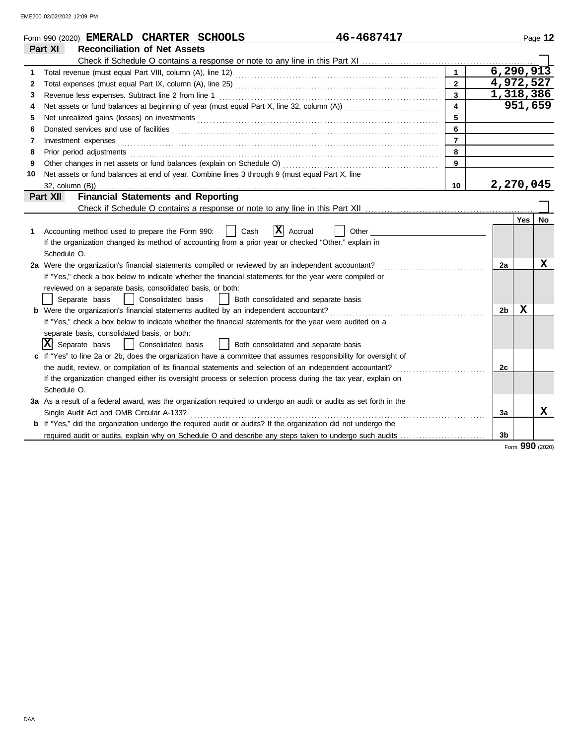|    | 46-4687417<br>Form 990 (2020) EMERALD CHARTER SCHOOLS                                                                                                                                                                          |                         |                        |         | Page 12 |
|----|--------------------------------------------------------------------------------------------------------------------------------------------------------------------------------------------------------------------------------|-------------------------|------------------------|---------|---------|
|    | Part XI<br><b>Reconciliation of Net Assets</b>                                                                                                                                                                                 |                         |                        |         |         |
|    |                                                                                                                                                                                                                                |                         |                        |         |         |
| 1  |                                                                                                                                                                                                                                | $\overline{1}$          | 6, 290, 913            |         |         |
| 2  |                                                                                                                                                                                                                                | $\overline{2}$          | 4,972,527              |         |         |
| 3  | Revenue less expenses. Subtract line 2 from line 1                                                                                                                                                                             | $\overline{3}$          | $\overline{1,318,386}$ |         |         |
| 4  |                                                                                                                                                                                                                                | $\overline{\mathbf{4}}$ |                        | 951,659 |         |
| 5  |                                                                                                                                                                                                                                | 5                       |                        |         |         |
| 6  | Donated services and use of facilities <b>constructs</b> and the service of facilities <b>constructs</b> and use of facilities                                                                                                 | 6                       |                        |         |         |
| 7  |                                                                                                                                                                                                                                | $\overline{7}$          |                        |         |         |
| 8  | Prior period adjustments contains and according to the container and adjustments and an according to the containing of the containing of the containing of the containing of the containing of the containing of the containin | 8                       |                        |         |         |
| 9  |                                                                                                                                                                                                                                | $\mathbf{9}$            |                        |         |         |
| 10 | Net assets or fund balances at end of year. Combine lines 3 through 9 (must equal Part X, line                                                                                                                                 |                         |                        |         |         |
|    | $32$ , column $(B)$ )                                                                                                                                                                                                          | 10                      | 2,270,045              |         |         |
|    | <b>Financial Statements and Reporting</b><br>Part XII                                                                                                                                                                          |                         |                        |         |         |
|    |                                                                                                                                                                                                                                |                         |                        |         |         |
|    |                                                                                                                                                                                                                                |                         |                        | Yes     | No      |
| 1  | x <br>Accounting method used to prepare the Form 990:<br>Cash<br>Accrual<br>Other                                                                                                                                              |                         |                        |         |         |
|    | If the organization changed its method of accounting from a prior year or checked "Other," explain in                                                                                                                          |                         |                        |         |         |
|    | Schedule O.                                                                                                                                                                                                                    |                         |                        |         |         |
|    | 2a Were the organization's financial statements compiled or reviewed by an independent accountant?                                                                                                                             |                         | 2a                     |         | х       |
|    | If "Yes," check a box below to indicate whether the financial statements for the year were compiled or                                                                                                                         |                         |                        |         |         |
|    | reviewed on a separate basis, consolidated basis, or both:                                                                                                                                                                     |                         |                        |         |         |
|    | Both consolidated and separate basis<br>Separate basis<br>Consolidated basis                                                                                                                                                   |                         |                        |         |         |
|    | <b>b</b> Were the organization's financial statements audited by an independent accountant?                                                                                                                                    |                         | 2 <sub>b</sub>         | X       |         |
|    | If "Yes," check a box below to indicate whether the financial statements for the year were audited on a                                                                                                                        |                         |                        |         |         |
|    | separate basis, consolidated basis, or both:                                                                                                                                                                                   |                         |                        |         |         |
|    | $ \mathbf{X} $ Separate basis<br>Consolidated basis<br>  Both consolidated and separate basis                                                                                                                                  |                         |                        |         |         |
|    | If "Yes" to line 2a or 2b, does the organization have a committee that assumes responsibility for oversight of                                                                                                                 |                         |                        |         |         |
|    | the audit, review, or compilation of its financial statements and selection of an independent accountant?                                                                                                                      |                         | 2c                     |         |         |
|    | If the organization changed either its oversight process or selection process during the tax year, explain on                                                                                                                  |                         |                        |         |         |
|    | Schedule O.                                                                                                                                                                                                                    |                         |                        |         |         |
|    | 3a As a result of a federal award, was the organization required to undergo an audit or audits as set forth in the                                                                                                             |                         |                        |         |         |
|    | Single Audit Act and OMB Circular A-133?                                                                                                                                                                                       |                         | За                     |         | x       |
|    | b If "Yes," did the organization undergo the required audit or audits? If the organization did not undergo the                                                                                                                 |                         |                        |         |         |
|    |                                                                                                                                                                                                                                |                         | 3 <sub>b</sub>         |         |         |
|    |                                                                                                                                                                                                                                |                         |                        |         |         |

Form **990** (2020)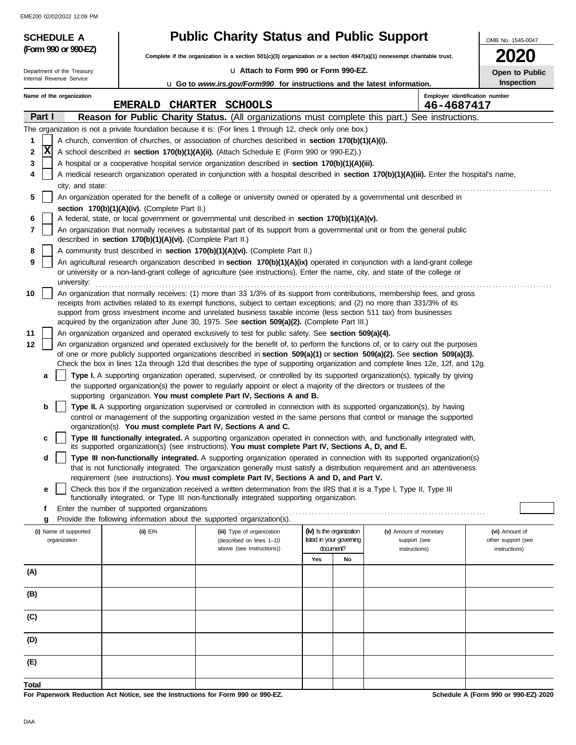**(Form 990 or 990-EZ)**

# **SCHEDULE A Public Charity Status and Public Support**

**Complete if the organization is a section 501(c)(3) organization or a section 4947(a)(1) nonexempt charitable trust.**

u **Attach to Form 990 or Form 990-EZ.**

| 2020           |  |
|----------------|--|
| Open to Public |  |

OMB No. 1545-0047

| Department of the Treasury            |                                                            | La Attach to Form 990 or Form 990-EZ.                                                                                                                                                                                                                                                                                                             | Open to Public                                                    |    |                                                                                                                                                                                                                                                                                                                                                                                                    |                                                       |
|---------------------------------------|------------------------------------------------------------|---------------------------------------------------------------------------------------------------------------------------------------------------------------------------------------------------------------------------------------------------------------------------------------------------------------------------------------------------|-------------------------------------------------------------------|----|----------------------------------------------------------------------------------------------------------------------------------------------------------------------------------------------------------------------------------------------------------------------------------------------------------------------------------------------------------------------------------------------------|-------------------------------------------------------|
| Internal Revenue Service              |                                                            | <b>Let Go to <i>www.irs.gov/Form990</i> for instructions and the latest information.</b>                                                                                                                                                                                                                                                          | <b>Inspection</b>                                                 |    |                                                                                                                                                                                                                                                                                                                                                                                                    |                                                       |
| Name of the organization              | EMERALD                                                    | CHARTER SCHOOLS                                                                                                                                                                                                                                                                                                                                   |                                                                   |    | Employer identification number<br>46-4687417                                                                                                                                                                                                                                                                                                                                                       |                                                       |
| Part I                                |                                                            |                                                                                                                                                                                                                                                                                                                                                   |                                                                   |    | Reason for Public Charity Status. (All organizations must complete this part.) See instructions.                                                                                                                                                                                                                                                                                                   |                                                       |
|                                       |                                                            | The organization is not a private foundation because it is: (For lines 1 through 12, check only one box.)                                                                                                                                                                                                                                         |                                                                   |    |                                                                                                                                                                                                                                                                                                                                                                                                    |                                                       |
| 1                                     |                                                            | A church, convention of churches, or association of churches described in section 170(b)(1)(A)(i).                                                                                                                                                                                                                                                |                                                                   |    |                                                                                                                                                                                                                                                                                                                                                                                                    |                                                       |
| X<br>2                                |                                                            | A school described in section 170(b)(1)(A)(ii). (Attach Schedule E (Form 990 or 990-EZ).)                                                                                                                                                                                                                                                         |                                                                   |    |                                                                                                                                                                                                                                                                                                                                                                                                    |                                                       |
| 3                                     |                                                            | A hospital or a cooperative hospital service organization described in section 170(b)(1)(A)(iii).                                                                                                                                                                                                                                                 |                                                                   |    |                                                                                                                                                                                                                                                                                                                                                                                                    |                                                       |
| 4                                     |                                                            |                                                                                                                                                                                                                                                                                                                                                   |                                                                   |    | A medical research organization operated in conjunction with a hospital described in section 170(b)(1)(A)(iii). Enter the hospital's name,                                                                                                                                                                                                                                                         |                                                       |
| city, and state:<br>5                 |                                                            | An organization operated for the benefit of a college or university owned or operated by a governmental unit described in                                                                                                                                                                                                                         |                                                                   |    |                                                                                                                                                                                                                                                                                                                                                                                                    |                                                       |
| 6                                     | section 170(b)(1)(A)(iv). (Complete Part II.)              | A federal, state, or local government or governmental unit described in section 170(b)(1)(A)(v).                                                                                                                                                                                                                                                  |                                                                   |    |                                                                                                                                                                                                                                                                                                                                                                                                    |                                                       |
| 7                                     | described in section 170(b)(1)(A)(vi). (Complete Part II.) | An organization that normally receives a substantial part of its support from a governmental unit or from the general public                                                                                                                                                                                                                      |                                                                   |    |                                                                                                                                                                                                                                                                                                                                                                                                    |                                                       |
| 8                                     |                                                            | A community trust described in section 170(b)(1)(A)(vi). (Complete Part II.)                                                                                                                                                                                                                                                                      |                                                                   |    |                                                                                                                                                                                                                                                                                                                                                                                                    |                                                       |
| 9<br>university:                      |                                                            | or university or a non-land-grant college of agriculture (see instructions). Enter the name, city, and state of the college or                                                                                                                                                                                                                    |                                                                   |    | An agricultural research organization described in section 170(b)(1)(A)(ix) operated in conjunction with a land-grant college                                                                                                                                                                                                                                                                      |                                                       |
| 10                                    |                                                            | receipts from activities related to its exempt functions, subject to certain exceptions; and (2) no more than 331/3% of its<br>support from gross investment income and unrelated business taxable income (less section 511 tax) from businesses<br>acquired by the organization after June 30, 1975. See section 509(a)(2). (Complete Part III.) |                                                                   |    | An organization that normally receives: (1) more than 33 1/3% of its support from contributions, membership fees, and gross                                                                                                                                                                                                                                                                        |                                                       |
| 11                                    |                                                            | An organization organized and operated exclusively to test for public safety. See section 509(a)(4).                                                                                                                                                                                                                                              |                                                                   |    |                                                                                                                                                                                                                                                                                                                                                                                                    |                                                       |
| 12                                    |                                                            |                                                                                                                                                                                                                                                                                                                                                   |                                                                   |    | An organization organized and operated exclusively for the benefit of, to perform the functions of, or to carry out the purposes<br>of one or more publicly supported organizations described in section 509(a)(1) or section 509(a)(2). See section 509(a)(3).<br>Check the box in lines 12a through 12d that describes the type of supporting organization and complete lines 12e, 12f, and 12g. |                                                       |
| a                                     |                                                            | the supported organization(s) the power to regularly appoint or elect a majority of the directors or trustees of the<br>supporting organization. You must complete Part IV, Sections A and B.                                                                                                                                                     |                                                                   |    | Type I. A supporting organization operated, supervised, or controlled by its supported organization(s), typically by giving                                                                                                                                                                                                                                                                        |                                                       |
| b                                     |                                                            | Type II. A supporting organization supervised or controlled in connection with its supported organization(s), by having<br>organization(s). You must complete Part IV, Sections A and C.                                                                                                                                                          |                                                                   |    | control or management of the supporting organization vested in the same persons that control or manage the supported                                                                                                                                                                                                                                                                               |                                                       |
| c                                     |                                                            | its supported organization(s) (see instructions). You must complete Part IV, Sections A, D, and E.                                                                                                                                                                                                                                                |                                                                   |    | Type III functionally integrated. A supporting organization operated in connection with, and functionally integrated with,                                                                                                                                                                                                                                                                         |                                                       |
| d                                     |                                                            |                                                                                                                                                                                                                                                                                                                                                   |                                                                   |    | Type III non-functionally integrated. A supporting organization operated in connection with its supported organization(s)<br>that is not functionally integrated. The organization generally must satisfy a distribution requirement and an attentiveness                                                                                                                                          |                                                       |
|                                       |                                                            | requirement (see instructions). You must complete Part IV, Sections A and D, and Part V.                                                                                                                                                                                                                                                          |                                                                   |    |                                                                                                                                                                                                                                                                                                                                                                                                    |                                                       |
|                                       |                                                            | Check this box if the organization received a written determination from the IRS that it is a Type I, Type II, Type III<br>functionally integrated, or Type III non-functionally integrated supporting organization.                                                                                                                              |                                                                   |    |                                                                                                                                                                                                                                                                                                                                                                                                    |                                                       |
| f                                     | Enter the number of supported organizations                |                                                                                                                                                                                                                                                                                                                                                   |                                                                   |    |                                                                                                                                                                                                                                                                                                                                                                                                    |                                                       |
| g                                     |                                                            | Provide the following information about the supported organization(s).                                                                                                                                                                                                                                                                            |                                                                   |    |                                                                                                                                                                                                                                                                                                                                                                                                    |                                                       |
| (i) Name of supported<br>organization | (ii) EIN                                                   | (iii) Type of organization<br>(described on lines 1-10<br>above (see instructions))                                                                                                                                                                                                                                                               | (iv) Is the organization<br>listed in your governing<br>document? |    | (v) Amount of monetary<br>support (see<br>instructions)                                                                                                                                                                                                                                                                                                                                            | (vi) Amount of<br>other support (see<br>instructions) |
|                                       |                                                            |                                                                                                                                                                                                                                                                                                                                                   | Yes                                                               | No |                                                                                                                                                                                                                                                                                                                                                                                                    |                                                       |
| (A)                                   |                                                            |                                                                                                                                                                                                                                                                                                                                                   |                                                                   |    |                                                                                                                                                                                                                                                                                                                                                                                                    |                                                       |
| (B)                                   |                                                            |                                                                                                                                                                                                                                                                                                                                                   |                                                                   |    |                                                                                                                                                                                                                                                                                                                                                                                                    |                                                       |
| (C)                                   |                                                            |                                                                                                                                                                                                                                                                                                                                                   |                                                                   |    |                                                                                                                                                                                                                                                                                                                                                                                                    |                                                       |
| (D)                                   |                                                            |                                                                                                                                                                                                                                                                                                                                                   |                                                                   |    |                                                                                                                                                                                                                                                                                                                                                                                                    |                                                       |
| (E)                                   |                                                            |                                                                                                                                                                                                                                                                                                                                                   |                                                                   |    |                                                                                                                                                                                                                                                                                                                                                                                                    |                                                       |
| Total                                 |                                                            |                                                                                                                                                                                                                                                                                                                                                   |                                                                   |    |                                                                                                                                                                                                                                                                                                                                                                                                    |                                                       |

**For Paperwork Reduction Act Notice, see the Instructions for Form 990 or 990-EZ.**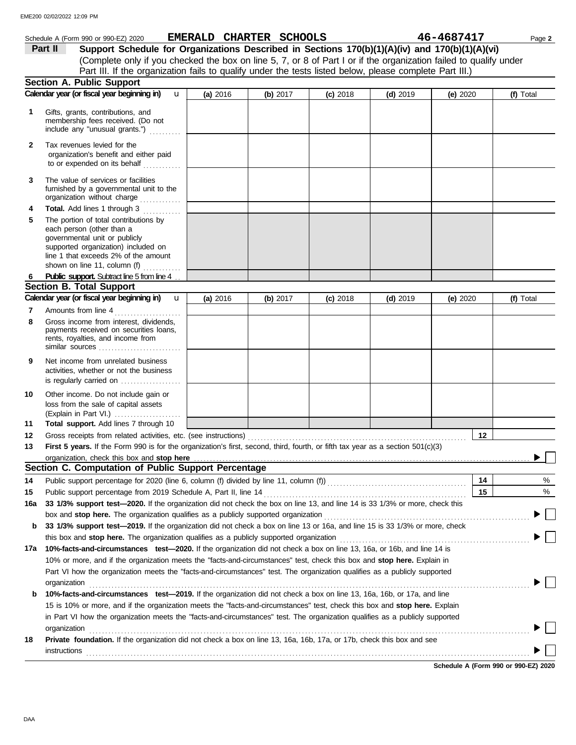|              | EME200 02/02/2022 12:09 PM                                                                                                                                                                                                     |                         |          |            |            |              |    |           |
|--------------|--------------------------------------------------------------------------------------------------------------------------------------------------------------------------------------------------------------------------------|-------------------------|----------|------------|------------|--------------|----|-----------|
|              | Schedule A (Form 990 or 990-EZ) 2020                                                                                                                                                                                           | EMERALD CHARTER SCHOOLS |          |            |            | 46-4687417   |    | Page 2    |
|              | Part II<br>Support Schedule for Organizations Described in Sections 170(b)(1)(A)(iv) and 170(b)(1)(A)(vi)<br>(Complete only if you checked the box on line 5, 7, or 8 of Part I or if the organization failed to qualify under |                         |          |            |            |              |    |           |
|              | Part III. If the organization fails to qualify under the tests listed below, please complete Part III.)                                                                                                                        |                         |          |            |            |              |    |           |
|              | <b>Section A. Public Support</b>                                                                                                                                                                                               |                         |          |            |            |              |    |           |
|              | Calendar year (or fiscal year beginning in)<br>u                                                                                                                                                                               | (a) 2016                | (b) 2017 | $(c)$ 2018 | $(d)$ 2019 | (e) $2020$   |    | (f) Total |
| 1            | Gifts, grants, contributions, and<br>membership fees received. (Do not<br>include any "unusual grants.")                                                                                                                       |                         |          |            |            |              |    |           |
| $\mathbf{2}$ | Tax revenues levied for the<br>organization's benefit and either paid<br>to or expended on its behalf                                                                                                                          |                         |          |            |            |              |    |           |
| 3            | The value of services or facilities<br>furnished by a governmental unit to the<br>organization without charge                                                                                                                  |                         |          |            |            |              |    |           |
| 4            | Total. Add lines 1 through 3                                                                                                                                                                                                   |                         |          |            |            |              |    |           |
| 5            | The portion of total contributions by<br>each person (other than a<br>governmental unit or publicly<br>supported organization) included on<br>line 1 that exceeds 2% of the amount<br>shown on line 11, column (f)<br>.        |                         |          |            |            |              |    |           |
| 6            | <b>Public support.</b> Subtract line 5 from line 4                                                                                                                                                                             |                         |          |            |            |              |    |           |
|              | <b>Section B. Total Support</b>                                                                                                                                                                                                |                         |          |            |            |              |    |           |
|              | Calendar year (or fiscal year beginning in)<br>u                                                                                                                                                                               | (a) 2016                | (b) 2017 | $(c)$ 2018 | $(d)$ 2019 | (e) 2020     |    | (f) Total |
| 7            | Amounts from line 4                                                                                                                                                                                                            |                         |          |            |            |              |    |           |
| 8            | Gross income from interest, dividends,<br>payments received on securities loans,<br>rents, royalties, and income from<br>similar sources                                                                                       |                         |          |            |            |              |    |           |
| 9            | Net income from unrelated business<br>activities, whether or not the business<br>is regularly carried on                                                                                                                       |                         |          |            |            |              |    |           |
| 10           | Other income. Do not include gain or<br>loss from the sale of capital assets<br>(Explain in Part VI.)                                                                                                                          |                         |          |            |            |              |    |           |
| 11           | Total support. Add lines 7 through 10                                                                                                                                                                                          |                         |          |            |            |              |    |           |
| 12           |                                                                                                                                                                                                                                |                         |          |            |            | <u> 12  </u> |    |           |
| 13           | First 5 years. If the Form 990 is for the organization's first, second, third, fourth, or fifth tax year as a section 501(c)(3)                                                                                                |                         |          |            |            |              |    |           |
|              | organization, check this box and stop here                                                                                                                                                                                     |                         |          |            |            |              |    |           |
|              | Section C. Computation of Public Support Percentage                                                                                                                                                                            |                         |          |            |            |              |    |           |
| 14           |                                                                                                                                                                                                                                |                         |          |            |            |              | 14 | $\%$      |
| 15           | 33 1/3% support test-2020. If the organization did not check the box on line 13, and line 14 is 33 1/3% or more, check this                                                                                                    |                         |          |            |            |              | 15 | %         |
| 16a          | box and stop here. The organization qualifies as a publicly supported organization                                                                                                                                             |                         |          |            |            |              |    |           |
| b            | 33 1/3% support test-2019. If the organization did not check a box on line 13 or 16a, and line 15 is 33 1/3% or more, check                                                                                                    |                         |          |            |            |              |    |           |
|              |                                                                                                                                                                                                                                |                         |          |            |            |              |    |           |
| 17a          | 10%-facts-and-circumstances test-2020. If the organization did not check a box on line 13, 16a, or 16b, and line 14 is                                                                                                         |                         |          |            |            |              |    |           |
|              | 10% or more, and if the organization meets the "facts-and-circumstances" test, check this box and stop here. Explain in                                                                                                        |                         |          |            |            |              |    |           |
|              | Part VI how the organization meets the "facts-and-circumstances" test. The organization qualifies as a publicly supported<br>organization                                                                                      |                         |          |            |            |              |    |           |
| b            | 10%-facts-and-circumstances test-2019. If the organization did not check a box on line 13, 16a, 16b, or 17a, and line                                                                                                          |                         |          |            |            |              |    |           |
|              | 15 is 10% or more, and if the organization meets the "facts-and-circumstances" test, check this box and stop here. Explain                                                                                                     |                         |          |            |            |              |    |           |
|              | in Part VI how the organization meets the "facts-and-circumstances" test. The organization qualifies as a publicly supported<br>organization                                                                                   |                         |          |            |            |              |    |           |
| 18           | Private foundation. If the organization did not check a box on line 13, 16a, 16b, 17a, or 17b, check this box and see<br>instructions                                                                                          |                         |          |            |            |              |    |           |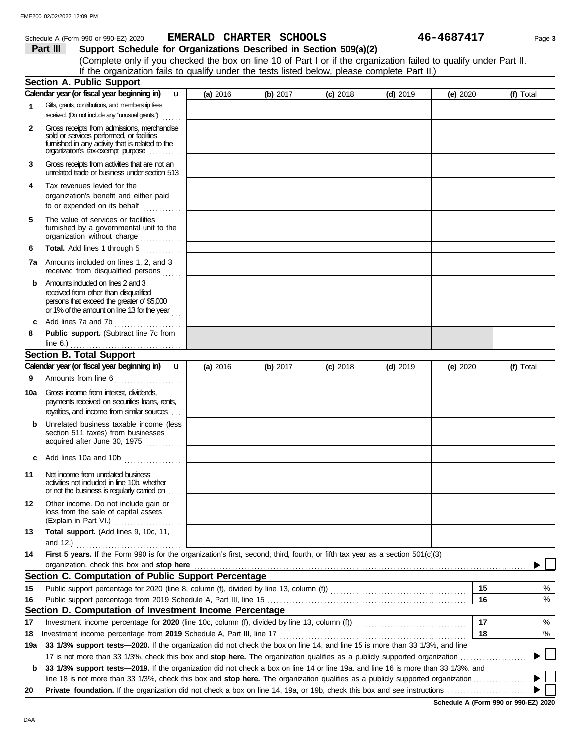|     | Schedule A (Form 990 or 990-EZ) 2020                                                                                                                                              | EMERALD CHARTER SCHOOLS |          |            |            | 46-4687417 | Page 3    |
|-----|-----------------------------------------------------------------------------------------------------------------------------------------------------------------------------------|-------------------------|----------|------------|------------|------------|-----------|
|     | Part III<br>Support Schedule for Organizations Described in Section 509(a)(2)                                                                                                     |                         |          |            |            |            |           |
|     | (Complete only if you checked the box on line 10 of Part I or if the organization failed to qualify under Part II.                                                                |                         |          |            |            |            |           |
|     | If the organization fails to qualify under the tests listed below, please complete Part II.)                                                                                      |                         |          |            |            |            |           |
|     | <b>Section A. Public Support</b>                                                                                                                                                  |                         |          |            |            |            |           |
|     | Calendar year (or fiscal year beginning in)<br>$\mathbf{u}$                                                                                                                       | (a) 2016                | (b) 2017 | $(c)$ 2018 | $(d)$ 2019 | (e) 2020   | (f) Total |
| 1   | Gifts, grants, contributions, and membership fees                                                                                                                                 |                         |          |            |            |            |           |
|     | received. (Do not include any "unusual grants.")                                                                                                                                  |                         |          |            |            |            |           |
| 2   | Gross receipts from admissions, merchandise<br>sold or services performed, or facilities<br>furnished in any activity that is related to the<br>organization's tax-exempt purpose |                         |          |            |            |            |           |
| 3   | Gross receipts from activities that are not an<br>unrelated trade or business under section 513                                                                                   |                         |          |            |            |            |           |
| 4   | Tax revenues levied for the<br>organization's benefit and either paid<br>to or expended on its behalf                                                                             |                         |          |            |            |            |           |
| 5   | The value of services or facilities<br>furnished by a governmental unit to the<br>organization without charge                                                                     |                         |          |            |            |            |           |
| 6   | Total. Add lines 1 through 5                                                                                                                                                      |                         |          |            |            |            |           |
|     | <b>7a</b> Amounts included on lines 1, 2, and 3<br>received from disqualified persons                                                                                             |                         |          |            |            |            |           |
| b   | Amounts included on lines 2 and 3<br>received from other than disqualified<br>persons that exceed the greater of \$5,000<br>or 1% of the amount on line 13 for the year           |                         |          |            |            |            |           |
| c   |                                                                                                                                                                                   |                         |          |            |            |            |           |
| 8   | Public support. (Subtract line 7c from<br>line $6.$ )                                                                                                                             |                         |          |            |            |            |           |
|     | <b>Section B. Total Support</b>                                                                                                                                                   |                         |          |            |            |            |           |
|     | Calendar year (or fiscal year beginning in) u                                                                                                                                     | (a) 2016                | (b) 2017 | $(c)$ 2018 | $(d)$ 2019 | (e) 2020   | (f) Total |
| 9   | Amounts from line 6                                                                                                                                                               |                         |          |            |            |            |           |
| 10a | Gross income from interest, dividends,<br>payments received on securities loans, rents,<br>royalties, and income from similar sources                                             |                         |          |            |            |            |           |
|     | Unrelated business taxable income (less                                                                                                                                           |                         |          |            |            |            |           |
| b   | section 511 taxes) from businesses<br>acquired after June 30, 1975                                                                                                                |                         |          |            |            |            |           |
| с   | Add lines 10a and 10b                                                                                                                                                             |                         |          |            |            |            |           |
| 11  | Net income from unrelated business<br>activities not induded in line 10b, whether<br>or not the business is regularly carried on                                                  |                         |          |            |            |            |           |
| 12  | Other income. Do not include gain or<br>loss from the sale of capital assets                                                                                                      |                         |          |            |            |            |           |
| 13  | Total support. (Add lines 9, 10c, 11,<br>and 12.) $\ldots$                                                                                                                        |                         |          |            |            |            |           |
| 14  | First 5 years. If the Form 990 is for the organization's first, second, third, fourth, or fifth tax year as a section 501(c)(3)<br>organization, check this box and stop here     |                         |          |            |            |            |           |
|     | Section C. Computation of Public Support Percentage                                                                                                                               |                         |          |            |            |            |           |
| 15  |                                                                                                                                                                                   |                         |          |            |            | 15         | %         |
| 16  |                                                                                                                                                                                   |                         |          |            |            | 16         | %         |
|     | Section D. Computation of Investment Income Percentage                                                                                                                            |                         |          |            |            |            |           |
| 17  | Investment income percentage for 2020 (line 10c, column (f), divided by line 13, column (f)) [[[[[[[[[[[[[[[[[                                                                    |                         |          |            |            | 17         | %         |
| 18  |                                                                                                                                                                                   |                         |          |            |            | 18         | %         |
| 19a | 33 1/3% support tests-2020. If the organization did not check the box on line 14, and line 15 is more than 33 1/3%, and line                                                      |                         |          |            |            |            |           |
|     |                                                                                                                                                                                   |                         |          |            |            |            |           |
| b   | 33 1/3% support tests-2019. If the organization did not check a box on line 14 or line 19a, and line 16 is more than 33 1/3%, and                                                 |                         |          |            |            |            |           |
|     |                                                                                                                                                                                   |                         |          |            |            |            |           |
| 20  |                                                                                                                                                                                   |                         |          |            |            |            |           |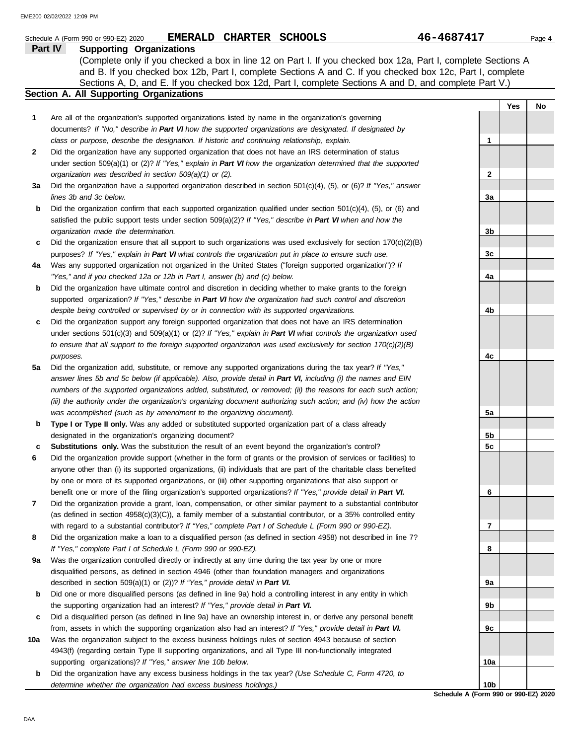|     | EMERALD CHARTER SCHOOLS<br>Schedule A (Form 990 or 990-EZ) 2020                                                                                                                       | 46-4687417                           |     | Page 4 |
|-----|---------------------------------------------------------------------------------------------------------------------------------------------------------------------------------------|--------------------------------------|-----|--------|
|     | Part IV<br><b>Supporting Organizations</b>                                                                                                                                            |                                      |     |        |
|     | (Complete only if you checked a box in line 12 on Part I. If you checked box 12a, Part I, complete Sections A                                                                         |                                      |     |        |
|     | and B. If you checked box 12b, Part I, complete Sections A and C. If you checked box 12c, Part I, complete                                                                            |                                      |     |        |
|     | Sections A, D, and E. If you checked box 12d, Part I, complete Sections A and D, and complete Part V.)                                                                                |                                      |     |        |
|     | Section A. All Supporting Organizations                                                                                                                                               |                                      |     |        |
|     |                                                                                                                                                                                       |                                      | Yes | No     |
| 1   | Are all of the organization's supported organizations listed by name in the organization's governing                                                                                  |                                      |     |        |
|     | documents? If "No," describe in Part VI how the supported organizations are designated. If designated by                                                                              |                                      |     |        |
|     | class or purpose, describe the designation. If historic and continuing relationship, explain.                                                                                         | 1                                    |     |        |
| 2   | Did the organization have any supported organization that does not have an IRS determination of status                                                                                |                                      |     |        |
|     | under section 509(a)(1) or (2)? If "Yes," explain in Part VI how the organization determined that the supported                                                                       |                                      |     |        |
|     | organization was described in section 509(a)(1) or (2).                                                                                                                               | 2                                    |     |        |
| За  | Did the organization have a supported organization described in section $501(c)(4)$ , (5), or (6)? If "Yes," answer                                                                   |                                      |     |        |
|     | lines 3b and 3c below.                                                                                                                                                                | 3a                                   |     |        |
| b   | Did the organization confirm that each supported organization qualified under section $501(c)(4)$ , $(5)$ , or $(6)$ and                                                              |                                      |     |        |
|     | satisfied the public support tests under section 509(a)(2)? If "Yes," describe in Part VI when and how the                                                                            |                                      |     |        |
|     | organization made the determination.                                                                                                                                                  | 3b                                   |     |        |
| с   | Did the organization ensure that all support to such organizations was used exclusively for section $170(c)(2)(B)$                                                                    |                                      |     |        |
|     | purposes? If "Yes," explain in Part VI what controls the organization put in place to ensure such use.                                                                                | 3c                                   |     |        |
|     |                                                                                                                                                                                       |                                      |     |        |
| 4a  | Was any supported organization not organized in the United States ("foreign supported organization")? If<br>"Yes," and if you checked 12a or 12b in Part I, answer (b) and (c) below. |                                      |     |        |
|     |                                                                                                                                                                                       | 4a                                   |     |        |
| b   | Did the organization have ultimate control and discretion in deciding whether to make grants to the foreign                                                                           |                                      |     |        |
|     | supported organization? If "Yes," describe in Part VI how the organization had such control and discretion                                                                            |                                      |     |        |
|     | despite being controlled or supervised by or in connection with its supported organizations.                                                                                          | 4b                                   |     |        |
| с   | Did the organization support any foreign supported organization that does not have an IRS determination                                                                               |                                      |     |        |
|     | under sections $501(c)(3)$ and $509(a)(1)$ or (2)? If "Yes," explain in Part VI what controls the organization used                                                                   |                                      |     |        |
|     | to ensure that all support to the foreign supported organization was used exclusively for section $170(c)(2)(B)$                                                                      |                                      |     |        |
|     | purposes.                                                                                                                                                                             | 4c                                   |     |        |
| 5a  | Did the organization add, substitute, or remove any supported organizations during the tax year? If "Yes,"                                                                            |                                      |     |        |
|     | answer lines 5b and 5c below (if applicable). Also, provide detail in Part VI, including (i) the names and EIN                                                                        |                                      |     |        |
|     | numbers of the supported organizations added, substituted, or removed; (ii) the reasons for each such action;                                                                         |                                      |     |        |
|     | (iii) the authority under the organization's organizing document authorizing such action; and (iv) how the action                                                                     |                                      |     |        |
|     | was accomplished (such as by amendment to the organizing document).                                                                                                                   | 5a                                   |     |        |
| b   | Type I or Type II only. Was any added or substituted supported organization part of a class already                                                                                   |                                      |     |        |
|     | designated in the organization's organizing document?                                                                                                                                 | 5b                                   |     |        |
| с   | Substitutions only. Was the substitution the result of an event beyond the organization's control?                                                                                    | 5c                                   |     |        |
| 6   | Did the organization provide support (whether in the form of grants or the provision of services or facilities) to                                                                    |                                      |     |        |
|     | anyone other than (i) its supported organizations, (ii) individuals that are part of the charitable class benefited                                                                   |                                      |     |        |
|     | by one or more of its supported organizations, or (iii) other supporting organizations that also support or                                                                           |                                      |     |        |
|     | benefit one or more of the filing organization's supported organizations? If "Yes," provide detail in Part VI.                                                                        | 6                                    |     |        |
| 7   | Did the organization provide a grant, loan, compensation, or other similar payment to a substantial contributor                                                                       |                                      |     |        |
|     | (as defined in section $4958(c)(3)(C)$ ), a family member of a substantial contributor, or a 35% controlled entity                                                                    |                                      |     |        |
|     | with regard to a substantial contributor? If "Yes," complete Part I of Schedule L (Form 990 or 990-EZ).                                                                               | 7                                    |     |        |
| 8   | Did the organization make a loan to a disqualified person (as defined in section 4958) not described in line 7?                                                                       |                                      |     |        |
|     | If "Yes," complete Part I of Schedule L (Form 990 or 990-EZ).                                                                                                                         | 8                                    |     |        |
| 9a  | Was the organization controlled directly or indirectly at any time during the tax year by one or more                                                                                 |                                      |     |        |
|     | disqualified persons, as defined in section 4946 (other than foundation managers and organizations                                                                                    |                                      |     |        |
|     | described in section 509(a)(1) or (2))? If "Yes," provide detail in Part VI.                                                                                                          | 9а                                   |     |        |
| b   | Did one or more disqualified persons (as defined in line 9a) hold a controlling interest in any entity in which                                                                       |                                      |     |        |
|     | the supporting organization had an interest? If "Yes," provide detail in Part VI.                                                                                                     | 9b                                   |     |        |
| С   | Did a disqualified person (as defined in line 9a) have an ownership interest in, or derive any personal benefit                                                                       |                                      |     |        |
|     | from, assets in which the supporting organization also had an interest? If "Yes," provide detail in Part VI.                                                                          | 9с                                   |     |        |
| 10a | Was the organization subject to the excess business holdings rules of section 4943 because of section                                                                                 |                                      |     |        |
|     | 4943(f) (regarding certain Type II supporting organizations, and all Type III non-functionally integrated                                                                             |                                      |     |        |
|     | supporting organizations)? If "Yes," answer line 10b below.                                                                                                                           | 10a                                  |     |        |
| b   | Did the organization have any excess business holdings in the tax year? (Use Schedule C, Form 4720, to                                                                                |                                      |     |        |
|     | determine whether the organization had excess business holdings.)                                                                                                                     | 10 <sub>b</sub>                      |     |        |
|     |                                                                                                                                                                                       | Schedule A (Form 990 or 990-EZ) 2020 |     |        |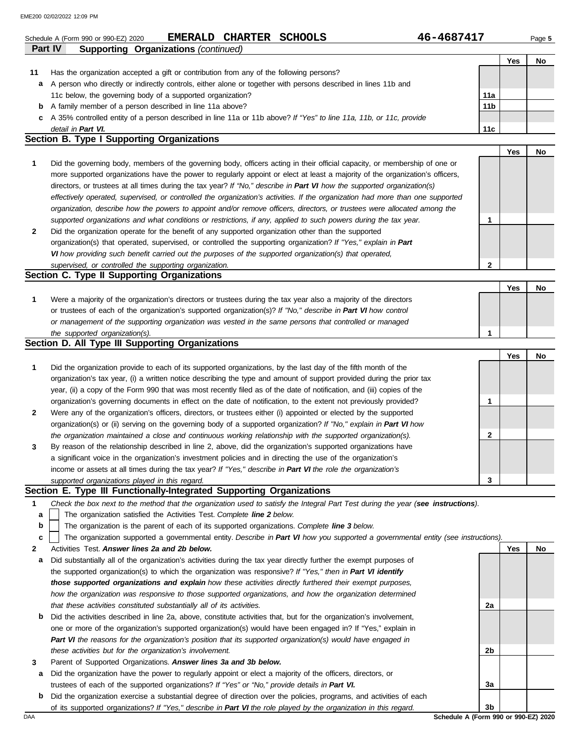|              | <b>SCHOOLS</b><br><b>EMERALD</b><br>CHARTER<br>Schedule A (Form 990 or 990-EZ) 2020                                            | 46-4687417      |            | Page 5    |
|--------------|--------------------------------------------------------------------------------------------------------------------------------|-----------------|------------|-----------|
|              | Part IV<br><b>Supporting Organizations (continued)</b>                                                                         |                 |            |           |
|              |                                                                                                                                |                 | Yes        | No        |
| 11           | Has the organization accepted a gift or contribution from any of the following persons?                                        |                 |            |           |
| a            | A person who directly or indirectly controls, either alone or together with persons described in lines 11b and                 |                 |            |           |
|              | 11c below, the governing body of a supported organization?                                                                     | 11a             |            |           |
| b            | A family member of a person described in line 11a above?                                                                       | 11 <sub>b</sub> |            |           |
| c            | A 35% controlled entity of a person described in line 11a or 11b above? If "Yes" to line 11a, 11b, or 11c, provide             |                 |            |           |
|              | detail in Part VI.                                                                                                             | 11 <sub>c</sub> |            |           |
|              | Section B. Type I Supporting Organizations                                                                                     |                 |            |           |
|              |                                                                                                                                |                 | <b>Yes</b> | <b>No</b> |
| 1            | Did the governing body, members of the governing body, officers acting in their official capacity, or membership of one or     |                 |            |           |
|              | more supported organizations have the power to regularly appoint or elect at least a majority of the organization's officers,  |                 |            |           |
|              | directors, or trustees at all times during the tax year? If "No," describe in Part VI how the supported organization(s)        |                 |            |           |
|              | effectively operated, supervised, or controlled the organization's activities. If the organization had more than one supported |                 |            |           |
|              | organization, describe how the powers to appoint and/or remove officers, directors, or trustees were allocated among the       |                 |            |           |
|              | supported organizations and what conditions or restrictions, if any, applied to such powers during the tax year.               | 1               |            |           |
| $\mathbf{2}$ | Did the organization operate for the benefit of any supported organization other than the supported                            |                 |            |           |
|              | organization(s) that operated, supervised, or controlled the supporting organization? If "Yes," explain in Part                |                 |            |           |
|              | VI how providing such benefit carried out the purposes of the supported organization(s) that operated,                         |                 |            |           |
|              | supervised, or controlled the supporting organization.                                                                         | $\mathbf{2}$    |            |           |
|              | Section C. Type II Supporting Organizations                                                                                    |                 |            |           |
|              |                                                                                                                                |                 | <b>Yes</b> | <b>No</b> |
| 1            | Were a majority of the organization's directors or trustees during the tax year also a majority of the directors               |                 |            |           |
|              | or trustees of each of the organization's supported organization(s)? If "No," describe in Part VI how control                  |                 |            |           |
|              | or management of the supporting organization was vested in the same persons that controlled or managed                         |                 |            |           |
|              |                                                                                                                                | 1               |            |           |
|              | the supported organization(s).<br>Section D. All Type III Supporting Organizations                                             |                 |            |           |
|              |                                                                                                                                |                 | <b>Yes</b> | No        |
| 1            | Did the organization provide to each of its supported organizations, by the last day of the fifth month of the                 |                 |            |           |
|              | the contract of the contract of the contract of the contract of the contract of the contract of the contract of                |                 |            |           |

| $\mathbf{1}$   | Did the organization provide to each of its supported organizations, by the last day of the fifth month of the         |              |  |
|----------------|------------------------------------------------------------------------------------------------------------------------|--------------|--|
|                | organization's tax year, (i) a written notice describing the type and amount of support provided during the prior tax  |              |  |
|                | year, (ii) a copy of the Form 990 that was most recently filed as of the date of notification, and (iii) copies of the |              |  |
|                | organization's governing documents in effect on the date of notification, to the extent not previously provided?       |              |  |
| $\overline{2}$ | Were any of the organization's officers, directors, or trustees either (i) appointed or elected by the supported       |              |  |
|                | organization(s) or (ii) serving on the governing body of a supported organization? If "No," explain in Part VI how     |              |  |
|                | the organization maintained a close and continuous working relationship with the supported organization(s).            | $\mathbf{2}$ |  |
| 3              | By reason of the relationship described in line 2, above, did the organization's supported organizations have          |              |  |
|                | a significant voice in the organization's investment policies and in directing the use of the organization's           |              |  |
|                | income or assets at all times during the tax year? If "Yes," describe in Part VI the role the organization's           |              |  |
|                | supported organizations played in this regard.                                                                         | 3            |  |

*supported organizations played in this regard.*

## **Section E. Type III Functionally-Integrated Supporting Organizations**

|  | Check the box next to the method that the organization used to satisfy the Integral Part Test during the year (see instructions). |  |  |  |  |
|--|-----------------------------------------------------------------------------------------------------------------------------------|--|--|--|--|
|--|-----------------------------------------------------------------------------------------------------------------------------------|--|--|--|--|

The organization satisfied the Activities Test. *Complete line 2 below.* **a**

The organization is the parent of each of its supported organizations. *Complete line 3 below.* **b**

|  |  | c   The organization supported a governmental entity. Describe in Part VI how you supported a governmental entity (see instructions) |  |  |  |  |  |  |  |  |  |  |  |  |
|--|--|--------------------------------------------------------------------------------------------------------------------------------------|--|--|--|--|--|--|--|--|--|--|--|--|
|--|--|--------------------------------------------------------------------------------------------------------------------------------------|--|--|--|--|--|--|--|--|--|--|--|--|

- **2** Activities Test. *Answer lines 2a and 2b below.*
- **a** Did substantially all of the organization's activities during the tax year directly further the exempt purposes of the supported organization(s) to which the organization was responsive? *If "Yes," then in Part VI identify those supported organizations and explain how these activities directly furthered their exempt purposes, how the organization was responsive to those supported organizations, and how the organization determined that these activities constituted substantially all of its activities.*
- **b** Did the activities described in line 2a, above, constitute activities that, but for the organization's involvement, one or more of the organization's supported organization(s) would have been engaged in? If "Yes," explain in *Part VI the reasons for the organization's position that its supported organization(s) would have engaged in these activities but for the organization's involvement.*
- **3** Parent of Supported Organizations. *Answer lines 3a and 3b below.*
- **a** Did the organization have the power to regularly appoint or elect a majority of the officers, directors, or trustees of each of the supported organizations? *If "Yes" or "No," provide details in Part VI.*
- DAA **Schedule A (Form 990 or 990-EZ) 2020 b** Did the organization exercise a substantial degree of direction over the policies, programs, and activities of each of its supported organizations? *If "Yes," describe in Part VI the role played by the organization in this regard.*

**2a**

**2b**

**3a**

**Yes No**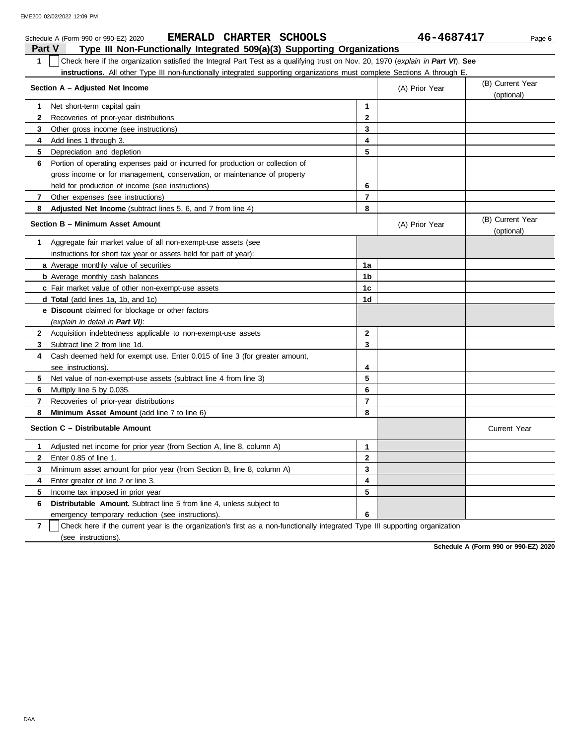|                | EMERALD CHARTER SCHOOLS<br>Schedule A (Form 990 or 990-EZ) 2020                                                                  |              | 46-4687417     | Page 6                         |
|----------------|----------------------------------------------------------------------------------------------------------------------------------|--------------|----------------|--------------------------------|
| Part V         | Type III Non-Functionally Integrated 509(a)(3) Supporting Organizations                                                          |              |                |                                |
| 1              | Check here if the organization satisfied the Integral Part Test as a qualifying trust on Nov. 20, 1970 (explain in Part VI). See |              |                |                                |
|                | instructions. All other Type III non-functionally integrated supporting organizations must complete Sections A through E.        |              |                |                                |
|                | Section A - Adjusted Net Income                                                                                                  |              | (A) Prior Year | (B) Current Year<br>(optional) |
| 1              | Net short-term capital gain                                                                                                      | 1            |                |                                |
| 2              | Recoveries of prior-year distributions                                                                                           | $\mathbf{2}$ |                |                                |
| 3              | Other gross income (see instructions)                                                                                            | 3            |                |                                |
| 4              | Add lines 1 through 3.                                                                                                           | 4            |                |                                |
| 5              | Depreciation and depletion                                                                                                       | 5            |                |                                |
| 6              | Portion of operating expenses paid or incurred for production or collection of                                                   |              |                |                                |
|                | gross income or for management, conservation, or maintenance of property                                                         |              |                |                                |
|                | held for production of income (see instructions)                                                                                 | 6            |                |                                |
| 7              | Other expenses (see instructions)                                                                                                | 7            |                |                                |
| 8              | Adjusted Net Income (subtract lines 5, 6, and 7 from line 4)                                                                     | 8            |                |                                |
|                | Section B - Minimum Asset Amount                                                                                                 |              | (A) Prior Year | (B) Current Year<br>(optional) |
| 1.             | Aggregate fair market value of all non-exempt-use assets (see                                                                    |              |                |                                |
|                | instructions for short tax year or assets held for part of year):                                                                |              |                |                                |
|                | <b>a</b> Average monthly value of securities                                                                                     | 1a           |                |                                |
|                | <b>b</b> Average monthly cash balances                                                                                           | 1b           |                |                                |
|                | <b>c</b> Fair market value of other non-exempt-use assets                                                                        | 1c           |                |                                |
|                | <b>d Total</b> (add lines 1a, 1b, and 1c)                                                                                        | 1d           |                |                                |
|                | e Discount claimed for blockage or other factors                                                                                 |              |                |                                |
|                | (explain in detail in Part VI).                                                                                                  |              |                |                                |
| $\mathbf{2}$   | Acquisition indebtedness applicable to non-exempt-use assets                                                                     | $\mathbf{2}$ |                |                                |
| 3              | Subtract line 2 from line 1d.                                                                                                    | 3            |                |                                |
| 4              | Cash deemed held for exempt use. Enter 0.015 of line 3 (for greater amount,                                                      |              |                |                                |
|                | see instructions).                                                                                                               | 4            |                |                                |
| 5              | Net value of non-exempt-use assets (subtract line 4 from line 3)                                                                 | 5            |                |                                |
| 6              | Multiply line 5 by 0.035.                                                                                                        | 6            |                |                                |
| 7              | Recoveries of prior-year distributions                                                                                           | 7            |                |                                |
| 8              | Minimum Asset Amount (add line 7 to line 6)                                                                                      | 8            |                |                                |
|                | Section C - Distributable Amount                                                                                                 |              |                | <b>Current Year</b>            |
| 1              | Adjusted net income for prior year (from Section A, line 8, column A)                                                            | 1            |                |                                |
| 2              | Enter 0.85 of line 1.                                                                                                            | 2            |                |                                |
| 3              | Minimum asset amount for prior year (from Section B, line 8, column A)                                                           | 3            |                |                                |
| 4              | Enter greater of line 2 or line 3.                                                                                               | 4            |                |                                |
| 5              | Income tax imposed in prior year                                                                                                 | 5            |                |                                |
| 6              | Distributable Amount. Subtract line 5 from line 4, unless subject to                                                             |              |                |                                |
|                | emergency temporary reduction (see instructions).                                                                                | 6            |                |                                |
| $\overline{7}$ | Check here if the current year is the organization's first as a non-functionally integrated Type III supporting organization     |              |                |                                |

(see instructions).

**Schedule A (Form 990 or 990-EZ) 2020**

DAA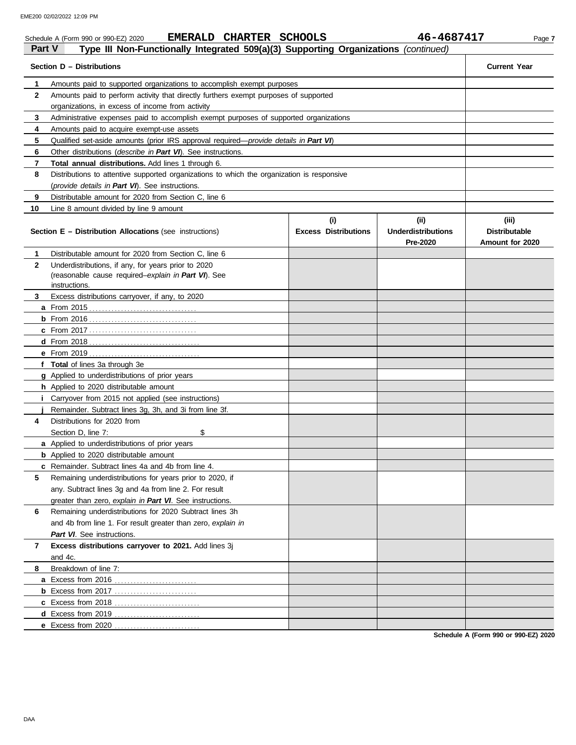|              | EMERALD CHARTER SCHOOLS<br>Schedule A (Form 990 or 990-EZ) 2020                            |                             | 46-4687417                                   | Page 7                                  |
|--------------|--------------------------------------------------------------------------------------------|-----------------------------|----------------------------------------------|-----------------------------------------|
| Part V       | Type III Non-Functionally Integrated 509(a)(3) Supporting Organizations (continued)        |                             |                                              |                                         |
|              | Section D - Distributions                                                                  |                             |                                              | <b>Current Year</b>                     |
| 1            | Amounts paid to supported organizations to accomplish exempt purposes                      |                             |                                              |                                         |
| $\mathbf{2}$ | Amounts paid to perform activity that directly furthers exempt purposes of supported       |                             |                                              |                                         |
|              | organizations, in excess of income from activity                                           |                             |                                              |                                         |
| 3            | Administrative expenses paid to accomplish exempt purposes of supported organizations      |                             |                                              |                                         |
| 4            | Amounts paid to acquire exempt-use assets                                                  |                             |                                              |                                         |
| 5            | Qualified set-aside amounts (prior IRS approval required-provide details in Part VI)       |                             |                                              |                                         |
| 6            | Other distributions (describe in Part VI). See instructions.                               |                             |                                              |                                         |
| 7            | Total annual distributions. Add lines 1 through 6.                                         |                             |                                              |                                         |
| 8            | Distributions to attentive supported organizations to which the organization is responsive |                             |                                              |                                         |
|              | (provide details in Part VI). See instructions.                                            |                             |                                              |                                         |
| 9            | Distributable amount for 2020 from Section C, line 6                                       |                             |                                              |                                         |
| 10           | Line 8 amount divided by line 9 amount                                                     |                             |                                              |                                         |
|              |                                                                                            | (i)                         | (ii)                                         | (iii)                                   |
|              | <b>Section E - Distribution Allocations (see instructions)</b>                             | <b>Excess Distributions</b> | <b>Underdistributions</b><br><b>Pre-2020</b> | <b>Distributable</b><br>Amount for 2020 |
| 1            | Distributable amount for 2020 from Section C, line 6                                       |                             |                                              |                                         |
| $\mathbf{2}$ | Underdistributions, if any, for years prior to 2020                                        |                             |                                              |                                         |
|              | (reasonable cause required-explain in Part VI). See                                        |                             |                                              |                                         |
|              | instructions.                                                                              |                             |                                              |                                         |
| 3            | Excess distributions carryover, if any, to 2020                                            |                             |                                              |                                         |
|              |                                                                                            |                             |                                              |                                         |
|              |                                                                                            |                             |                                              |                                         |
|              |                                                                                            |                             |                                              |                                         |
|              |                                                                                            |                             |                                              |                                         |
|              |                                                                                            |                             |                                              |                                         |
|              | f Total of lines 3a through 3e                                                             |                             |                                              |                                         |
|              | g Applied to underdistributions of prior years                                             |                             |                                              |                                         |
|              | h Applied to 2020 distributable amount                                                     |                             |                                              |                                         |
|              | Carryover from 2015 not applied (see instructions)                                         |                             |                                              |                                         |
|              | Remainder. Subtract lines 3g, 3h, and 3i from line 3f.                                     |                             |                                              |                                         |
| 4            | Distributions for 2020 from                                                                |                             |                                              |                                         |
|              | \$<br>Section D, line 7:                                                                   |                             |                                              |                                         |
|              | a Applied to underdistributions of prior years                                             |                             |                                              |                                         |
|              | <b>b</b> Applied to 2020 distributable amount                                              |                             |                                              |                                         |
|              | <b>c</b> Remainder. Subtract lines 4a and 4b from line 4.                                  |                             |                                              |                                         |
| 5            | Remaining underdistributions for years prior to 2020, if                                   |                             |                                              |                                         |
|              | any. Subtract lines 3g and 4a from line 2. For result                                      |                             |                                              |                                         |
|              | greater than zero, explain in Part VI. See instructions.                                   |                             |                                              |                                         |
| 6            | Remaining underdistributions for 2020 Subtract lines 3h                                    |                             |                                              |                                         |
|              | and 4b from line 1. For result greater than zero, explain in                               |                             |                                              |                                         |
|              | Part VI. See instructions.                                                                 |                             |                                              |                                         |
| 7            | Excess distributions carryover to 2021. Add lines 3j                                       |                             |                                              |                                         |
|              | and 4c.                                                                                    |                             |                                              |                                         |
| 8            | Breakdown of line 7:                                                                       |                             |                                              |                                         |
|              |                                                                                            |                             |                                              |                                         |
|              |                                                                                            |                             |                                              |                                         |
|              |                                                                                            |                             |                                              |                                         |
|              |                                                                                            |                             |                                              |                                         |
|              | e Excess from 2020.                                                                        |                             |                                              |                                         |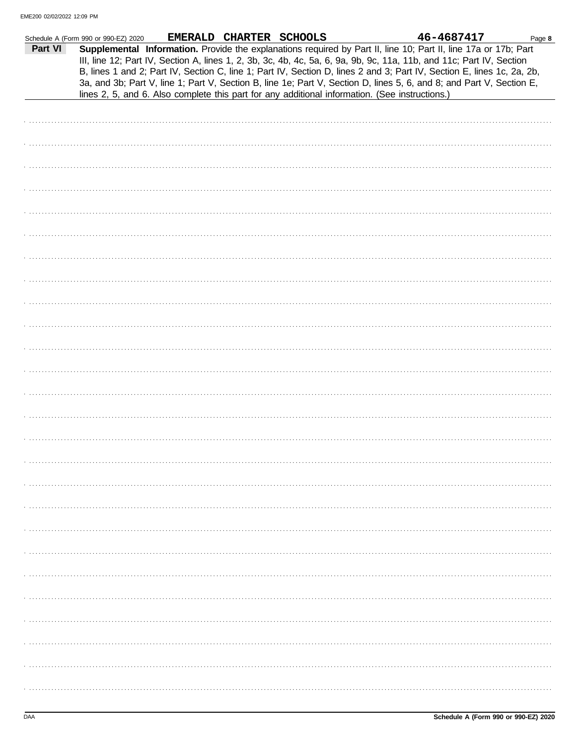|         | Schedule A (Form 990 or 990-EZ) 2020 | EMERALD CHARTER SCHOOLS |                                                                                                | 46-4687417                                                                                                                                                                                                                                                                                                                                                                                                                                                                                | Page 8 |
|---------|--------------------------------------|-------------------------|------------------------------------------------------------------------------------------------|-------------------------------------------------------------------------------------------------------------------------------------------------------------------------------------------------------------------------------------------------------------------------------------------------------------------------------------------------------------------------------------------------------------------------------------------------------------------------------------------|--------|
| Part VI |                                      |                         | lines 2, 5, and 6. Also complete this part for any additional information. (See instructions.) | Supplemental Information. Provide the explanations required by Part II, line 10; Part II, line 17a or 17b; Part<br>III, line 12; Part IV, Section A, lines 1, 2, 3b, 3c, 4b, 4c, 5a, 6, 9a, 9b, 9c, 11a, 11b, and 11c; Part IV, Section<br>B, lines 1 and 2; Part IV, Section C, line 1; Part IV, Section D, lines 2 and 3; Part IV, Section E, lines 1c, 2a, 2b,<br>3a, and 3b; Part V, line 1; Part V, Section B, line 1e; Part V, Section D, lines 5, 6, and 8; and Part V, Section E, |        |
|         |                                      |                         |                                                                                                |                                                                                                                                                                                                                                                                                                                                                                                                                                                                                           |        |
|         |                                      |                         |                                                                                                |                                                                                                                                                                                                                                                                                                                                                                                                                                                                                           |        |
|         |                                      |                         |                                                                                                |                                                                                                                                                                                                                                                                                                                                                                                                                                                                                           |        |
|         |                                      |                         |                                                                                                |                                                                                                                                                                                                                                                                                                                                                                                                                                                                                           |        |
|         |                                      |                         |                                                                                                |                                                                                                                                                                                                                                                                                                                                                                                                                                                                                           |        |
|         |                                      |                         |                                                                                                |                                                                                                                                                                                                                                                                                                                                                                                                                                                                                           |        |
|         |                                      |                         |                                                                                                |                                                                                                                                                                                                                                                                                                                                                                                                                                                                                           |        |
|         |                                      |                         |                                                                                                |                                                                                                                                                                                                                                                                                                                                                                                                                                                                                           |        |
|         |                                      |                         |                                                                                                |                                                                                                                                                                                                                                                                                                                                                                                                                                                                                           |        |
|         |                                      |                         |                                                                                                |                                                                                                                                                                                                                                                                                                                                                                                                                                                                                           |        |
|         |                                      |                         |                                                                                                |                                                                                                                                                                                                                                                                                                                                                                                                                                                                                           |        |
|         |                                      |                         |                                                                                                |                                                                                                                                                                                                                                                                                                                                                                                                                                                                                           |        |
|         |                                      |                         |                                                                                                |                                                                                                                                                                                                                                                                                                                                                                                                                                                                                           |        |
|         |                                      |                         |                                                                                                |                                                                                                                                                                                                                                                                                                                                                                                                                                                                                           |        |
|         |                                      |                         |                                                                                                |                                                                                                                                                                                                                                                                                                                                                                                                                                                                                           |        |
|         |                                      |                         |                                                                                                |                                                                                                                                                                                                                                                                                                                                                                                                                                                                                           |        |
|         |                                      |                         |                                                                                                |                                                                                                                                                                                                                                                                                                                                                                                                                                                                                           |        |
|         |                                      |                         |                                                                                                |                                                                                                                                                                                                                                                                                                                                                                                                                                                                                           |        |
|         |                                      |                         |                                                                                                |                                                                                                                                                                                                                                                                                                                                                                                                                                                                                           |        |
|         |                                      |                         |                                                                                                |                                                                                                                                                                                                                                                                                                                                                                                                                                                                                           |        |
|         |                                      |                         |                                                                                                |                                                                                                                                                                                                                                                                                                                                                                                                                                                                                           |        |
|         |                                      |                         |                                                                                                |                                                                                                                                                                                                                                                                                                                                                                                                                                                                                           |        |
|         |                                      |                         |                                                                                                |                                                                                                                                                                                                                                                                                                                                                                                                                                                                                           |        |
|         |                                      |                         |                                                                                                |                                                                                                                                                                                                                                                                                                                                                                                                                                                                                           |        |
|         |                                      |                         |                                                                                                |                                                                                                                                                                                                                                                                                                                                                                                                                                                                                           |        |
|         |                                      |                         |                                                                                                |                                                                                                                                                                                                                                                                                                                                                                                                                                                                                           |        |
|         |                                      |                         |                                                                                                |                                                                                                                                                                                                                                                                                                                                                                                                                                                                                           |        |
|         |                                      |                         |                                                                                                |                                                                                                                                                                                                                                                                                                                                                                                                                                                                                           |        |
|         |                                      |                         |                                                                                                |                                                                                                                                                                                                                                                                                                                                                                                                                                                                                           |        |
|         |                                      |                         |                                                                                                |                                                                                                                                                                                                                                                                                                                                                                                                                                                                                           |        |
|         |                                      |                         |                                                                                                |                                                                                                                                                                                                                                                                                                                                                                                                                                                                                           |        |
|         |                                      |                         |                                                                                                |                                                                                                                                                                                                                                                                                                                                                                                                                                                                                           |        |
|         |                                      |                         |                                                                                                |                                                                                                                                                                                                                                                                                                                                                                                                                                                                                           |        |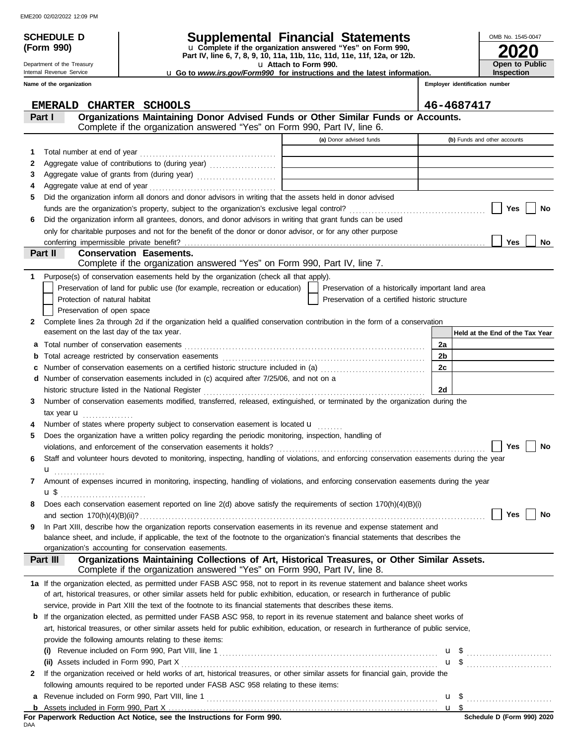Department of the Treasury Internal Revenue Service **Name of the organization**

**(Form 990)**

## **SCHEDULE D Supplemental Financial Statements**

**Part IV, line 6, 7, 8, 9, 10, 11a, 11b, 11c, 11d, 11e, 11f, 12a, or 12b.** u **Complete if the organization answered "Yes" on Form 990,**

u **Attach to Form 990.**  u **Go to** *www.irs.gov/Form990* **for instructions and the latest information.**

**Employer identification number Inspection**

**2020**

**Open to Public**

OMB No. 1545-0047

|    | <b>EMERALD</b><br><b>CHARTER SCHOOLS</b>                                                                                                                                                                                                                             |                                                    | 46-4687417                                                                                                                                                                                                                                                                                                                                                          |
|----|----------------------------------------------------------------------------------------------------------------------------------------------------------------------------------------------------------------------------------------------------------------------|----------------------------------------------------|---------------------------------------------------------------------------------------------------------------------------------------------------------------------------------------------------------------------------------------------------------------------------------------------------------------------------------------------------------------------|
|    | Organizations Maintaining Donor Advised Funds or Other Similar Funds or Accounts.<br>Part I                                                                                                                                                                          |                                                    |                                                                                                                                                                                                                                                                                                                                                                     |
|    | Complete if the organization answered "Yes" on Form 990, Part IV, line 6.                                                                                                                                                                                            |                                                    |                                                                                                                                                                                                                                                                                                                                                                     |
|    |                                                                                                                                                                                                                                                                      | (a) Donor advised funds                            | (b) Funds and other accounts                                                                                                                                                                                                                                                                                                                                        |
| 1. |                                                                                                                                                                                                                                                                      |                                                    |                                                                                                                                                                                                                                                                                                                                                                     |
| 2  |                                                                                                                                                                                                                                                                      |                                                    |                                                                                                                                                                                                                                                                                                                                                                     |
| 3  |                                                                                                                                                                                                                                                                      |                                                    |                                                                                                                                                                                                                                                                                                                                                                     |
| 4  |                                                                                                                                                                                                                                                                      |                                                    |                                                                                                                                                                                                                                                                                                                                                                     |
| 5  | Did the organization inform all donors and donor advisors in writing that the assets held in donor advised                                                                                                                                                           |                                                    |                                                                                                                                                                                                                                                                                                                                                                     |
|    |                                                                                                                                                                                                                                                                      |                                                    | Yes<br>No                                                                                                                                                                                                                                                                                                                                                           |
| 6  | Did the organization inform all grantees, donors, and donor advisors in writing that grant funds can be used                                                                                                                                                         |                                                    |                                                                                                                                                                                                                                                                                                                                                                     |
|    | only for charitable purposes and not for the benefit of the donor or donor advisor, or for any other purpose                                                                                                                                                         |                                                    |                                                                                                                                                                                                                                                                                                                                                                     |
|    | conferring impermissible private benefit?                                                                                                                                                                                                                            |                                                    | <b>Yes</b><br>No                                                                                                                                                                                                                                                                                                                                                    |
|    | Part II<br><b>Conservation Easements.</b>                                                                                                                                                                                                                            |                                                    |                                                                                                                                                                                                                                                                                                                                                                     |
|    | Complete if the organization answered "Yes" on Form 990, Part IV, line 7.                                                                                                                                                                                            |                                                    |                                                                                                                                                                                                                                                                                                                                                                     |
| 1  | Purpose(s) of conservation easements held by the organization (check all that apply).                                                                                                                                                                                |                                                    |                                                                                                                                                                                                                                                                                                                                                                     |
|    | Preservation of land for public use (for example, recreation or education)                                                                                                                                                                                           | Preservation of a historically important land area |                                                                                                                                                                                                                                                                                                                                                                     |
|    | Protection of natural habitat                                                                                                                                                                                                                                        | Preservation of a certified historic structure     |                                                                                                                                                                                                                                                                                                                                                                     |
|    | Preservation of open space                                                                                                                                                                                                                                           |                                                    |                                                                                                                                                                                                                                                                                                                                                                     |
| 2  | Complete lines 2a through 2d if the organization held a qualified conservation contribution in the form of a conservation                                                                                                                                            |                                                    |                                                                                                                                                                                                                                                                                                                                                                     |
|    | easement on the last day of the tax year.                                                                                                                                                                                                                            |                                                    | Held at the End of the Tax Year                                                                                                                                                                                                                                                                                                                                     |
| a  |                                                                                                                                                                                                                                                                      |                                                    | 2a                                                                                                                                                                                                                                                                                                                                                                  |
| b  |                                                                                                                                                                                                                                                                      |                                                    | 2b                                                                                                                                                                                                                                                                                                                                                                  |
|    | Number of conservation easements on a certified historic structure included in (a) [[[[[ [ [ a]] [ [ [ a]] [ [ a]] [ [ a]                                                                                                                                            |                                                    | 2c                                                                                                                                                                                                                                                                                                                                                                  |
|    | d Number of conservation easements included in (c) acquired after 7/25/06, and not on a                                                                                                                                                                              |                                                    |                                                                                                                                                                                                                                                                                                                                                                     |
|    |                                                                                                                                                                                                                                                                      |                                                    | 2d                                                                                                                                                                                                                                                                                                                                                                  |
| 3  | Number of conservation easements modified, transferred, released, extinguished, or terminated by the organization during the                                                                                                                                         |                                                    |                                                                                                                                                                                                                                                                                                                                                                     |
|    | tax year $\mathbf u$                                                                                                                                                                                                                                                 |                                                    |                                                                                                                                                                                                                                                                                                                                                                     |
|    | Number of states where property subject to conservation easement is located <b>u</b>                                                                                                                                                                                 |                                                    |                                                                                                                                                                                                                                                                                                                                                                     |
| 5  | Does the organization have a written policy regarding the periodic monitoring, inspection, handling of                                                                                                                                                               |                                                    |                                                                                                                                                                                                                                                                                                                                                                     |
|    |                                                                                                                                                                                                                                                                      |                                                    | Yes<br>No                                                                                                                                                                                                                                                                                                                                                           |
| 6  | Staff and volunteer hours devoted to monitoring, inspecting, handling of violations, and enforcing conservation easements during the year                                                                                                                            |                                                    |                                                                                                                                                                                                                                                                                                                                                                     |
|    | <u>u</u>                                                                                                                                                                                                                                                             |                                                    |                                                                                                                                                                                                                                                                                                                                                                     |
| 7  | Amount of expenses incurred in monitoring, inspecting, handling of violations, and enforcing conservation easements during the year                                                                                                                                  |                                                    |                                                                                                                                                                                                                                                                                                                                                                     |
|    |                                                                                                                                                                                                                                                                      |                                                    |                                                                                                                                                                                                                                                                                                                                                                     |
| 8  | Does each conservation easement reported on line 2(d) above satisfy the requirements of section 170(h)(4)(B)(i)                                                                                                                                                      |                                                    |                                                                                                                                                                                                                                                                                                                                                                     |
|    |                                                                                                                                                                                                                                                                      |                                                    | Yes<br>No                                                                                                                                                                                                                                                                                                                                                           |
| 9  | In Part XIII, describe how the organization reports conservation easements in its revenue and expense statement and                                                                                                                                                  |                                                    |                                                                                                                                                                                                                                                                                                                                                                     |
|    | balance sheet, and include, if applicable, the text of the footnote to the organization's financial statements that describes the                                                                                                                                    |                                                    |                                                                                                                                                                                                                                                                                                                                                                     |
|    | organization's accounting for conservation easements.                                                                                                                                                                                                                |                                                    |                                                                                                                                                                                                                                                                                                                                                                     |
|    | Organizations Maintaining Collections of Art, Historical Treasures, or Other Similar Assets.<br>Part III<br>Complete if the organization answered "Yes" on Form 990, Part IV, line 8.                                                                                |                                                    |                                                                                                                                                                                                                                                                                                                                                                     |
|    |                                                                                                                                                                                                                                                                      |                                                    |                                                                                                                                                                                                                                                                                                                                                                     |
|    | 1a If the organization elected, as permitted under FASB ASC 958, not to report in its revenue statement and balance sheet works<br>of art, historical treasures, or other similar assets held for public exhibition, education, or research in furtherance of public |                                                    |                                                                                                                                                                                                                                                                                                                                                                     |
|    | service, provide in Part XIII the text of the footnote to its financial statements that describes these items.                                                                                                                                                       |                                                    |                                                                                                                                                                                                                                                                                                                                                                     |
|    | <b>b</b> If the organization elected, as permitted under FASB ASC 958, to report in its revenue statement and balance sheet works of                                                                                                                                 |                                                    |                                                                                                                                                                                                                                                                                                                                                                     |
|    | art, historical treasures, or other similar assets held for public exhibition, education, or research in furtherance of public service,                                                                                                                              |                                                    |                                                                                                                                                                                                                                                                                                                                                                     |
|    | provide the following amounts relating to these items:                                                                                                                                                                                                               |                                                    |                                                                                                                                                                                                                                                                                                                                                                     |
|    | (i)                                                                                                                                                                                                                                                                  |                                                    | $\overline{u}$ \$                                                                                                                                                                                                                                                                                                                                                   |
|    | (ii) Assets included in Form 990, Part X                                                                                                                                                                                                                             |                                                    |                                                                                                                                                                                                                                                                                                                                                                     |
| 2  | If the organization received or held works of art, historical treasures, or other similar assets for financial gain, provide the                                                                                                                                     |                                                    | $\begin{picture}(20,10) \put(0,0){\vector(1,0){100}} \put(15,0){\vector(1,0){100}} \put(15,0){\vector(1,0){100}} \put(15,0){\vector(1,0){100}} \put(15,0){\vector(1,0){100}} \put(15,0){\vector(1,0){100}} \put(15,0){\vector(1,0){100}} \put(15,0){\vector(1,0){100}} \put(15,0){\vector(1,0){100}} \put(15,0){\vector(1,0){100}} \put(15,0){\vector(1,0){100}} \$ |
|    | following amounts required to be reported under FASB ASC 958 relating to these items:                                                                                                                                                                                |                                                    |                                                                                                                                                                                                                                                                                                                                                                     |
| a  |                                                                                                                                                                                                                                                                      |                                                    |                                                                                                                                                                                                                                                                                                                                                                     |
|    |                                                                                                                                                                                                                                                                      |                                                    | <u>u</u> \$                                                                                                                                                                                                                                                                                                                                                         |
|    | For Paperwork Reduction Act Notice, see the Instructions for Form 990.                                                                                                                                                                                               |                                                    | Schedule D (Form 990) 2020                                                                                                                                                                                                                                                                                                                                          |

DAA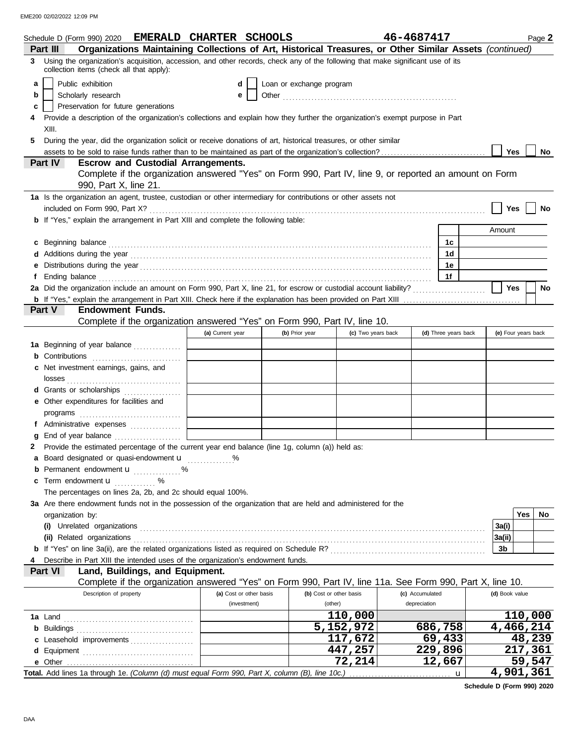|   | Schedule D (Form 990) 2020 EMERALD CHARTER SCHOOLS                                                                                                                                                                                   |                  |                         |                          |                         | 46-4687417                                                                                                 |                      |                | Page 2              |
|---|--------------------------------------------------------------------------------------------------------------------------------------------------------------------------------------------------------------------------------------|------------------|-------------------------|--------------------------|-------------------------|------------------------------------------------------------------------------------------------------------|----------------------|----------------|---------------------|
|   | Part III                                                                                                                                                                                                                             |                  |                         |                          |                         | Organizations Maintaining Collections of Art, Historical Treasures, or Other Similar Assets (continued)    |                      |                |                     |
| 3 | Using the organization's acquisition, accession, and other records, check any of the following that make significant use of its<br>collection items (check all that apply):                                                          |                  |                         |                          |                         |                                                                                                            |                      |                |                     |
| a | Public exhibition                                                                                                                                                                                                                    | d                |                         | Loan or exchange program |                         |                                                                                                            |                      |                |                     |
| b | Scholarly research                                                                                                                                                                                                                   | е                |                         |                          |                         |                                                                                                            |                      |                |                     |
| c | Preservation for future generations                                                                                                                                                                                                  |                  |                         |                          |                         |                                                                                                            |                      |                |                     |
|   | Provide a description of the organization's collections and explain how they further the organization's exempt purpose in Part<br>XIII.                                                                                              |                  |                         |                          |                         |                                                                                                            |                      |                |                     |
| 5 | During the year, did the organization solicit or receive donations of art, historical treasures, or other similar                                                                                                                    |                  |                         |                          |                         |                                                                                                            |                      |                |                     |
|   |                                                                                                                                                                                                                                      |                  |                         |                          |                         |                                                                                                            |                      | Yes            | No                  |
|   | Part IV<br><b>Escrow and Custodial Arrangements.</b>                                                                                                                                                                                 |                  |                         |                          |                         |                                                                                                            |                      |                |                     |
|   |                                                                                                                                                                                                                                      |                  |                         |                          |                         | Complete if the organization answered "Yes" on Form 990, Part IV, line 9, or reported an amount on Form    |                      |                |                     |
|   | 990, Part X, line 21.                                                                                                                                                                                                                |                  |                         |                          |                         |                                                                                                            |                      |                |                     |
|   | 1a Is the organization an agent, trustee, custodian or other intermediary for contributions or other assets not                                                                                                                      |                  |                         |                          |                         |                                                                                                            |                      | Yes            | No                  |
|   | <b>b</b> If "Yes," explain the arrangement in Part XIII and complete the following table:                                                                                                                                            |                  |                         |                          |                         |                                                                                                            |                      |                |                     |
|   |                                                                                                                                                                                                                                      |                  |                         |                          |                         |                                                                                                            |                      | Amount         |                     |
|   | c Beginning balance <b>contract to the contract of the set of the contract of the contract of the contract of the contract of the contract of the contract of the contract of the contract of the contract of the contract of th</b> |                  |                         |                          |                         |                                                                                                            | 1c                   |                |                     |
|   |                                                                                                                                                                                                                                      |                  |                         |                          |                         |                                                                                                            | 1d                   |                |                     |
|   |                                                                                                                                                                                                                                      |                  |                         |                          |                         |                                                                                                            | 1е                   |                |                     |
| f |                                                                                                                                                                                                                                      |                  |                         |                          |                         |                                                                                                            |                      |                |                     |
|   | 2a Did the organization include an amount on Form 990, Part X, line 21, for escrow or custodial account liability?                                                                                                                   |                  |                         |                          |                         |                                                                                                            |                      | Yes            | No                  |
|   |                                                                                                                                                                                                                                      |                  |                         |                          |                         |                                                                                                            |                      |                |                     |
|   | <b>Endowment Funds.</b><br>Part V                                                                                                                                                                                                    |                  |                         |                          |                         |                                                                                                            |                      |                |                     |
|   | Complete if the organization answered "Yes" on Form 990, Part IV, line 10.                                                                                                                                                           |                  |                         |                          |                         |                                                                                                            |                      |                |                     |
|   |                                                                                                                                                                                                                                      | (a) Current year |                         | (b) Prior year           | (c) Two years back      |                                                                                                            | (d) Three years back |                | (e) Four years back |
|   | 1a Beginning of year balance                                                                                                                                                                                                         |                  |                         |                          |                         |                                                                                                            |                      |                |                     |
|   | <b>b</b> Contributions <b>contributions</b>                                                                                                                                                                                          |                  |                         |                          |                         |                                                                                                            |                      |                |                     |
|   | c Net investment earnings, gains, and                                                                                                                                                                                                |                  |                         |                          |                         |                                                                                                            |                      |                |                     |
|   |                                                                                                                                                                                                                                      |                  |                         |                          |                         |                                                                                                            |                      |                |                     |
|   | d Grants or scholarships                                                                                                                                                                                                             |                  |                         |                          |                         |                                                                                                            |                      |                |                     |
| е | Other expenditures for facilities and                                                                                                                                                                                                |                  |                         |                          |                         |                                                                                                            |                      |                |                     |
|   |                                                                                                                                                                                                                                      |                  |                         |                          |                         |                                                                                                            |                      |                |                     |
|   | f Administrative expenses                                                                                                                                                                                                            |                  |                         |                          |                         |                                                                                                            |                      |                |                     |
|   | 2 Provide the estimated percentage of the current year end balance (line 1g, column (a)) held as:                                                                                                                                    |                  |                         |                          |                         |                                                                                                            |                      |                |                     |
| a | Board designated or quasi-endowment <b>u</b>                                                                                                                                                                                         | ℅                |                         |                          |                         |                                                                                                            |                      |                |                     |
| b | Permanent endowment <b>u</b> %                                                                                                                                                                                                       |                  |                         |                          |                         |                                                                                                            |                      |                |                     |
| c | Term endowment <b>u</b>                                                                                                                                                                                                              |                  |                         |                          |                         |                                                                                                            |                      |                |                     |
|   | The percentages on lines 2a, 2b, and 2c should equal 100%.                                                                                                                                                                           |                  |                         |                          |                         |                                                                                                            |                      |                |                     |
|   | 3a Are there endowment funds not in the possession of the organization that are held and administered for the                                                                                                                        |                  |                         |                          |                         |                                                                                                            |                      |                |                     |
|   | organization by:                                                                                                                                                                                                                     |                  |                         |                          |                         |                                                                                                            |                      |                | Yes<br>No.          |
|   |                                                                                                                                                                                                                                      |                  |                         |                          |                         |                                                                                                            |                      | 3a(i)          |                     |
|   | (ii) Related organizations <b>constants</b> and constant of the constant of the constant of the constant of the constant of the constant of the constant of the constant of the constant of the constant of the constant of the con  |                  |                         |                          |                         |                                                                                                            |                      | 3a(ii)         |                     |
|   |                                                                                                                                                                                                                                      |                  |                         |                          |                         |                                                                                                            |                      | 3b             |                     |
| 4 | Describe in Part XIII the intended uses of the organization's endowment funds.                                                                                                                                                       |                  |                         |                          |                         |                                                                                                            |                      |                |                     |
|   | Part VI<br>Land, Buildings, and Equipment.                                                                                                                                                                                           |                  |                         |                          |                         |                                                                                                            |                      |                |                     |
|   |                                                                                                                                                                                                                                      |                  |                         |                          |                         | Complete if the organization answered "Yes" on Form 990, Part IV, line 11a. See Form 990, Part X, line 10. |                      |                |                     |
|   | Description of property                                                                                                                                                                                                              |                  | (a) Cost or other basis |                          | (b) Cost or other basis | (c) Accumulated                                                                                            |                      | (d) Book value |                     |
|   |                                                                                                                                                                                                                                      |                  | (investment)            |                          | (other)                 | depreciation                                                                                               |                      |                |                     |
|   |                                                                                                                                                                                                                                      |                  |                         |                          | $\overline{110}$ ,000   |                                                                                                            |                      |                | 110,000             |
|   |                                                                                                                                                                                                                                      |                  |                         |                          | 5,152,972<br>117,672    |                                                                                                            | 686,758              |                | 4,466,214<br>48,239 |
|   | c Leasehold improvements                                                                                                                                                                                                             |                  |                         |                          | 447,257                 |                                                                                                            | 69,433<br>229,896    |                | 217,361             |
|   | e Other                                                                                                                                                                                                                              |                  |                         |                          | 72,214                  |                                                                                                            | 12,667               |                | 59,547              |
|   | Total. Add lines 1a through 1e. (Column (d) must equal Form 990, Part X, column (B), line 10c.)                                                                                                                                      |                  |                         |                          |                         | .                                                                                                          | u                    |                | 4,901,361           |
|   |                                                                                                                                                                                                                                      |                  |                         |                          |                         |                                                                                                            |                      |                |                     |

**Schedule D (Form 990) 2020**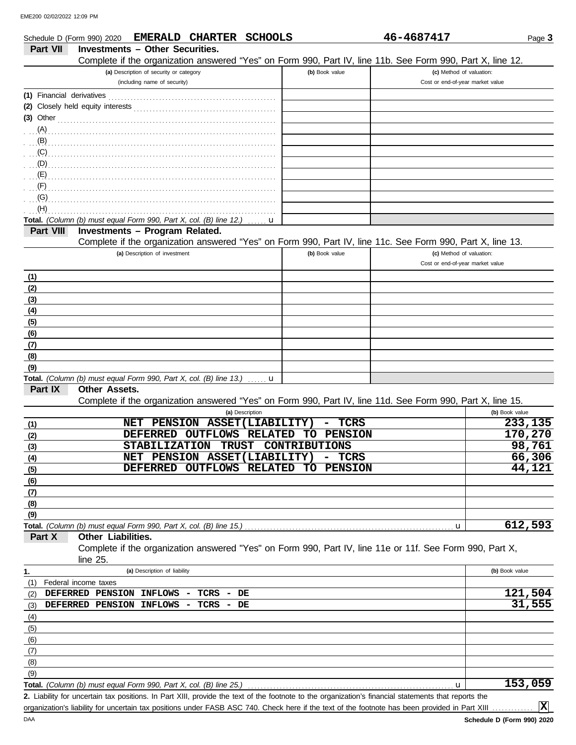|                 | Schedule D (Form 990) 2020                                                                                            |                                         | EMERALD CHARTER SCHOOLS                  |                 |                      | 46-4687417                                                                                                 | Page 3         |
|-----------------|-----------------------------------------------------------------------------------------------------------------------|-----------------------------------------|------------------------------------------|-----------------|----------------------|------------------------------------------------------------------------------------------------------------|----------------|
| <b>Part VII</b> | <b>Investments - Other Securities.</b>                                                                                |                                         |                                          |                 |                      |                                                                                                            |                |
|                 |                                                                                                                       |                                         |                                          |                 |                      | Complete if the organization answered "Yes" on Form 990, Part IV, line 11b. See Form 990, Part X, line 12. |                |
|                 |                                                                                                                       | (a) Description of security or category |                                          |                 | (b) Book value       | (c) Method of valuation:                                                                                   |                |
|                 |                                                                                                                       | (including name of security)            |                                          |                 |                      | Cost or end-of-year market value                                                                           |                |
|                 |                                                                                                                       |                                         |                                          |                 |                      |                                                                                                            |                |
|                 |                                                                                                                       |                                         |                                          |                 |                      |                                                                                                            |                |
|                 | (3) Other $\ldots$ $\ldots$ $\ldots$ $\ldots$ $\ldots$ $\ldots$ $\ldots$ $\ldots$ $\ldots$ $\ldots$ $\ldots$ $\ldots$ |                                         |                                          |                 |                      |                                                                                                            |                |
|                 |                                                                                                                       |                                         |                                          |                 |                      |                                                                                                            |                |
|                 |                                                                                                                       |                                         |                                          |                 |                      |                                                                                                            |                |
|                 |                                                                                                                       |                                         |                                          |                 |                      |                                                                                                            |                |
| (D)             |                                                                                                                       |                                         |                                          |                 |                      |                                                                                                            |                |
| (E)             |                                                                                                                       |                                         |                                          |                 |                      |                                                                                                            |                |
| (F)             |                                                                                                                       |                                         |                                          |                 |                      |                                                                                                            |                |
| (G)             |                                                                                                                       |                                         |                                          |                 |                      |                                                                                                            |                |
| (H)             |                                                                                                                       |                                         |                                          |                 |                      |                                                                                                            |                |
|                 | Total. (Column (b) must equal Form 990, Part X, col. (B) line 12.)                                                    |                                         |                                          | u               |                      |                                                                                                            |                |
| Part VIII       | Investments - Program Related.                                                                                        |                                         |                                          |                 |                      |                                                                                                            |                |
|                 |                                                                                                                       |                                         |                                          |                 |                      | Complete if the organization answered "Yes" on Form 990, Part IV, line 11c. See Form 990, Part X, line 13. |                |
|                 |                                                                                                                       | (a) Description of investment           |                                          |                 | (b) Book value       | (c) Method of valuation:                                                                                   |                |
|                 |                                                                                                                       |                                         |                                          |                 |                      | Cost or end-of-year market value                                                                           |                |
| (1)             |                                                                                                                       |                                         |                                          |                 |                      |                                                                                                            |                |
| (2)             |                                                                                                                       |                                         |                                          |                 |                      |                                                                                                            |                |
| (3)             |                                                                                                                       |                                         |                                          |                 |                      |                                                                                                            |                |
| (4)             |                                                                                                                       |                                         |                                          |                 |                      |                                                                                                            |                |
| (5)             |                                                                                                                       |                                         |                                          |                 |                      |                                                                                                            |                |
| (6)             |                                                                                                                       |                                         |                                          |                 |                      |                                                                                                            |                |
| (7)             |                                                                                                                       |                                         |                                          |                 |                      |                                                                                                            |                |
| (8)             |                                                                                                                       |                                         |                                          |                 |                      |                                                                                                            |                |
| (9)             |                                                                                                                       |                                         |                                          |                 |                      |                                                                                                            |                |
|                 | Total. (Column (b) must equal Form 990, Part X, col. (B) line 13.)                                                    |                                         |                                          | u               |                      |                                                                                                            |                |
| Part IX         | Other Assets.                                                                                                         |                                         |                                          |                 |                      |                                                                                                            |                |
|                 |                                                                                                                       |                                         |                                          |                 |                      | Complete if the organization answered "Yes" on Form 990, Part IV, line 11d. See Form 990, Part X, line 15. |                |
|                 |                                                                                                                       |                                         |                                          | (a) Description |                      |                                                                                                            | (b) Book value |
| (1)             | NET                                                                                                                   |                                         | PENSION ASSET (LIABILITY)                |                 | <b>TCRS</b><br>$-$   |                                                                                                            | 233,135        |
| (2)             |                                                                                                                       | <b>DEFERRED</b>                         | <b>OUTFLOWS</b>                          | <b>RELATED</b>  | <b>PENSION</b><br>TO |                                                                                                            | 170,270        |
| (3)             |                                                                                                                       | <b>STABILIZATION</b>                    | <b>TRUST</b>                             |                 | CONTRIBUTIONS        |                                                                                                            | 98,761         |
| (4)             |                                                                                                                       |                                         | NET PENSION ASSET(LIABILITY)             |                 | <b>TCRS</b><br>-     |                                                                                                            | 66,306         |
| (5)             |                                                                                                                       | <b>DEFERRED</b>                         | <b>OUTFLOWS RELATED TO</b>               |                 | <b>PENSION</b>       |                                                                                                            | 44,121         |
| (6)             |                                                                                                                       |                                         |                                          |                 |                      |                                                                                                            |                |
| (7)             |                                                                                                                       |                                         |                                          |                 |                      |                                                                                                            |                |
| (8)             |                                                                                                                       |                                         |                                          |                 |                      |                                                                                                            |                |
| (9)             |                                                                                                                       |                                         |                                          |                 |                      |                                                                                                            |                |
|                 | Total. (Column (b) must equal Form 990, Part X, col. (B) line 15.)                                                    |                                         |                                          |                 |                      | u                                                                                                          | 612,593        |
| Part X          | Other Liabilities.                                                                                                    |                                         |                                          |                 |                      |                                                                                                            |                |
|                 |                                                                                                                       |                                         |                                          |                 |                      | Complete if the organization answered "Yes" on Form 990, Part IV, line 11e or 11f. See Form 990, Part X,   |                |
|                 | line $25$ .                                                                                                           |                                         |                                          |                 |                      |                                                                                                            |                |
| 1.              |                                                                                                                       | (a) Description of liability            |                                          |                 |                      |                                                                                                            | (b) Book value |
| (1)             | Federal income taxes                                                                                                  |                                         |                                          |                 |                      |                                                                                                            |                |
| (2)             | DEFERRED PENSION INFLOWS                                                                                              |                                         | TCRS<br>- DE<br>Ξ.                       |                 |                      |                                                                                                            | 121,504        |
| (3)             | DEFERRED PENSION INFLOWS                                                                                              |                                         | TCRS<br>- DE<br>$\overline{\phantom{a}}$ |                 |                      |                                                                                                            | 31,555         |
| (4)             |                                                                                                                       |                                         |                                          |                 |                      |                                                                                                            |                |
| (5)             |                                                                                                                       |                                         |                                          |                 |                      |                                                                                                            |                |
| (6)             |                                                                                                                       |                                         |                                          |                 |                      |                                                                                                            |                |
| (7)             |                                                                                                                       |                                         |                                          |                 |                      |                                                                                                            |                |
| (8)             |                                                                                                                       |                                         |                                          |                 |                      |                                                                                                            |                |
| (9)             |                                                                                                                       |                                         |                                          |                 |                      |                                                                                                            |                |
|                 | Total. (Column (b) must equal Form 990, Part X, col. (B) line 25.)                                                    |                                         |                                          |                 |                      | u                                                                                                          | 153,059        |

Liability for uncertain tax positions. In Part XIII, provide the text of the footnote to the organization's financial statements that reports the **2.** organization's liability for uncertain tax positions under FASB ASC 740. Check here if the text of the footnote has been provided in Part XIII

**X**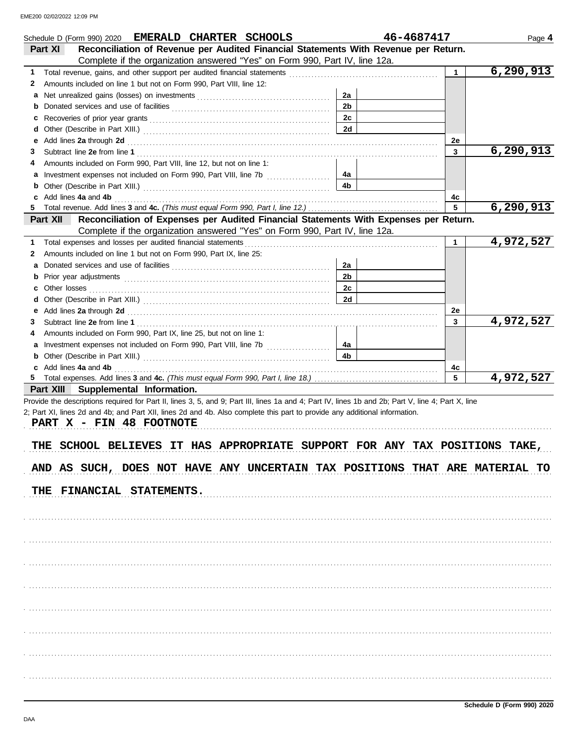|    | Schedule D (Form 990) 2020 EMERALD CHARTER SCHOOLS                                                                                                                                                                             |                | 46-4687417   | Page 4      |
|----|--------------------------------------------------------------------------------------------------------------------------------------------------------------------------------------------------------------------------------|----------------|--------------|-------------|
|    | Reconciliation of Revenue per Audited Financial Statements With Revenue per Return.<br>Part XI                                                                                                                                 |                |              |             |
|    | Complete if the organization answered "Yes" on Form 990, Part IV, line 12a.                                                                                                                                                    |                |              |             |
| 1. |                                                                                                                                                                                                                                |                | $\mathbf{1}$ | 6, 290, 913 |
| 2  | Amounts included on line 1 but not on Form 990, Part VIII, line 12:                                                                                                                                                            |                |              |             |
| а  |                                                                                                                                                                                                                                | 2a             |              |             |
| b  |                                                                                                                                                                                                                                | 2 <sub>b</sub> |              |             |
| c  |                                                                                                                                                                                                                                | 2c             |              |             |
| d  |                                                                                                                                                                                                                                | 2d             |              |             |
| е  | Add lines 2a through 2d [11] March 2014 [12] March 2014 [12] March 2014 [12] March 2014 [12] March 2014 [12] March 2015 [12] March 2014 [12] March 2014 [12] March 2014 [12] March 2014 [12] March 2014 [12] March 2014 [12] M |                | <b>2e</b>    |             |
| 3  |                                                                                                                                                                                                                                |                | $\mathbf{3}$ | 6,290,913   |
| 4  | Amounts included on Form 990, Part VIII, line 12, but not on line 1:                                                                                                                                                           |                |              |             |
|    |                                                                                                                                                                                                                                | - 4a           |              |             |
| b  |                                                                                                                                                                                                                                | 4 <sub>b</sub> |              |             |
| c  | Add lines 4a and 4b                                                                                                                                                                                                            |                | 4c           |             |
|    |                                                                                                                                                                                                                                |                | 5            | 6,290,913   |
|    | Reconciliation of Expenses per Audited Financial Statements With Expenses per Return.<br>Part XII                                                                                                                              |                |              |             |
|    | Complete if the organization answered "Yes" on Form 990, Part IV, line 12a.                                                                                                                                                    |                |              |             |
| 1  | Total expenses and losses per audited financial statements                                                                                                                                                                     |                | $\mathbf{1}$ | 4,972,527   |
| 2  | Amounts included on line 1 but not on Form 990, Part IX, line 25:                                                                                                                                                              |                |              |             |
| а  |                                                                                                                                                                                                                                | 2a             |              |             |
|    |                                                                                                                                                                                                                                | 2 <sub>b</sub> |              |             |
|    |                                                                                                                                                                                                                                | 2c             |              |             |
|    |                                                                                                                                                                                                                                | 2d             |              |             |
|    |                                                                                                                                                                                                                                |                | 2e           |             |
| 3  |                                                                                                                                                                                                                                |                | 3            | 4,972,527   |
| 4  | Amounts included on Form 990, Part IX, line 25, but not on line 1:                                                                                                                                                             |                |              |             |
|    |                                                                                                                                                                                                                                | 4a             |              |             |
|    |                                                                                                                                                                                                                                | 4b             |              |             |
|    | c Add lines 4a and 4b (a) and the contract of the contract of the contract of the contract of the contract of the contract of the contract of the contract of the contract of the contract of the contract of the contract of  |                | 4c           |             |
|    |                                                                                                                                                                                                                                |                | 5            | 4,972,527   |
|    | Part XIII Supplemental Information.                                                                                                                                                                                            |                |              |             |
|    | Provide the descriptions required for Part II, lines 3, 5, and 9; Part III, lines 1a and 4; Part IV, lines 1b and 2b; Part V, line 4; Part X, line                                                                             |                |              |             |
|    | 2; Part XI, lines 2d and 4b; and Part XII, lines 2d and 4b. Also complete this part to provide any additional information.                                                                                                     |                |              |             |
|    | PART X - FIN 48 FOOTNOTE                                                                                                                                                                                                       |                |              |             |
|    |                                                                                                                                                                                                                                |                |              |             |
|    | THE SCHOOL BELIEVES IT HAS APPROPRIATE SUPPORT FOR ANY TAX POSITIONS TAKE,                                                                                                                                                     |                |              |             |
|    |                                                                                                                                                                                                                                |                |              |             |
|    | AND AS SUCH, DOES NOT HAVE ANY UNCERTAIN TAX POSITIONS THAT ARE MATERIAL                                                                                                                                                       |                |              |             |
|    |                                                                                                                                                                                                                                |                |              |             |
|    | THE FINANCIAL STATEMENTS.                                                                                                                                                                                                      |                |              |             |
|    |                                                                                                                                                                                                                                |                |              |             |
|    |                                                                                                                                                                                                                                |                |              |             |
|    |                                                                                                                                                                                                                                |                |              |             |
|    |                                                                                                                                                                                                                                |                |              |             |
|    |                                                                                                                                                                                                                                |                |              |             |
|    |                                                                                                                                                                                                                                |                |              |             |
|    |                                                                                                                                                                                                                                |                |              |             |
|    |                                                                                                                                                                                                                                |                |              |             |
|    |                                                                                                                                                                                                                                |                |              |             |
|    |                                                                                                                                                                                                                                |                |              |             |
|    |                                                                                                                                                                                                                                |                |              |             |
|    |                                                                                                                                                                                                                                |                |              |             |
|    |                                                                                                                                                                                                                                |                |              |             |
|    |                                                                                                                                                                                                                                |                |              |             |
|    |                                                                                                                                                                                                                                |                |              |             |
|    |                                                                                                                                                                                                                                |                |              |             |
|    |                                                                                                                                                                                                                                |                |              |             |
|    |                                                                                                                                                                                                                                |                |              |             |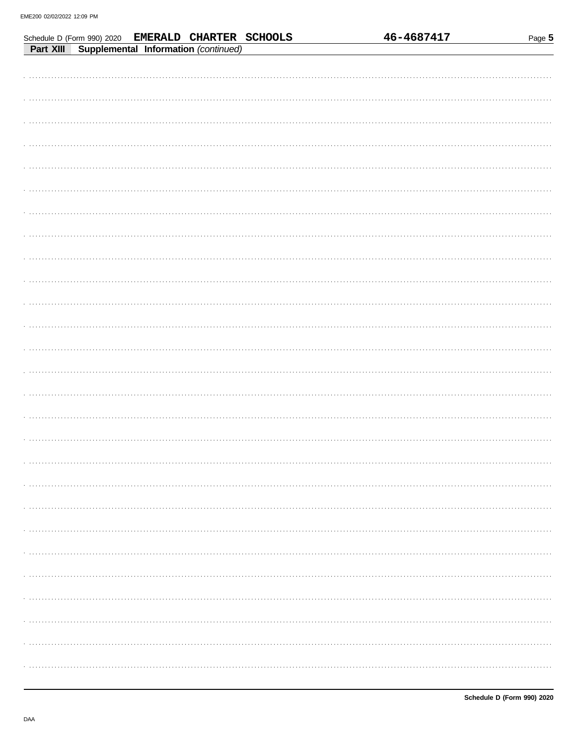| Schedule D (Form 990) 2020 EMERALD CHARTER SCHOOLS<br>Part XIII Supplemental Information (continued) | 46-4687417<br>Page 5 |
|------------------------------------------------------------------------------------------------------|----------------------|
|                                                                                                      |                      |
|                                                                                                      |                      |
|                                                                                                      |                      |
|                                                                                                      |                      |
|                                                                                                      |                      |
|                                                                                                      |                      |
|                                                                                                      |                      |
|                                                                                                      |                      |
|                                                                                                      |                      |
|                                                                                                      |                      |
|                                                                                                      |                      |
|                                                                                                      |                      |
|                                                                                                      |                      |
|                                                                                                      |                      |
|                                                                                                      |                      |
|                                                                                                      |                      |
|                                                                                                      |                      |
|                                                                                                      |                      |
|                                                                                                      |                      |
|                                                                                                      |                      |
|                                                                                                      |                      |
|                                                                                                      |                      |
|                                                                                                      |                      |
|                                                                                                      |                      |
|                                                                                                      |                      |
|                                                                                                      |                      |
|                                                                                                      |                      |
|                                                                                                      |                      |
|                                                                                                      |                      |
|                                                                                                      |                      |
|                                                                                                      |                      |
|                                                                                                      |                      |
|                                                                                                      |                      |
|                                                                                                      |                      |
|                                                                                                      |                      |
| .                                                                                                    | .                    |
| .                                                                                                    |                      |
|                                                                                                      |                      |
|                                                                                                      | .                    |
|                                                                                                      |                      |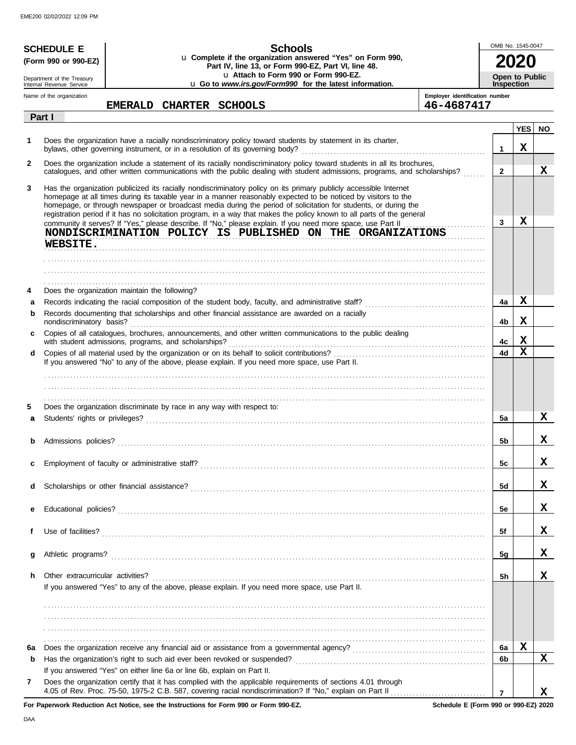|                                                                                                                                                                                                                                                                                                                                                                                                                                                                                                                                                                                                                                                                                                                                                                                                                                                                                                                                                                                                                                                                                                                                                                                                                                                                                                                                                                                                                                                                                                                                                                                                                                                                                                                                                                                                                                                                                                                                                                                                                                                                                                                                                                                                                                                                                                                                                                                                    |                                                     |  |                                                                                                              |  | <b>Schools</b> |  |  | OMB No. 1545-0047 |            |           |  |  |  |
|----------------------------------------------------------------------------------------------------------------------------------------------------------------------------------------------------------------------------------------------------------------------------------------------------------------------------------------------------------------------------------------------------------------------------------------------------------------------------------------------------------------------------------------------------------------------------------------------------------------------------------------------------------------------------------------------------------------------------------------------------------------------------------------------------------------------------------------------------------------------------------------------------------------------------------------------------------------------------------------------------------------------------------------------------------------------------------------------------------------------------------------------------------------------------------------------------------------------------------------------------------------------------------------------------------------------------------------------------------------------------------------------------------------------------------------------------------------------------------------------------------------------------------------------------------------------------------------------------------------------------------------------------------------------------------------------------------------------------------------------------------------------------------------------------------------------------------------------------------------------------------------------------------------------------------------------------------------------------------------------------------------------------------------------------------------------------------------------------------------------------------------------------------------------------------------------------------------------------------------------------------------------------------------------------------------------------------------------------------------------------------------------------|-----------------------------------------------------|--|--------------------------------------------------------------------------------------------------------------|--|----------------|--|--|-------------------|------------|-----------|--|--|--|
|                                                                                                                                                                                                                                                                                                                                                                                                                                                                                                                                                                                                                                                                                                                                                                                                                                                                                                                                                                                                                                                                                                                                                                                                                                                                                                                                                                                                                                                                                                                                                                                                                                                                                                                                                                                                                                                                                                                                                                                                                                                                                                                                                                                                                                                                                                                                                                                                    | Part IV, line 13, or Form 990-EZ, Part VI, line 48. |  |                                                                                                              |  |                |  |  |                   |            |           |  |  |  |
| <b>SCHEDULE E</b><br>Lu Complete if the organization answered "Yes" on Form 990,<br>(Form 990 or 990-EZ)<br>U Attach to Form 990 or Form 990-EZ.<br><b>Open to Public</b><br>Department of the Treasury<br>U Go to www.irs.gov/Form990 for the latest information.<br><b>Inspection</b><br>Internal Revenue Service<br>Employer identification number<br>Name of the organization<br>46-4687417<br>CHARTER SCHOOLS<br>EMERALD<br>Part I<br>Does the organization have a racially nondiscriminatory policy toward students by statement in its charter,<br>1<br>bylaws, other governing instrument, or in a resolution of its governing body?<br>$\mathbf{1}$<br>Does the organization include a statement of its racially nondiscriminatory policy toward students in all its brochures,<br>$\mathbf{2}$<br>catalogues, and other written communications with the public dealing with student admissions, programs, and scholarships?<br>$\mathbf{2}$<br>Has the organization publicized its racially nondiscriminatory policy on its primary publicly accessible Internet<br>3<br>homepage at all times during its taxable year in a manner reasonably expected to be noticed by visitors to the<br>homepage, or through newspaper or broadcast media during the period of solicitation for students, or during the<br>registration period if it has no solicitation program, in a way that makes the policy known to all parts of the general<br>3<br>NONDISCRIMINATION POLICY IS PUBLISHED ON THE ORGANIZATIONS<br>WEBSITE.<br>Does the organization maintain the following?<br>4<br>4a<br>а<br>Records documenting that scholarships and other financial assistance are awarded on a racially<br>b<br>nondiscriminatory basis?<br>4b<br>Copies of all catalogues, brochures, announcements, and other written communications to the public dealing<br>c<br>with student admissions, programs, and scholarships?<br>4c<br>4d<br>d<br>If you answered "No" to any of the above, please explain. If you need more space, use Part II.<br>Does the organization discriminate by race in any way with respect to:<br>5<br>5a<br>a<br>Admissions policies?<br>5b<br>5c<br>c<br><b>5d</b><br>d<br>5е<br>е<br>5f<br>f<br>5g<br>Other extracurricular activities?<br>h.<br>5h<br>If you answered "Yes" to any of the above, please explain. If you need more space, use Part II.<br>6а<br>6а<br>6b<br>b |                                                     |  |                                                                                                              |  |                |  |  |                   |            |           |  |  |  |
| If you answered "Yes" on either line 6a or line 6b, explain on Part II.                                                                                                                                                                                                                                                                                                                                                                                                                                                                                                                                                                                                                                                                                                                                                                                                                                                                                                                                                                                                                                                                                                                                                                                                                                                                                                                                                                                                                                                                                                                                                                                                                                                                                                                                                                                                                                                                                                                                                                                                                                                                                                                                                                                                                                                                                                                            |                                                     |  |                                                                                                              |  |                |  |  |                   |            |           |  |  |  |
|                                                                                                                                                                                                                                                                                                                                                                                                                                                                                                                                                                                                                                                                                                                                                                                                                                                                                                                                                                                                                                                                                                                                                                                                                                                                                                                                                                                                                                                                                                                                                                                                                                                                                                                                                                                                                                                                                                                                                                                                                                                                                                                                                                                                                                                                                                                                                                                                    |                                                     |  |                                                                                                              |  |                |  |  |                   |            |           |  |  |  |
|                                                                                                                                                                                                                                                                                                                                                                                                                                                                                                                                                                                                                                                                                                                                                                                                                                                                                                                                                                                                                                                                                                                                                                                                                                                                                                                                                                                                                                                                                                                                                                                                                                                                                                                                                                                                                                                                                                                                                                                                                                                                                                                                                                                                                                                                                                                                                                                                    |                                                     |  |                                                                                                              |  |                |  |  |                   | <b>YES</b> | <b>NO</b> |  |  |  |
|                                                                                                                                                                                                                                                                                                                                                                                                                                                                                                                                                                                                                                                                                                                                                                                                                                                                                                                                                                                                                                                                                                                                                                                                                                                                                                                                                                                                                                                                                                                                                                                                                                                                                                                                                                                                                                                                                                                                                                                                                                                                                                                                                                                                                                                                                                                                                                                                    |                                                     |  |                                                                                                              |  |                |  |  |                   | X          |           |  |  |  |
|                                                                                                                                                                                                                                                                                                                                                                                                                                                                                                                                                                                                                                                                                                                                                                                                                                                                                                                                                                                                                                                                                                                                                                                                                                                                                                                                                                                                                                                                                                                                                                                                                                                                                                                                                                                                                                                                                                                                                                                                                                                                                                                                                                                                                                                                                                                                                                                                    |                                                     |  |                                                                                                              |  |                |  |  |                   |            | x         |  |  |  |
|                                                                                                                                                                                                                                                                                                                                                                                                                                                                                                                                                                                                                                                                                                                                                                                                                                                                                                                                                                                                                                                                                                                                                                                                                                                                                                                                                                                                                                                                                                                                                                                                                                                                                                                                                                                                                                                                                                                                                                                                                                                                                                                                                                                                                                                                                                                                                                                                    |                                                     |  |                                                                                                              |  |                |  |  |                   | x          |           |  |  |  |
|                                                                                                                                                                                                                                                                                                                                                                                                                                                                                                                                                                                                                                                                                                                                                                                                                                                                                                                                                                                                                                                                                                                                                                                                                                                                                                                                                                                                                                                                                                                                                                                                                                                                                                                                                                                                                                                                                                                                                                                                                                                                                                                                                                                                                                                                                                                                                                                                    |                                                     |  |                                                                                                              |  |                |  |  |                   |            |           |  |  |  |
|                                                                                                                                                                                                                                                                                                                                                                                                                                                                                                                                                                                                                                                                                                                                                                                                                                                                                                                                                                                                                                                                                                                                                                                                                                                                                                                                                                                                                                                                                                                                                                                                                                                                                                                                                                                                                                                                                                                                                                                                                                                                                                                                                                                                                                                                                                                                                                                                    |                                                     |  |                                                                                                              |  |                |  |  |                   |            |           |  |  |  |
|                                                                                                                                                                                                                                                                                                                                                                                                                                                                                                                                                                                                                                                                                                                                                                                                                                                                                                                                                                                                                                                                                                                                                                                                                                                                                                                                                                                                                                                                                                                                                                                                                                                                                                                                                                                                                                                                                                                                                                                                                                                                                                                                                                                                                                                                                                                                                                                                    |                                                     |  |                                                                                                              |  |                |  |  |                   |            |           |  |  |  |
|                                                                                                                                                                                                                                                                                                                                                                                                                                                                                                                                                                                                                                                                                                                                                                                                                                                                                                                                                                                                                                                                                                                                                                                                                                                                                                                                                                                                                                                                                                                                                                                                                                                                                                                                                                                                                                                                                                                                                                                                                                                                                                                                                                                                                                                                                                                                                                                                    |                                                     |  |                                                                                                              |  |                |  |  |                   |            |           |  |  |  |
|                                                                                                                                                                                                                                                                                                                                                                                                                                                                                                                                                                                                                                                                                                                                                                                                                                                                                                                                                                                                                                                                                                                                                                                                                                                                                                                                                                                                                                                                                                                                                                                                                                                                                                                                                                                                                                                                                                                                                                                                                                                                                                                                                                                                                                                                                                                                                                                                    |                                                     |  | Does the organization certify that it has complied with the applicable requirements of sections 4.01 through |  |                |  |  |                   |            |           |  |  |  |
|                                                                                                                                                                                                                                                                                                                                                                                                                                                                                                                                                                                                                                                                                                                                                                                                                                                                                                                                                                                                                                                                                                                                                                                                                                                                                                                                                                                                                                                                                                                                                                                                                                                                                                                                                                                                                                                                                                                                                                                                                                                                                                                                                                                                                                                                                                                                                                                                    |                                                     |  |                                                                                                              |  |                |  |  |                   | х          |           |  |  |  |
|                                                                                                                                                                                                                                                                                                                                                                                                                                                                                                                                                                                                                                                                                                                                                                                                                                                                                                                                                                                                                                                                                                                                                                                                                                                                                                                                                                                                                                                                                                                                                                                                                                                                                                                                                                                                                                                                                                                                                                                                                                                                                                                                                                                                                                                                                                                                                                                                    |                                                     |  |                                                                                                              |  |                |  |  |                   | х          |           |  |  |  |
|                                                                                                                                                                                                                                                                                                                                                                                                                                                                                                                                                                                                                                                                                                                                                                                                                                                                                                                                                                                                                                                                                                                                                                                                                                                                                                                                                                                                                                                                                                                                                                                                                                                                                                                                                                                                                                                                                                                                                                                                                                                                                                                                                                                                                                                                                                                                                                                                    |                                                     |  |                                                                                                              |  |                |  |  |                   | х          |           |  |  |  |
|                                                                                                                                                                                                                                                                                                                                                                                                                                                                                                                                                                                                                                                                                                                                                                                                                                                                                                                                                                                                                                                                                                                                                                                                                                                                                                                                                                                                                                                                                                                                                                                                                                                                                                                                                                                                                                                                                                                                                                                                                                                                                                                                                                                                                                                                                                                                                                                                    |                                                     |  |                                                                                                              |  |                |  |  |                   | X          |           |  |  |  |
|                                                                                                                                                                                                                                                                                                                                                                                                                                                                                                                                                                                                                                                                                                                                                                                                                                                                                                                                                                                                                                                                                                                                                                                                                                                                                                                                                                                                                                                                                                                                                                                                                                                                                                                                                                                                                                                                                                                                                                                                                                                                                                                                                                                                                                                                                                                                                                                                    |                                                     |  |                                                                                                              |  |                |  |  |                   |            |           |  |  |  |
|                                                                                                                                                                                                                                                                                                                                                                                                                                                                                                                                                                                                                                                                                                                                                                                                                                                                                                                                                                                                                                                                                                                                                                                                                                                                                                                                                                                                                                                                                                                                                                                                                                                                                                                                                                                                                                                                                                                                                                                                                                                                                                                                                                                                                                                                                                                                                                                                    |                                                     |  |                                                                                                              |  |                |  |  |                   |            |           |  |  |  |
|                                                                                                                                                                                                                                                                                                                                                                                                                                                                                                                                                                                                                                                                                                                                                                                                                                                                                                                                                                                                                                                                                                                                                                                                                                                                                                                                                                                                                                                                                                                                                                                                                                                                                                                                                                                                                                                                                                                                                                                                                                                                                                                                                                                                                                                                                                                                                                                                    |                                                     |  |                                                                                                              |  |                |  |  |                   |            |           |  |  |  |
|                                                                                                                                                                                                                                                                                                                                                                                                                                                                                                                                                                                                                                                                                                                                                                                                                                                                                                                                                                                                                                                                                                                                                                                                                                                                                                                                                                                                                                                                                                                                                                                                                                                                                                                                                                                                                                                                                                                                                                                                                                                                                                                                                                                                                                                                                                                                                                                                    |                                                     |  |                                                                                                              |  |                |  |  |                   |            | x         |  |  |  |
|                                                                                                                                                                                                                                                                                                                                                                                                                                                                                                                                                                                                                                                                                                                                                                                                                                                                                                                                                                                                                                                                                                                                                                                                                                                                                                                                                                                                                                                                                                                                                                                                                                                                                                                                                                                                                                                                                                                                                                                                                                                                                                                                                                                                                                                                                                                                                                                                    |                                                     |  |                                                                                                              |  |                |  |  |                   |            | x         |  |  |  |
|                                                                                                                                                                                                                                                                                                                                                                                                                                                                                                                                                                                                                                                                                                                                                                                                                                                                                                                                                                                                                                                                                                                                                                                                                                                                                                                                                                                                                                                                                                                                                                                                                                                                                                                                                                                                                                                                                                                                                                                                                                                                                                                                                                                                                                                                                                                                                                                                    |                                                     |  |                                                                                                              |  |                |  |  |                   |            |           |  |  |  |
|                                                                                                                                                                                                                                                                                                                                                                                                                                                                                                                                                                                                                                                                                                                                                                                                                                                                                                                                                                                                                                                                                                                                                                                                                                                                                                                                                                                                                                                                                                                                                                                                                                                                                                                                                                                                                                                                                                                                                                                                                                                                                                                                                                                                                                                                                                                                                                                                    |                                                     |  |                                                                                                              |  |                |  |  |                   |            | X         |  |  |  |
|                                                                                                                                                                                                                                                                                                                                                                                                                                                                                                                                                                                                                                                                                                                                                                                                                                                                                                                                                                                                                                                                                                                                                                                                                                                                                                                                                                                                                                                                                                                                                                                                                                                                                                                                                                                                                                                                                                                                                                                                                                                                                                                                                                                                                                                                                                                                                                                                    |                                                     |  |                                                                                                              |  |                |  |  |                   |            | X         |  |  |  |
|                                                                                                                                                                                                                                                                                                                                                                                                                                                                                                                                                                                                                                                                                                                                                                                                                                                                                                                                                                                                                                                                                                                                                                                                                                                                                                                                                                                                                                                                                                                                                                                                                                                                                                                                                                                                                                                                                                                                                                                                                                                                                                                                                                                                                                                                                                                                                                                                    |                                                     |  |                                                                                                              |  |                |  |  |                   |            | x         |  |  |  |
|                                                                                                                                                                                                                                                                                                                                                                                                                                                                                                                                                                                                                                                                                                                                                                                                                                                                                                                                                                                                                                                                                                                                                                                                                                                                                                                                                                                                                                                                                                                                                                                                                                                                                                                                                                                                                                                                                                                                                                                                                                                                                                                                                                                                                                                                                                                                                                                                    |                                                     |  |                                                                                                              |  |                |  |  |                   |            |           |  |  |  |
|                                                                                                                                                                                                                                                                                                                                                                                                                                                                                                                                                                                                                                                                                                                                                                                                                                                                                                                                                                                                                                                                                                                                                                                                                                                                                                                                                                                                                                                                                                                                                                                                                                                                                                                                                                                                                                                                                                                                                                                                                                                                                                                                                                                                                                                                                                                                                                                                    |                                                     |  |                                                                                                              |  |                |  |  |                   |            | х         |  |  |  |
|                                                                                                                                                                                                                                                                                                                                                                                                                                                                                                                                                                                                                                                                                                                                                                                                                                                                                                                                                                                                                                                                                                                                                                                                                                                                                                                                                                                                                                                                                                                                                                                                                                                                                                                                                                                                                                                                                                                                                                                                                                                                                                                                                                                                                                                                                                                                                                                                    |                                                     |  |                                                                                                              |  |                |  |  |                   |            | х         |  |  |  |
|                                                                                                                                                                                                                                                                                                                                                                                                                                                                                                                                                                                                                                                                                                                                                                                                                                                                                                                                                                                                                                                                                                                                                                                                                                                                                                                                                                                                                                                                                                                                                                                                                                                                                                                                                                                                                                                                                                                                                                                                                                                                                                                                                                                                                                                                                                                                                                                                    |                                                     |  |                                                                                                              |  |                |  |  |                   |            | x         |  |  |  |
|                                                                                                                                                                                                                                                                                                                                                                                                                                                                                                                                                                                                                                                                                                                                                                                                                                                                                                                                                                                                                                                                                                                                                                                                                                                                                                                                                                                                                                                                                                                                                                                                                                                                                                                                                                                                                                                                                                                                                                                                                                                                                                                                                                                                                                                                                                                                                                                                    |                                                     |  |                                                                                                              |  |                |  |  |                   |            |           |  |  |  |
|                                                                                                                                                                                                                                                                                                                                                                                                                                                                                                                                                                                                                                                                                                                                                                                                                                                                                                                                                                                                                                                                                                                                                                                                                                                                                                                                                                                                                                                                                                                                                                                                                                                                                                                                                                                                                                                                                                                                                                                                                                                                                                                                                                                                                                                                                                                                                                                                    |                                                     |  |                                                                                                              |  |                |  |  |                   |            |           |  |  |  |
|                                                                                                                                                                                                                                                                                                                                                                                                                                                                                                                                                                                                                                                                                                                                                                                                                                                                                                                                                                                                                                                                                                                                                                                                                                                                                                                                                                                                                                                                                                                                                                                                                                                                                                                                                                                                                                                                                                                                                                                                                                                                                                                                                                                                                                                                                                                                                                                                    |                                                     |  |                                                                                                              |  |                |  |  |                   |            |           |  |  |  |
|                                                                                                                                                                                                                                                                                                                                                                                                                                                                                                                                                                                                                                                                                                                                                                                                                                                                                                                                                                                                                                                                                                                                                                                                                                                                                                                                                                                                                                                                                                                                                                                                                                                                                                                                                                                                                                                                                                                                                                                                                                                                                                                                                                                                                                                                                                                                                                                                    |                                                     |  |                                                                                                              |  |                |  |  |                   |            |           |  |  |  |
|                                                                                                                                                                                                                                                                                                                                                                                                                                                                                                                                                                                                                                                                                                                                                                                                                                                                                                                                                                                                                                                                                                                                                                                                                                                                                                                                                                                                                                                                                                                                                                                                                                                                                                                                                                                                                                                                                                                                                                                                                                                                                                                                                                                                                                                                                                                                                                                                    |                                                     |  |                                                                                                              |  |                |  |  |                   | X          |           |  |  |  |
|                                                                                                                                                                                                                                                                                                                                                                                                                                                                                                                                                                                                                                                                                                                                                                                                                                                                                                                                                                                                                                                                                                                                                                                                                                                                                                                                                                                                                                                                                                                                                                                                                                                                                                                                                                                                                                                                                                                                                                                                                                                                                                                                                                                                                                                                                                                                                                                                    |                                                     |  |                                                                                                              |  |                |  |  |                   |            | x         |  |  |  |
|                                                                                                                                                                                                                                                                                                                                                                                                                                                                                                                                                                                                                                                                                                                                                                                                                                                                                                                                                                                                                                                                                                                                                                                                                                                                                                                                                                                                                                                                                                                                                                                                                                                                                                                                                                                                                                                                                                                                                                                                                                                                                                                                                                                                                                                                                                                                                                                                    |                                                     |  |                                                                                                              |  |                |  |  |                   |            |           |  |  |  |
| 7                                                                                                                                                                                                                                                                                                                                                                                                                                                                                                                                                                                                                                                                                                                                                                                                                                                                                                                                                                                                                                                                                                                                                                                                                                                                                                                                                                                                                                                                                                                                                                                                                                                                                                                                                                                                                                                                                                                                                                                                                                                                                                                                                                                                                                                                                                                                                                                                  |                                                     |  |                                                                                                              |  |                |  |  | $\overline{7}$    |            | X.        |  |  |  |

**For Paperwork Reduction Act Notice, see the Instructions for Form 990 or Form 990-EZ.**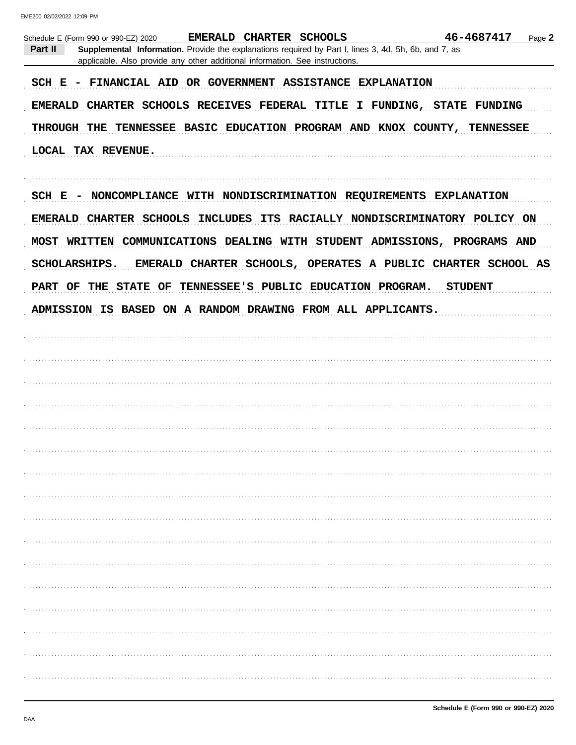| Schedule E (Form 990 or 990-EZ) 2020                                                                                                                                                             | EMERALD CHARTER SCHOOLS | 46-4687417                                                   | Page 2 |
|--------------------------------------------------------------------------------------------------------------------------------------------------------------------------------------------------|-------------------------|--------------------------------------------------------------|--------|
| Part II<br>Supplemental Information. Provide the explanations required by Part I, lines 3, 4d, 5h, 6b, and 7, as<br>applicable. Also provide any other additional information. See instructions. |                         |                                                              |        |
| SCH E - FINANCIAL AID OR GOVERNMENT ASSISTANCE EXPLANATION                                                                                                                                       |                         |                                                              |        |
| EMERALD CHARTER SCHOOLS RECEIVES FEDERAL TITLE I FUNDING, STATE FUNDING                                                                                                                          |                         |                                                              |        |
| THROUGH THE TENNESSEE BASIC EDUCATION PROGRAM AND KNOX COUNTY, TENNESSEE                                                                                                                         |                         |                                                              |        |
| LOCAL TAX REVENUE.                                                                                                                                                                               |                         |                                                              |        |
| SCH E - NONCOMPLIANCE WITH NONDISCRIMINATION REQUIREMENTS EXPLANATION                                                                                                                            |                         |                                                              |        |
| EMERALD CHARTER SCHOOLS INCLUDES ITS RACIALLY NONDISCRIMINATORY POLICY ON                                                                                                                        |                         |                                                              |        |
| MOST WRITTEN COMMUNICATIONS DEALING WITH STUDENT ADMISSIONS, PROGRAMS AND                                                                                                                        |                         |                                                              |        |
| SCHOLARSHIPS.                                                                                                                                                                                    |                         | EMERALD CHARTER SCHOOLS, OPERATES A PUBLIC CHARTER SCHOOL AS |        |
| PART OF THE STATE OF TENNESSEE'S PUBLIC EDUCATION PROGRAM. STUDENT                                                                                                                               |                         |                                                              |        |
| ADMISSION IS BASED ON A RANDOM DRAWING FROM ALL APPLICANTS.                                                                                                                                      |                         |                                                              |        |
|                                                                                                                                                                                                  |                         |                                                              |        |
|                                                                                                                                                                                                  |                         |                                                              |        |
|                                                                                                                                                                                                  |                         |                                                              |        |
|                                                                                                                                                                                                  |                         |                                                              |        |
|                                                                                                                                                                                                  |                         |                                                              |        |
|                                                                                                                                                                                                  |                         |                                                              |        |
|                                                                                                                                                                                                  |                         |                                                              |        |
|                                                                                                                                                                                                  |                         |                                                              |        |
|                                                                                                                                                                                                  |                         |                                                              |        |
|                                                                                                                                                                                                  |                         |                                                              |        |
|                                                                                                                                                                                                  |                         |                                                              |        |
|                                                                                                                                                                                                  |                         |                                                              |        |
|                                                                                                                                                                                                  |                         |                                                              |        |
|                                                                                                                                                                                                  |                         |                                                              |        |
|                                                                                                                                                                                                  |                         |                                                              |        |
|                                                                                                                                                                                                  |                         |                                                              |        |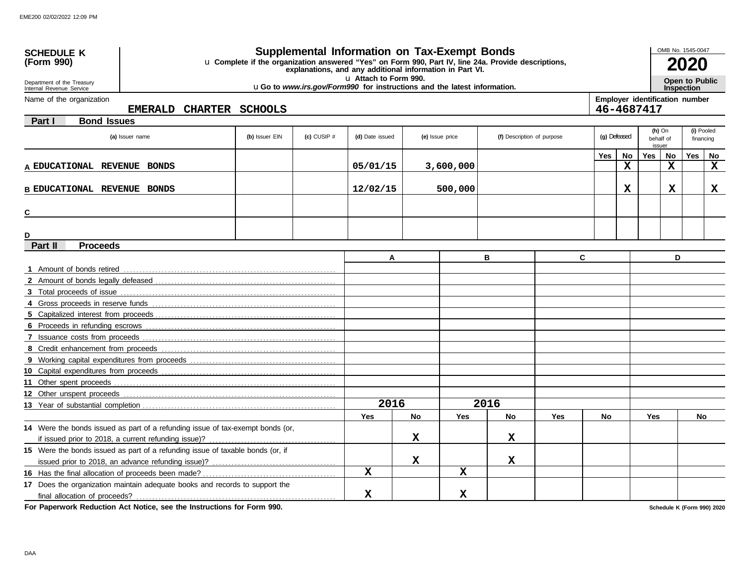## **SCHEDULE K Supplemental Information on Tax-Exempt Bonds**

**(Form 990)** u Complete if the organization answered "Yes" on Form 990, Part IV, line 24a. Provide descriptions,<br>explanations, and any additional information in Part VI.

u **Attach to Form 990.**

u**Go to** *www.irs.gov/Form990* **for instructions and the latest information.**



Department of the Treasury<br>Internal Revenue Service

Name of the organization **EMERALD CHARTER SCHOOLS Name of the organization in the result of the SCHOOLS EMERALD CHARTER SCHOOLS** 

**EMERALD CHARTER SCHOOLS 46-4687417**

| Part I<br><b>Bond Issues</b>                                                   |                |               |                 |                 |              |                            |     |           |              |            |                            |           |             |
|--------------------------------------------------------------------------------|----------------|---------------|-----------------|-----------------|--------------|----------------------------|-----|-----------|--------------|------------|----------------------------|-----------|-------------|
| (a) Issuer name                                                                | (b) Issuer EIN | (c) CUSIP $#$ | (d) Date issued | (e) Issue price |              | (f) Description of purpose |     |           | (g) Defeased | behalf of  | $(h)$ On<br>issuer         | financing | (i) Pooled  |
|                                                                                |                |               |                 |                 |              |                            |     | Yes       | No           | Yes        | <b>No</b>                  | Yes       | <b>No</b>   |
| A EDUCATIONAL REVENUE BONDS                                                    |                |               | 05/01/15        |                 | 3,600,000    |                            |     |           | $\mathbf{x}$ |            | $\mathbf x$                |           | $\mathbf x$ |
|                                                                                |                |               |                 |                 |              |                            |     |           |              |            |                            |           |             |
| <b>B EDUCATIONAL REVENUE BONDS</b>                                             |                |               | 12/02/15        |                 | 500,000      |                            |     |           | $\mathbf x$  |            | X                          |           | x           |
|                                                                                |                |               |                 |                 |              |                            |     |           |              |            |                            |           |             |
| C                                                                              |                |               |                 |                 |              |                            |     |           |              |            |                            |           |             |
|                                                                                |                |               |                 |                 |              |                            |     |           |              |            |                            |           |             |
| D                                                                              |                |               |                 |                 |              |                            |     |           |              |            |                            |           |             |
| Part II<br><b>Proceeds</b>                                                     |                |               |                 |                 |              |                            |     |           |              |            |                            |           |             |
|                                                                                |                |               | A               |                 |              | в                          | C   |           |              |            | D                          |           |             |
| 1 Amount of bonds retired                                                      |                |               |                 |                 |              |                            |     |           |              |            |                            |           |             |
|                                                                                |                |               |                 |                 |              |                            |     |           |              |            |                            |           |             |
|                                                                                |                |               |                 |                 |              |                            |     |           |              |            |                            |           |             |
|                                                                                |                |               |                 |                 |              |                            |     |           |              |            |                            |           |             |
|                                                                                |                |               |                 |                 |              |                            |     |           |              |            |                            |           |             |
|                                                                                |                |               |                 |                 |              |                            |     |           |              |            |                            |           |             |
|                                                                                |                |               |                 |                 |              |                            |     |           |              |            |                            |           |             |
|                                                                                |                |               |                 |                 |              |                            |     |           |              |            |                            |           |             |
|                                                                                |                |               |                 |                 |              |                            |     |           |              |            |                            |           |             |
|                                                                                |                |               |                 |                 |              |                            |     |           |              |            |                            |           |             |
|                                                                                |                |               |                 |                 |              |                            |     |           |              |            |                            |           |             |
|                                                                                |                |               |                 |                 |              |                            |     |           |              |            |                            |           |             |
|                                                                                |                |               | 2016            |                 |              | 2016                       |     |           |              |            |                            |           |             |
|                                                                                |                |               | Yes             | <b>No</b>       | <b>Yes</b>   | <b>No</b>                  | Yes | <b>No</b> |              | <b>Yes</b> |                            | <b>No</b> |             |
| 14 Were the bonds issued as part of a refunding issue of tax-exempt bonds (or, |                |               |                 |                 |              |                            |     |           |              |            |                            |           |             |
|                                                                                |                |               |                 | X               |              | x                          |     |           |              |            |                            |           |             |
| 15 Were the bonds issued as part of a refunding issue of taxable bonds (or, if |                |               |                 |                 |              |                            |     |           |              |            |                            |           |             |
|                                                                                |                |               |                 | X               |              | X                          |     |           |              |            |                            |           |             |
|                                                                                |                |               | $\mathbf x$     |                 | $\mathbf{x}$ |                            |     |           |              |            |                            |           |             |
| 17 Does the organization maintain adequate books and records to support the    |                |               |                 |                 |              |                            |     |           |              |            |                            |           |             |
| final allocation of proceeds?.                                                 |                |               | X               |                 | $\mathbf x$  |                            |     |           |              |            |                            |           |             |
| For Paperwork Reduction Act Notice, see the Instructions for Form 990.         |                |               |                 |                 |              |                            |     |           |              |            | Schedule K (Form 990) 2020 |           |             |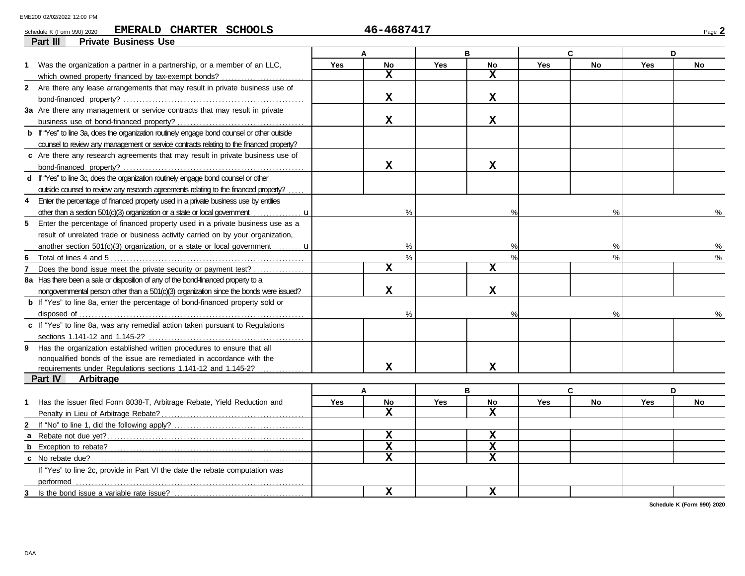| <b>Private Business Use</b><br>Part III<br>B<br>C.<br>D<br>A<br><b>No</b><br><b>No</b><br><b>No</b><br>1 Was the organization a partner in a partnership, or a member of an LLC,<br><b>Yes</b><br>Yes<br><b>Yes</b><br><b>Yes</b><br><b>No</b><br>$\overline{\mathbf{x}}$<br>$\overline{\mathbf{x}}$<br>which owned property financed by tax-exempt bonds?<br>2 Are there any lease arrangements that may result in private business use of<br>x<br>X<br>3a Are there any management or service contracts that may result in private<br>x<br>$\mathbf x$<br>b If "Yes" to line 3a, does the organization routinely engage bond counsel or other outside<br>counsel to review any management or service contracts relating to the financed property?<br>c Are there any research agreements that may result in private business use of<br>$\mathbf x$<br>$\mathbf x$<br>d If "Yes" to line 3c, does the organization routinely engage bond counsel or other<br>outside counsel to review any research agreements relating to the financed property?<br>Enter the percentage of financed property used in a private business use by entities<br>other than a section 501(c)(3) organization or a state or local government $\ldots \ldots \ldots$<br>%<br>%<br>%<br>%<br>Enter the percentage of financed property used in a private business use as a<br>5<br>result of unrelated trade or business activity carried on by your organization,<br>another section 501(c)(3) organization, or a state or local government $\mathbf{u}$<br>%<br>%<br>%<br>%<br>$\%$<br>$\frac{9}{6}$<br>$\%$<br>%<br>$\overline{\mathbf{x}}$<br>$\overline{\mathbf{x}}$<br>Does the bond issue meet the private security or payment test?<br>8a Has there been a sale or disposition of any of the bond-financed property to a<br>$\mathbf x$<br>$\mathbf x$<br>nongovernmental person other than a 501(c)(3) organization since the bonds were issued?<br><b>b</b> If "Yes" to line 8a, enter the percentage of bond-financed property sold or<br>%<br>$\frac{0}{0}$<br>$\%$<br>%<br>c If "Yes" to line 8a, was any remedial action taken pursuant to Regulations<br>Has the organization established written procedures to ensure that all<br>9<br>nonqualified bonds of the issue are remediated in accordance with the<br>$\mathbf x$<br>$\mathbf x$<br>requirements under Regulations sections 1.141-12 and 1.145-2?<br>Part IV<br>Arbitrage<br>B<br>C.<br>D<br>A<br>1 Has the issuer filed Form 8038-T, Arbitrage Rebate, Yield Reduction and<br><b>Yes</b><br><b>No</b><br>No<br><b>Yes</b><br><b>No</b><br>Yes<br><b>Yes</b><br>No<br>$\mathbf x$<br>$\mathbf x$<br>$\mathbf{2}$ | EMERALD CHARTER SCHOOLS<br>Schedule K (Form 990) 2020 | 46-4687417  |   |  | Page $2$ |
|----------------------------------------------------------------------------------------------------------------------------------------------------------------------------------------------------------------------------------------------------------------------------------------------------------------------------------------------------------------------------------------------------------------------------------------------------------------------------------------------------------------------------------------------------------------------------------------------------------------------------------------------------------------------------------------------------------------------------------------------------------------------------------------------------------------------------------------------------------------------------------------------------------------------------------------------------------------------------------------------------------------------------------------------------------------------------------------------------------------------------------------------------------------------------------------------------------------------------------------------------------------------------------------------------------------------------------------------------------------------------------------------------------------------------------------------------------------------------------------------------------------------------------------------------------------------------------------------------------------------------------------------------------------------------------------------------------------------------------------------------------------------------------------------------------------------------------------------------------------------------------------------------------------------------------------------------------------------------------------------------------------------------------------------------------------------------------------------------------------------------------------------------------------------------------------------------------------------------------------------------------------------------------------------------------------------------------------------------------------------------------------------------------------------------------------------------------------------------------------------------------------------------------------------------------------------------------------------------------------------------------------------------------------------|-------------------------------------------------------|-------------|---|--|----------|
|                                                                                                                                                                                                                                                                                                                                                                                                                                                                                                                                                                                                                                                                                                                                                                                                                                                                                                                                                                                                                                                                                                                                                                                                                                                                                                                                                                                                                                                                                                                                                                                                                                                                                                                                                                                                                                                                                                                                                                                                                                                                                                                                                                                                                                                                                                                                                                                                                                                                                                                                                                                                                                                                      |                                                       |             |   |  |          |
|                                                                                                                                                                                                                                                                                                                                                                                                                                                                                                                                                                                                                                                                                                                                                                                                                                                                                                                                                                                                                                                                                                                                                                                                                                                                                                                                                                                                                                                                                                                                                                                                                                                                                                                                                                                                                                                                                                                                                                                                                                                                                                                                                                                                                                                                                                                                                                                                                                                                                                                                                                                                                                                                      |                                                       |             |   |  |          |
|                                                                                                                                                                                                                                                                                                                                                                                                                                                                                                                                                                                                                                                                                                                                                                                                                                                                                                                                                                                                                                                                                                                                                                                                                                                                                                                                                                                                                                                                                                                                                                                                                                                                                                                                                                                                                                                                                                                                                                                                                                                                                                                                                                                                                                                                                                                                                                                                                                                                                                                                                                                                                                                                      |                                                       |             |   |  |          |
|                                                                                                                                                                                                                                                                                                                                                                                                                                                                                                                                                                                                                                                                                                                                                                                                                                                                                                                                                                                                                                                                                                                                                                                                                                                                                                                                                                                                                                                                                                                                                                                                                                                                                                                                                                                                                                                                                                                                                                                                                                                                                                                                                                                                                                                                                                                                                                                                                                                                                                                                                                                                                                                                      |                                                       |             |   |  |          |
|                                                                                                                                                                                                                                                                                                                                                                                                                                                                                                                                                                                                                                                                                                                                                                                                                                                                                                                                                                                                                                                                                                                                                                                                                                                                                                                                                                                                                                                                                                                                                                                                                                                                                                                                                                                                                                                                                                                                                                                                                                                                                                                                                                                                                                                                                                                                                                                                                                                                                                                                                                                                                                                                      |                                                       |             |   |  |          |
|                                                                                                                                                                                                                                                                                                                                                                                                                                                                                                                                                                                                                                                                                                                                                                                                                                                                                                                                                                                                                                                                                                                                                                                                                                                                                                                                                                                                                                                                                                                                                                                                                                                                                                                                                                                                                                                                                                                                                                                                                                                                                                                                                                                                                                                                                                                                                                                                                                                                                                                                                                                                                                                                      |                                                       |             |   |  |          |
|                                                                                                                                                                                                                                                                                                                                                                                                                                                                                                                                                                                                                                                                                                                                                                                                                                                                                                                                                                                                                                                                                                                                                                                                                                                                                                                                                                                                                                                                                                                                                                                                                                                                                                                                                                                                                                                                                                                                                                                                                                                                                                                                                                                                                                                                                                                                                                                                                                                                                                                                                                                                                                                                      |                                                       |             |   |  |          |
|                                                                                                                                                                                                                                                                                                                                                                                                                                                                                                                                                                                                                                                                                                                                                                                                                                                                                                                                                                                                                                                                                                                                                                                                                                                                                                                                                                                                                                                                                                                                                                                                                                                                                                                                                                                                                                                                                                                                                                                                                                                                                                                                                                                                                                                                                                                                                                                                                                                                                                                                                                                                                                                                      |                                                       |             |   |  |          |
|                                                                                                                                                                                                                                                                                                                                                                                                                                                                                                                                                                                                                                                                                                                                                                                                                                                                                                                                                                                                                                                                                                                                                                                                                                                                                                                                                                                                                                                                                                                                                                                                                                                                                                                                                                                                                                                                                                                                                                                                                                                                                                                                                                                                                                                                                                                                                                                                                                                                                                                                                                                                                                                                      |                                                       |             |   |  |          |
|                                                                                                                                                                                                                                                                                                                                                                                                                                                                                                                                                                                                                                                                                                                                                                                                                                                                                                                                                                                                                                                                                                                                                                                                                                                                                                                                                                                                                                                                                                                                                                                                                                                                                                                                                                                                                                                                                                                                                                                                                                                                                                                                                                                                                                                                                                                                                                                                                                                                                                                                                                                                                                                                      |                                                       |             |   |  |          |
|                                                                                                                                                                                                                                                                                                                                                                                                                                                                                                                                                                                                                                                                                                                                                                                                                                                                                                                                                                                                                                                                                                                                                                                                                                                                                                                                                                                                                                                                                                                                                                                                                                                                                                                                                                                                                                                                                                                                                                                                                                                                                                                                                                                                                                                                                                                                                                                                                                                                                                                                                                                                                                                                      |                                                       |             |   |  |          |
|                                                                                                                                                                                                                                                                                                                                                                                                                                                                                                                                                                                                                                                                                                                                                                                                                                                                                                                                                                                                                                                                                                                                                                                                                                                                                                                                                                                                                                                                                                                                                                                                                                                                                                                                                                                                                                                                                                                                                                                                                                                                                                                                                                                                                                                                                                                                                                                                                                                                                                                                                                                                                                                                      |                                                       |             |   |  |          |
|                                                                                                                                                                                                                                                                                                                                                                                                                                                                                                                                                                                                                                                                                                                                                                                                                                                                                                                                                                                                                                                                                                                                                                                                                                                                                                                                                                                                                                                                                                                                                                                                                                                                                                                                                                                                                                                                                                                                                                                                                                                                                                                                                                                                                                                                                                                                                                                                                                                                                                                                                                                                                                                                      |                                                       |             |   |  |          |
|                                                                                                                                                                                                                                                                                                                                                                                                                                                                                                                                                                                                                                                                                                                                                                                                                                                                                                                                                                                                                                                                                                                                                                                                                                                                                                                                                                                                                                                                                                                                                                                                                                                                                                                                                                                                                                                                                                                                                                                                                                                                                                                                                                                                                                                                                                                                                                                                                                                                                                                                                                                                                                                                      |                                                       |             |   |  |          |
|                                                                                                                                                                                                                                                                                                                                                                                                                                                                                                                                                                                                                                                                                                                                                                                                                                                                                                                                                                                                                                                                                                                                                                                                                                                                                                                                                                                                                                                                                                                                                                                                                                                                                                                                                                                                                                                                                                                                                                                                                                                                                                                                                                                                                                                                                                                                                                                                                                                                                                                                                                                                                                                                      |                                                       |             |   |  |          |
|                                                                                                                                                                                                                                                                                                                                                                                                                                                                                                                                                                                                                                                                                                                                                                                                                                                                                                                                                                                                                                                                                                                                                                                                                                                                                                                                                                                                                                                                                                                                                                                                                                                                                                                                                                                                                                                                                                                                                                                                                                                                                                                                                                                                                                                                                                                                                                                                                                                                                                                                                                                                                                                                      |                                                       |             |   |  |          |
|                                                                                                                                                                                                                                                                                                                                                                                                                                                                                                                                                                                                                                                                                                                                                                                                                                                                                                                                                                                                                                                                                                                                                                                                                                                                                                                                                                                                                                                                                                                                                                                                                                                                                                                                                                                                                                                                                                                                                                                                                                                                                                                                                                                                                                                                                                                                                                                                                                                                                                                                                                                                                                                                      |                                                       |             |   |  |          |
|                                                                                                                                                                                                                                                                                                                                                                                                                                                                                                                                                                                                                                                                                                                                                                                                                                                                                                                                                                                                                                                                                                                                                                                                                                                                                                                                                                                                                                                                                                                                                                                                                                                                                                                                                                                                                                                                                                                                                                                                                                                                                                                                                                                                                                                                                                                                                                                                                                                                                                                                                                                                                                                                      |                                                       |             |   |  |          |
|                                                                                                                                                                                                                                                                                                                                                                                                                                                                                                                                                                                                                                                                                                                                                                                                                                                                                                                                                                                                                                                                                                                                                                                                                                                                                                                                                                                                                                                                                                                                                                                                                                                                                                                                                                                                                                                                                                                                                                                                                                                                                                                                                                                                                                                                                                                                                                                                                                                                                                                                                                                                                                                                      |                                                       |             |   |  |          |
|                                                                                                                                                                                                                                                                                                                                                                                                                                                                                                                                                                                                                                                                                                                                                                                                                                                                                                                                                                                                                                                                                                                                                                                                                                                                                                                                                                                                                                                                                                                                                                                                                                                                                                                                                                                                                                                                                                                                                                                                                                                                                                                                                                                                                                                                                                                                                                                                                                                                                                                                                                                                                                                                      |                                                       |             |   |  |          |
|                                                                                                                                                                                                                                                                                                                                                                                                                                                                                                                                                                                                                                                                                                                                                                                                                                                                                                                                                                                                                                                                                                                                                                                                                                                                                                                                                                                                                                                                                                                                                                                                                                                                                                                                                                                                                                                                                                                                                                                                                                                                                                                                                                                                                                                                                                                                                                                                                                                                                                                                                                                                                                                                      |                                                       |             |   |  |          |
|                                                                                                                                                                                                                                                                                                                                                                                                                                                                                                                                                                                                                                                                                                                                                                                                                                                                                                                                                                                                                                                                                                                                                                                                                                                                                                                                                                                                                                                                                                                                                                                                                                                                                                                                                                                                                                                                                                                                                                                                                                                                                                                                                                                                                                                                                                                                                                                                                                                                                                                                                                                                                                                                      |                                                       |             |   |  |          |
|                                                                                                                                                                                                                                                                                                                                                                                                                                                                                                                                                                                                                                                                                                                                                                                                                                                                                                                                                                                                                                                                                                                                                                                                                                                                                                                                                                                                                                                                                                                                                                                                                                                                                                                                                                                                                                                                                                                                                                                                                                                                                                                                                                                                                                                                                                                                                                                                                                                                                                                                                                                                                                                                      |                                                       |             |   |  |          |
|                                                                                                                                                                                                                                                                                                                                                                                                                                                                                                                                                                                                                                                                                                                                                                                                                                                                                                                                                                                                                                                                                                                                                                                                                                                                                                                                                                                                                                                                                                                                                                                                                                                                                                                                                                                                                                                                                                                                                                                                                                                                                                                                                                                                                                                                                                                                                                                                                                                                                                                                                                                                                                                                      |                                                       |             |   |  |          |
|                                                                                                                                                                                                                                                                                                                                                                                                                                                                                                                                                                                                                                                                                                                                                                                                                                                                                                                                                                                                                                                                                                                                                                                                                                                                                                                                                                                                                                                                                                                                                                                                                                                                                                                                                                                                                                                                                                                                                                                                                                                                                                                                                                                                                                                                                                                                                                                                                                                                                                                                                                                                                                                                      |                                                       |             |   |  |          |
|                                                                                                                                                                                                                                                                                                                                                                                                                                                                                                                                                                                                                                                                                                                                                                                                                                                                                                                                                                                                                                                                                                                                                                                                                                                                                                                                                                                                                                                                                                                                                                                                                                                                                                                                                                                                                                                                                                                                                                                                                                                                                                                                                                                                                                                                                                                                                                                                                                                                                                                                                                                                                                                                      |                                                       |             |   |  |          |
|                                                                                                                                                                                                                                                                                                                                                                                                                                                                                                                                                                                                                                                                                                                                                                                                                                                                                                                                                                                                                                                                                                                                                                                                                                                                                                                                                                                                                                                                                                                                                                                                                                                                                                                                                                                                                                                                                                                                                                                                                                                                                                                                                                                                                                                                                                                                                                                                                                                                                                                                                                                                                                                                      |                                                       |             |   |  |          |
|                                                                                                                                                                                                                                                                                                                                                                                                                                                                                                                                                                                                                                                                                                                                                                                                                                                                                                                                                                                                                                                                                                                                                                                                                                                                                                                                                                                                                                                                                                                                                                                                                                                                                                                                                                                                                                                                                                                                                                                                                                                                                                                                                                                                                                                                                                                                                                                                                                                                                                                                                                                                                                                                      |                                                       |             |   |  |          |
|                                                                                                                                                                                                                                                                                                                                                                                                                                                                                                                                                                                                                                                                                                                                                                                                                                                                                                                                                                                                                                                                                                                                                                                                                                                                                                                                                                                                                                                                                                                                                                                                                                                                                                                                                                                                                                                                                                                                                                                                                                                                                                                                                                                                                                                                                                                                                                                                                                                                                                                                                                                                                                                                      |                                                       |             |   |  |          |
|                                                                                                                                                                                                                                                                                                                                                                                                                                                                                                                                                                                                                                                                                                                                                                                                                                                                                                                                                                                                                                                                                                                                                                                                                                                                                                                                                                                                                                                                                                                                                                                                                                                                                                                                                                                                                                                                                                                                                                                                                                                                                                                                                                                                                                                                                                                                                                                                                                                                                                                                                                                                                                                                      |                                                       |             |   |  |          |
|                                                                                                                                                                                                                                                                                                                                                                                                                                                                                                                                                                                                                                                                                                                                                                                                                                                                                                                                                                                                                                                                                                                                                                                                                                                                                                                                                                                                                                                                                                                                                                                                                                                                                                                                                                                                                                                                                                                                                                                                                                                                                                                                                                                                                                                                                                                                                                                                                                                                                                                                                                                                                                                                      |                                                       |             |   |  |          |
|                                                                                                                                                                                                                                                                                                                                                                                                                                                                                                                                                                                                                                                                                                                                                                                                                                                                                                                                                                                                                                                                                                                                                                                                                                                                                                                                                                                                                                                                                                                                                                                                                                                                                                                                                                                                                                                                                                                                                                                                                                                                                                                                                                                                                                                                                                                                                                                                                                                                                                                                                                                                                                                                      |                                                       |             |   |  |          |
|                                                                                                                                                                                                                                                                                                                                                                                                                                                                                                                                                                                                                                                                                                                                                                                                                                                                                                                                                                                                                                                                                                                                                                                                                                                                                                                                                                                                                                                                                                                                                                                                                                                                                                                                                                                                                                                                                                                                                                                                                                                                                                                                                                                                                                                                                                                                                                                                                                                                                                                                                                                                                                                                      |                                                       |             |   |  |          |
|                                                                                                                                                                                                                                                                                                                                                                                                                                                                                                                                                                                                                                                                                                                                                                                                                                                                                                                                                                                                                                                                                                                                                                                                                                                                                                                                                                                                                                                                                                                                                                                                                                                                                                                                                                                                                                                                                                                                                                                                                                                                                                                                                                                                                                                                                                                                                                                                                                                                                                                                                                                                                                                                      |                                                       |             |   |  |          |
|                                                                                                                                                                                                                                                                                                                                                                                                                                                                                                                                                                                                                                                                                                                                                                                                                                                                                                                                                                                                                                                                                                                                                                                                                                                                                                                                                                                                                                                                                                                                                                                                                                                                                                                                                                                                                                                                                                                                                                                                                                                                                                                                                                                                                                                                                                                                                                                                                                                                                                                                                                                                                                                                      |                                                       |             |   |  |          |
|                                                                                                                                                                                                                                                                                                                                                                                                                                                                                                                                                                                                                                                                                                                                                                                                                                                                                                                                                                                                                                                                                                                                                                                                                                                                                                                                                                                                                                                                                                                                                                                                                                                                                                                                                                                                                                                                                                                                                                                                                                                                                                                                                                                                                                                                                                                                                                                                                                                                                                                                                                                                                                                                      |                                                       | $\mathbf x$ | X |  |          |
| $\overline{\mathbf{x}}$<br>$\mathbf x$                                                                                                                                                                                                                                                                                                                                                                                                                                                                                                                                                                                                                                                                                                                                                                                                                                                                                                                                                                                                                                                                                                                                                                                                                                                                                                                                                                                                                                                                                                                                                                                                                                                                                                                                                                                                                                                                                                                                                                                                                                                                                                                                                                                                                                                                                                                                                                                                                                                                                                                                                                                                                               |                                                       |             |   |  |          |
| $\overline{\mathbf{x}}$<br>X                                                                                                                                                                                                                                                                                                                                                                                                                                                                                                                                                                                                                                                                                                                                                                                                                                                                                                                                                                                                                                                                                                                                                                                                                                                                                                                                                                                                                                                                                                                                                                                                                                                                                                                                                                                                                                                                                                                                                                                                                                                                                                                                                                                                                                                                                                                                                                                                                                                                                                                                                                                                                                         |                                                       |             |   |  |          |
| If "Yes" to line 2c, provide in Part VI the date the rebate computation was                                                                                                                                                                                                                                                                                                                                                                                                                                                                                                                                                                                                                                                                                                                                                                                                                                                                                                                                                                                                                                                                                                                                                                                                                                                                                                                                                                                                                                                                                                                                                                                                                                                                                                                                                                                                                                                                                                                                                                                                                                                                                                                                                                                                                                                                                                                                                                                                                                                                                                                                                                                          |                                                       |             |   |  |          |
| performed                                                                                                                                                                                                                                                                                                                                                                                                                                                                                                                                                                                                                                                                                                                                                                                                                                                                                                                                                                                                                                                                                                                                                                                                                                                                                                                                                                                                                                                                                                                                                                                                                                                                                                                                                                                                                                                                                                                                                                                                                                                                                                                                                                                                                                                                                                                                                                                                                                                                                                                                                                                                                                                            |                                                       |             |   |  |          |
| $\mathbf x$<br>$\mathbf x$<br>Is the bond issue a variable rate issue?<br>3                                                                                                                                                                                                                                                                                                                                                                                                                                                                                                                                                                                                                                                                                                                                                                                                                                                                                                                                                                                                                                                                                                                                                                                                                                                                                                                                                                                                                                                                                                                                                                                                                                                                                                                                                                                                                                                                                                                                                                                                                                                                                                                                                                                                                                                                                                                                                                                                                                                                                                                                                                                          |                                                       |             |   |  |          |

**Schedule K (Form 990) 2020**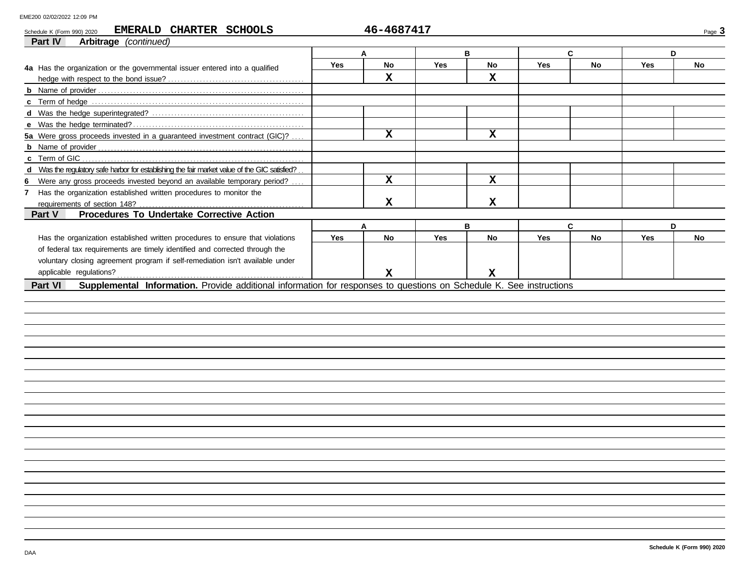| <b>EMERALD</b><br>CHARTER SCHOOLS<br>Schedule K (Form 990) 2020                                                                |            | 46-4687417  |            |             |     |    |     | Page 3 |
|--------------------------------------------------------------------------------------------------------------------------------|------------|-------------|------------|-------------|-----|----|-----|--------|
| Arbitrage (continued)<br>Part IV                                                                                               |            |             |            |             |     |    |     |        |
|                                                                                                                                |            | Α           |            | в           |     | C  |     | D      |
| 4a Has the organization or the governmental issuer entered into a qualified                                                    | Yes        | No          | Yes        | No          | Yes | No | Yes | No     |
|                                                                                                                                |            | $\mathbf x$ |            | $\mathbf x$ |     |    |     |        |
|                                                                                                                                |            |             |            |             |     |    |     |        |
|                                                                                                                                |            |             |            |             |     |    |     |        |
|                                                                                                                                |            |             |            |             |     |    |     |        |
|                                                                                                                                |            |             |            |             |     |    |     |        |
| 5a Were gross proceeds invested in a guaranteed investment contract (GIC)?                                                     |            | $\mathbf x$ |            | X           |     |    |     |        |
|                                                                                                                                |            |             |            |             |     |    |     |        |
|                                                                                                                                |            |             |            |             |     |    |     |        |
| d Was the regulatory safe harbor for establishing the fair market value of the GIC satisfied?                                  |            |             |            |             |     |    |     |        |
| 6 Were any gross proceeds invested beyond an available temporary period?                                                       |            | $\mathbf x$ |            | $\mathbf x$ |     |    |     |        |
| 7 Has the organization established written procedures to monitor the                                                           |            |             |            |             |     |    |     |        |
|                                                                                                                                |            | X           |            | X           |     |    |     |        |
| Procedures To Undertake Corrective Action<br>Part V                                                                            |            |             |            |             |     |    |     |        |
|                                                                                                                                |            | A           |            | в           |     | C  |     | D      |
| Has the organization established written procedures to ensure that violations                                                  | <b>Yes</b> | No          | <b>Yes</b> | No          | Yes | No | Yes | No     |
| of federal tax requirements are timely identified and corrected through the                                                    |            |             |            |             |     |    |     |        |
| voluntary closing agreement program if self-remediation isn't available under                                                  |            |             |            |             |     |    |     |        |
| applicable regulations?                                                                                                        |            | $\mathbf x$ |            | X           |     |    |     |        |
| Supplemental Information. Provide additional information for responses to questions on Schedule K. See instructions<br>Part VI |            |             |            |             |     |    |     |        |
|                                                                                                                                |            |             |            |             |     |    |     |        |
|                                                                                                                                |            |             |            |             |     |    |     |        |
|                                                                                                                                |            |             |            |             |     |    |     |        |
|                                                                                                                                |            |             |            |             |     |    |     |        |
|                                                                                                                                |            |             |            |             |     |    |     |        |
|                                                                                                                                |            |             |            |             |     |    |     |        |
|                                                                                                                                |            |             |            |             |     |    |     |        |
|                                                                                                                                |            |             |            |             |     |    |     |        |
|                                                                                                                                |            |             |            |             |     |    |     |        |
|                                                                                                                                |            |             |            |             |     |    |     |        |
|                                                                                                                                |            |             |            |             |     |    |     |        |
|                                                                                                                                |            |             |            |             |     |    |     |        |
|                                                                                                                                |            |             |            |             |     |    |     |        |
|                                                                                                                                |            |             |            |             |     |    |     |        |
|                                                                                                                                |            |             |            |             |     |    |     |        |
|                                                                                                                                |            |             |            |             |     |    |     |        |
|                                                                                                                                |            |             |            |             |     |    |     |        |
|                                                                                                                                |            |             |            |             |     |    |     |        |
|                                                                                                                                |            |             |            |             |     |    |     |        |
|                                                                                                                                |            |             |            |             |     |    |     |        |
|                                                                                                                                |            |             |            |             |     |    |     |        |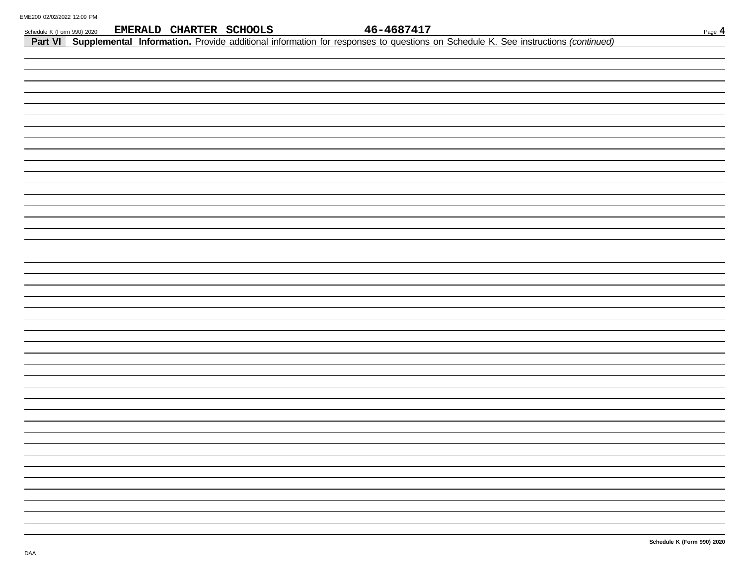| Schedule K (Form 990) 2020 EMERALD CHARTER SCHOOLS 46-4687417<br>Part VI Supplemental Information. Provide additional information for responses to questions on Schedule K. See instructions (continued) | Page $4$ | 46-4687417 |  | EMERALD CHARTER SCHOOLS |  |
|----------------------------------------------------------------------------------------------------------------------------------------------------------------------------------------------------------|----------|------------|--|-------------------------|--|
|                                                                                                                                                                                                          |          |            |  |                         |  |
|                                                                                                                                                                                                          |          |            |  |                         |  |
|                                                                                                                                                                                                          |          |            |  |                         |  |
|                                                                                                                                                                                                          |          |            |  |                         |  |
|                                                                                                                                                                                                          |          |            |  |                         |  |
|                                                                                                                                                                                                          |          |            |  |                         |  |
|                                                                                                                                                                                                          |          |            |  |                         |  |
|                                                                                                                                                                                                          |          |            |  |                         |  |
|                                                                                                                                                                                                          |          |            |  |                         |  |
|                                                                                                                                                                                                          |          |            |  |                         |  |
|                                                                                                                                                                                                          |          |            |  |                         |  |
|                                                                                                                                                                                                          |          |            |  |                         |  |
|                                                                                                                                                                                                          |          |            |  |                         |  |
|                                                                                                                                                                                                          |          |            |  |                         |  |
|                                                                                                                                                                                                          |          |            |  |                         |  |
|                                                                                                                                                                                                          |          |            |  |                         |  |
|                                                                                                                                                                                                          |          |            |  |                         |  |
|                                                                                                                                                                                                          |          |            |  |                         |  |
|                                                                                                                                                                                                          |          |            |  |                         |  |
|                                                                                                                                                                                                          |          |            |  |                         |  |
|                                                                                                                                                                                                          |          |            |  |                         |  |
|                                                                                                                                                                                                          |          |            |  |                         |  |
|                                                                                                                                                                                                          |          |            |  |                         |  |
|                                                                                                                                                                                                          |          |            |  |                         |  |
|                                                                                                                                                                                                          |          |            |  |                         |  |
|                                                                                                                                                                                                          |          |            |  |                         |  |
|                                                                                                                                                                                                          |          |            |  |                         |  |
|                                                                                                                                                                                                          |          |            |  |                         |  |
|                                                                                                                                                                                                          |          |            |  |                         |  |
|                                                                                                                                                                                                          |          |            |  |                         |  |
|                                                                                                                                                                                                          |          |            |  |                         |  |
|                                                                                                                                                                                                          |          |            |  |                         |  |
|                                                                                                                                                                                                          |          |            |  |                         |  |
|                                                                                                                                                                                                          |          |            |  |                         |  |
|                                                                                                                                                                                                          |          |            |  |                         |  |
|                                                                                                                                                                                                          |          |            |  |                         |  |
|                                                                                                                                                                                                          |          |            |  |                         |  |
|                                                                                                                                                                                                          |          |            |  |                         |  |
|                                                                                                                                                                                                          |          |            |  |                         |  |
|                                                                                                                                                                                                          |          |            |  |                         |  |
|                                                                                                                                                                                                          |          |            |  |                         |  |
|                                                                                                                                                                                                          |          |            |  |                         |  |
|                                                                                                                                                                                                          |          |            |  |                         |  |